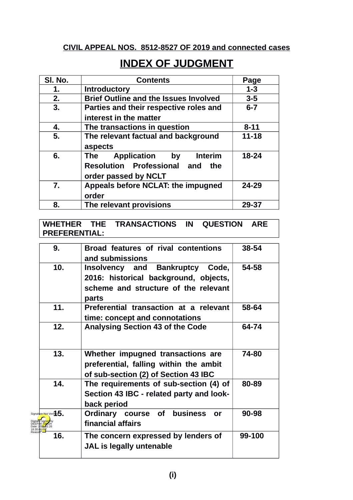# **CIVIL APPEAL NOS. 8512-8527 OF 2019 and connected cases**

# **INDEX OF JUDGMENT**

| SI. No.          | <b>Contents</b>                                                                                          | Page     |
|------------------|----------------------------------------------------------------------------------------------------------|----------|
| 1.               | <b>Introductory</b>                                                                                      | $1 - 3$  |
| 2.               | <b>Brief Outline and the Issues Involved</b>                                                             | $3 - 5$  |
| 3.               | Parties and their respective roles and<br>$6 - 7$<br>interest in the matter                              |          |
| 4.               | The transactions in question                                                                             | $8 - 11$ |
| 5.               | The relevant factual and background<br>aspects                                                           | 11-18    |
| 6.               | Application<br>by<br><b>Interim</b><br>The<br>Resolution Professional and<br>the<br>order passed by NCLT | 18-24    |
| $\overline{7}$ . | Appeals before NCLAT: the impugned<br>order                                                              | 24-29    |
| 8.               | The relevant provisions                                                                                  | 29-37    |

**WHETHER THE TRANSACTIONS IN QUESTION ARE PREFERENTIAL:**

| 9.                      | Broad features of rival contentions<br>and submissions                                                                              | 38-54  |
|-------------------------|-------------------------------------------------------------------------------------------------------------------------------------|--------|
| 10.                     | <b>Insolvency and Bankruptcy</b><br>Code,<br>2016: historical background, objects,<br>scheme and structure of the relevant<br>parts | 54-58  |
| 11.                     | Preferential transaction at a relevant<br>time: concept and connotations                                                            | 58-64  |
| 12.                     | <b>Analysing Section 43 of the Code</b>                                                                                             | 64-74  |
| 13.                     | Whether impugned transactions are<br>preferential, falling within the ambit<br>of sub-section (2) of Section 43 IBC                 | 74-80  |
| 14.                     | The requirements of sub-section (4) of<br>Section 43 IBC - related party and look-<br>back period                                   | 80-89  |
| Signature Not Verifico. | <b>business</b><br>Ordinary course of<br>or<br>financial affairs                                                                    | 90-98  |
| 16.                     | The concern expressed by lenders of<br>JAL is legally untenable                                                                     | 99-100 |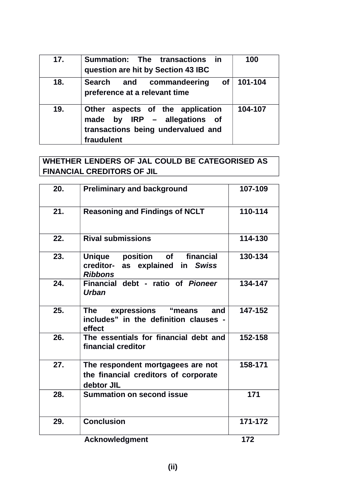| 17. | Summation: The transactions in<br>question are hit by Section 43 IBC                                                 | 100     |
|-----|----------------------------------------------------------------------------------------------------------------------|---------|
| 18. | of <sub>1</sub><br>Search and commandeering<br>preference at a relevant time                                         | 101-104 |
| 19. | Other aspects of the application<br>made by IRP - allegations of<br>transactions being undervalued and<br>fraudulent | 104-107 |

# **WHETHER LENDERS OF JAL COULD BE CATEGORISED AS FINANCIAL CREDITORS OF JIL**

| 20. | <b>Preliminary and background</b>                                                                           | 107-109 |
|-----|-------------------------------------------------------------------------------------------------------------|---------|
| 21. | <b>Reasoning and Findings of NCLT</b>                                                                       | 110-114 |
| 22. | <b>Rival submissions</b>                                                                                    | 114-130 |
| 23. | financial<br><b>Unique</b><br>position<br><b>of</b><br>as explained in Swiss<br>creditor-<br><b>Ribbons</b> | 130-134 |
| 24. | Financial debt - ratio of Pioneer<br><b>Urban</b>                                                           | 134-147 |
| 25. | expressions "means and<br><b>The</b><br>includes" in the definition clauses -<br>effect                     | 147-152 |
| 26. | The essentials for financial debt and<br>financial creditor                                                 | 152-158 |
| 27. | The respondent mortgagees are not<br>the financial creditors of corporate<br>debtor JIL                     | 158-171 |
| 28. | <b>Summation on second issue</b>                                                                            | 171     |
| 29. | <b>Conclusion</b>                                                                                           | 171-172 |
|     | <b>Acknowledgment</b>                                                                                       | 172     |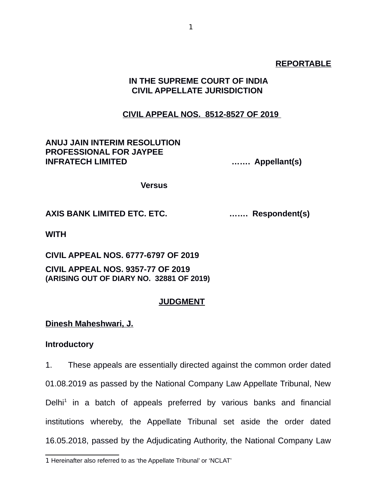#### **REPORTABLE**

# **IN THE SUPREME COURT OF INDIA CIVIL APPELLATE JURISDICTION**

#### **CIVIL APPEAL NOS. 8512-8527 OF 2019**

#### **ANUJ JAIN INTERIM RESOLUTION PROFESSIONAL FOR JAYPEE INFRATECH LIMITED ……. Appellant(s)**

 **Versus**

#### **AXIS BANK LIMITED ETC. ETC. ……. Respondent(s)**

**WITH**

**CIVIL APPEAL NOS. 6777-6797 OF 2019**

**CIVIL APPEAL NOS. 9357-77 OF 2019 (ARISING OUT OF DIARY NO. 32881 OF 2019)**

#### **JUDGMENT**

#### **Dinesh Maheshwari, J.**

#### **Introductory**

1. These appeals are essentially directed against the common order dated 01.08.2019 as passed by the National Company Law Appellate Tribunal, New Delhi<sup>[1](#page--1-0)</sup> in a batch of appeals preferred by various banks and financial institutions whereby, the Appellate Tribunal set aside the order dated 16.05.2018, passed by the Adjudicating Authority, the National Company Law

<sup>1</sup> Hereinafter also referred to as 'the Appellate Tribunal' or 'NCLAT'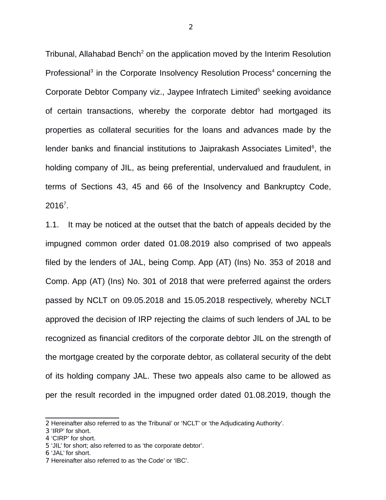Tribunal, Allahabad Bench<sup>[2](#page--1-1)</sup> on the application moved by the Interim Resolution Professional<sup>[3](#page--1-2)</sup> in the Corporate Insolvency Resolution Process<sup>[4](#page--1-3)</sup> concerning the Corporate Debtor Company viz., Jaypee Infratech Limited<sup>[5](#page--1-4)</sup> seeking avoidance of certain transactions, whereby the corporate debtor had mortgaged its properties as collateral securities for the loans and advances made by the lender banks and financial institutions to Jaiprakash Associates Limited<sup>[6](#page--1-5)</sup>, the holding company of JIL, as being preferential, undervalued and fraudulent, in terms of Sections 43, 45 and 66 of the Insolvency and Bankruptcy Code,  $2016^7$  $2016^7$ .

1.1. It may be noticed at the outset that the batch of appeals decided by the impugned common order dated 01.08.2019 also comprised of two appeals filed by the lenders of JAL, being Comp. App (AT) (Ins) No. 353 of 2018 and Comp. App (AT) (Ins) No. 301 of 2018 that were preferred against the orders passed by NCLT on 09.05.2018 and 15.05.2018 respectively, whereby NCLT approved the decision of IRP rejecting the claims of such lenders of JAL to be recognized as financial creditors of the corporate debtor JIL on the strength of the mortgage created by the corporate debtor, as collateral security of the debt of its holding company JAL. These two appeals also came to be allowed as per the result recorded in the impugned order dated 01.08.2019, though the

<sup>2</sup> Hereinafter also referred to as 'the Tribunal' or 'NCLT' or 'the Adjudicating Authority'.

<sup>3</sup> 'IRP' for short.

<sup>4</sup> 'CIRP' for short.

<sup>5</sup> 'JIL' for short; also referred to as 'the corporate debtor'.

<sup>6</sup> 'JAL' for short.

<sup>7</sup> Hereinafter also referred to as 'the Code' or 'IBC'.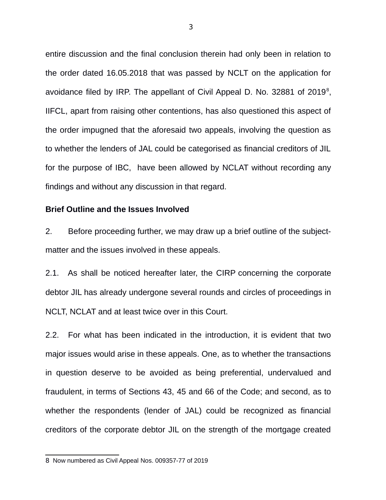entire discussion and the final conclusion therein had only been in relation to the order dated 16.05.2018 that was passed by NCLT on the application for avoidance filed by IRP. The appellant of Civil Appeal D. No. 32[8](#page--1-0)81 of 2019 $^{\circ}$ , IIFCL, apart from raising other contentions, has also questioned this aspect of the order impugned that the aforesaid two appeals, involving the question as to whether the lenders of JAL could be categorised as financial creditors of JIL for the purpose of IBC, have been allowed by NCLAT without recording any findings and without any discussion in that regard.

#### **Brief Outline and the Issues Involved**

2. Before proceeding further, we may draw up a brief outline of the subjectmatter and the issues involved in these appeals.

2.1. As shall be noticed hereafter later, the CIRP concerning the corporate debtor JIL has already undergone several rounds and circles of proceedings in NCLT, NCLAT and at least twice over in this Court.

2.2. For what has been indicated in the introduction, it is evident that two major issues would arise in these appeals. One, as to whether the transactions in question deserve to be avoided as being preferential, undervalued and fraudulent, in terms of Sections 43, 45 and 66 of the Code; and second, as to whether the respondents (lender of JAL) could be recognized as financial creditors of the corporate debtor JIL on the strength of the mortgage created

<sup>8</sup> Now numbered as Civil Appeal Nos. 009357-77 of 2019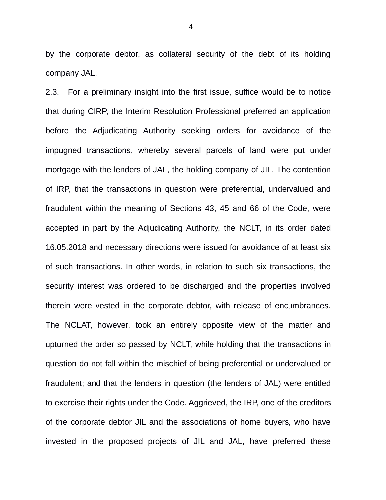by the corporate debtor, as collateral security of the debt of its holding company JAL.

2.3. For a preliminary insight into the first issue, suffice would be to notice that during CIRP, the Interim Resolution Professional preferred an application before the Adjudicating Authority seeking orders for avoidance of the impugned transactions, whereby several parcels of land were put under mortgage with the lenders of JAL, the holding company of JIL. The contention of IRP, that the transactions in question were preferential, undervalued and fraudulent within the meaning of Sections 43, 45 and 66 of the Code, were accepted in part by the Adjudicating Authority, the NCLT, in its order dated 16.05.2018 and necessary directions were issued for avoidance of at least six of such transactions. In other words, in relation to such six transactions, the security interest was ordered to be discharged and the properties involved therein were vested in the corporate debtor, with release of encumbrances. The NCLAT, however, took an entirely opposite view of the matter and upturned the order so passed by NCLT, while holding that the transactions in question do not fall within the mischief of being preferential or undervalued or fraudulent; and that the lenders in question (the lenders of JAL) were entitled to exercise their rights under the Code. Aggrieved, the IRP, one of the creditors of the corporate debtor JIL and the associations of home buyers, who have invested in the proposed projects of JIL and JAL, have preferred these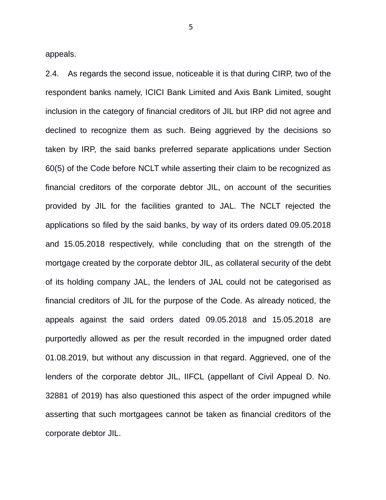appeals.

2.4. As regards the second issue, noticeable it is that during CIRP, two of the respondent banks namely, ICICI Bank Limited and Axis Bank Limited, sought inclusion in the category of financial creditors of JIL but IRP did not agree and declined to recognize them as such. Being aggrieved by the decisions so taken by IRP, the said banks preferred separate applications under Section 60(5) of the Code before NCLT while asserting their claim to be recognized as financial creditors of the corporate debtor JIL, on account of the securities provided by JIL for the facilities granted to JAL. The NCLT rejected the applications so filed by the said banks, by way of its orders dated 09.05.2018 and 15.05.2018 respectively, while concluding that on the strength of the mortgage created by the corporate debtor JIL, as collateral security of the debt of its holding company JAL, the lenders of JAL could not be categorised as financial creditors of JIL for the purpose of the Code. As already noticed, the appeals against the said orders dated 09.05.2018 and 15.05.2018 are purportedly allowed as per the result recorded in the impugned order dated 01.08.2019, but without any discussion in that regard. Aggrieved, one of the lenders of the corporate debtor JIL, IIFCL (appellant of Civil Appeal D. No. 32881 of 2019) has also questioned this aspect of the order impugned while asserting that such mortgagees cannot be taken as financial creditors of the corporate debtor JIL.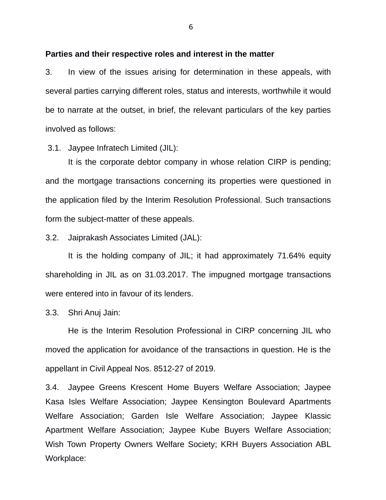#### **Parties and their respective roles and interest in the matter**

3. In view of the issues arising for determination in these appeals, with several parties carrying different roles, status and interests, worthwhile it would be to narrate at the outset, in brief, the relevant particulars of the key parties involved as follows:

3.1. Jaypee Infratech Limited (JIL):

It is the corporate debtor company in whose relation CIRP is pending; and the mortgage transactions concerning its properties were questioned in the application filed by the Interim Resolution Professional. Such transactions form the subject-matter of these appeals.

3.2. Jaiprakash Associates Limited (JAL):

It is the holding company of JIL; it had approximately 71.64% equity shareholding in JIL as on 31.03.2017. The impugned mortgage transactions were entered into in favour of its lenders.

3.3. Shri Anuj Jain:

He is the Interim Resolution Professional in CIRP concerning JIL who moved the application for avoidance of the transactions in question. He is the appellant in Civil Appeal Nos. 8512-27 of 2019.

3.4. Jaypee Greens Krescent Home Buyers Welfare Association; Jaypee Kasa Isles Welfare Association; Jaypee Kensington Boulevard Apartments Welfare Association; Garden Isle Welfare Association; Jaypee Klassic Apartment Welfare Association; Jaypee Kube Buyers Welfare Association; Wish Town Property Owners Welfare Society; KRH Buyers Association ABL Workplace: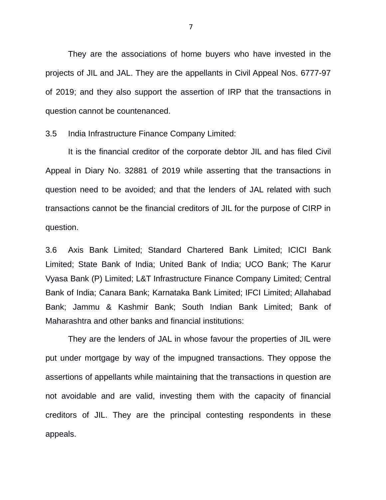They are the associations of home buyers who have invested in the projects of JIL and JAL. They are the appellants in Civil Appeal Nos. 6777-97 of 2019; and they also support the assertion of IRP that the transactions in question cannot be countenanced.

3.5 India Infrastructure Finance Company Limited:

It is the financial creditor of the corporate debtor JIL and has filed Civil Appeal in Diary No. 32881 of 2019 while asserting that the transactions in question need to be avoided; and that the lenders of JAL related with such transactions cannot be the financial creditors of JIL for the purpose of CIRP in question.

3.6 Axis Bank Limited; Standard Chartered Bank Limited; ICICI Bank Limited; State Bank of India; United Bank of India; UCO Bank; The Karur Vyasa Bank (P) Limited; L&T Infrastructure Finance Company Limited; Central Bank of India; Canara Bank; Karnataka Bank Limited; IFCI Limited; Allahabad Bank; Jammu & Kashmir Bank; South Indian Bank Limited; Bank of Maharashtra and other banks and financial institutions:

They are the lenders of JAL in whose favour the properties of JIL were put under mortgage by way of the impugned transactions. They oppose the assertions of appellants while maintaining that the transactions in question are not avoidable and are valid, investing them with the capacity of financial creditors of JIL. They are the principal contesting respondents in these appeals.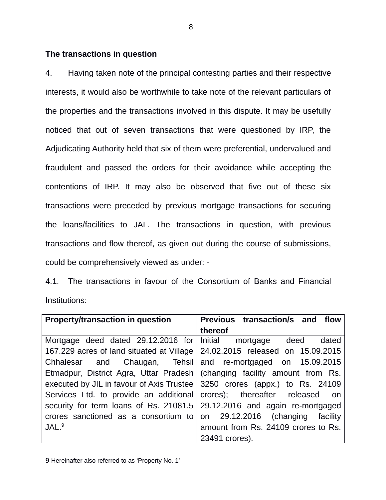# **The transactions in question**

4. Having taken note of the principal contesting parties and their respective interests, it would also be worthwhile to take note of the relevant particulars of the properties and the transactions involved in this dispute. It may be usefully noticed that out of seven transactions that were questioned by IRP, the Adjudicating Authority held that six of them were preferential, undervalued and fraudulent and passed the orders for their avoidance while accepting the contentions of IRP. It may also be observed that five out of these six transactions were preceded by previous mortgage transactions for securing the loans/facilities to JAL. The transactions in question, with previous transactions and flow thereof, as given out during the course of submissions, could be comprehensively viewed as under: -

4.1. The transactions in favour of the Consortium of Banks and Financial Institutions:

| <b>Property/transaction in question</b>                                            | Previous transaction/s and flow     |
|------------------------------------------------------------------------------------|-------------------------------------|
|                                                                                    | thereof                             |
| Mortgage deed dated 29.12.2016 for Initial mortgage deed dated                     |                                     |
| 167.229 acres of land situated at Village                                          | 24.02.2015 released on 15.09.2015   |
| Chhalesar and Chaugan, Tehsil and re-mortgaged on 15.09.2015                       |                                     |
| Etmadpur, District Agra, Uttar Pradesh   (changing facility amount from Rs.        |                                     |
| executed by JIL in favour of Axis Trustee $\vert$ 3250 crores (appx.) to Rs. 24109 |                                     |
| Services Ltd. to provide an additional crores); thereafter released on             |                                     |
| security for term loans of Rs. 21081.5 $\vert$ 29.12.2016 and again re-mortgaged   |                                     |
| crores sanctioned as a consortium to on $29.12.2016$ (changing facility            |                                     |
| JAL. <sup>9</sup>                                                                  | amount from Rs. 24109 crores to Rs. |
|                                                                                    | 23491 crores).                      |

<sup>9</sup> Hereinafter also referred to as 'Property No. 1'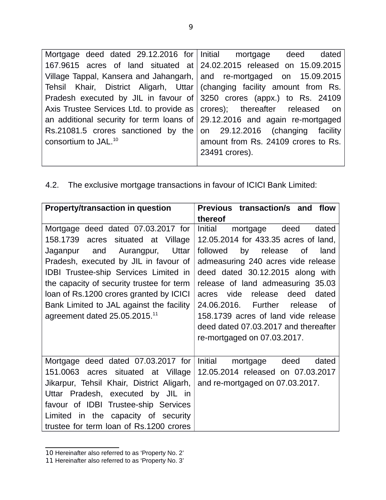| Mortgage deed dated 29.12.2016 for Initial mortgage deed dated                |                                     |
|-------------------------------------------------------------------------------|-------------------------------------|
| 167.9615 acres of land situated at 24.02.2015 released on 15.09.2015          |                                     |
| Village Tappal, Kansera and Jahangarh, and re-mortgaged on 15.09.2015         |                                     |
| Tehsil Khair, District Aligarh, Uttar (changing facility amount from Rs.      |                                     |
| Pradesh executed by JIL in favour of 3250 crores (appx.) to Rs. 24109         |                                     |
| Axis Trustee Services Ltd. to provide as $ $ crores); thereafter released on  |                                     |
| an additional security for term loans of $ 29.12.2016$ and again re-mortgaged |                                     |
| Rs.21081.5 crores sanctioned by the on 29.12.2016 (changing facility          |                                     |
| consortium to JAL. <sup>10</sup>                                              | amount from Rs. 24109 crores to Rs. |
|                                                                               | 23491 crores).                      |
|                                                                               |                                     |

4.2. The exclusive mortgage transactions in favour of ICICI Bank Limited:

| <b>Property/transaction in question</b>                                                                                                                                                                                                                                                                                                                                                  | Previous transaction/s and<br>flow                                                                                                                                                                                                                                                                                                                                                                                                        |  |
|------------------------------------------------------------------------------------------------------------------------------------------------------------------------------------------------------------------------------------------------------------------------------------------------------------------------------------------------------------------------------------------|-------------------------------------------------------------------------------------------------------------------------------------------------------------------------------------------------------------------------------------------------------------------------------------------------------------------------------------------------------------------------------------------------------------------------------------------|--|
|                                                                                                                                                                                                                                                                                                                                                                                          | thereof                                                                                                                                                                                                                                                                                                                                                                                                                                   |  |
| Mortgage deed dated 07.03.2017 for<br>158.1739<br>situated at Village<br>acres<br>and Aurangpur,<br>Uttar<br>Jaganpur<br>Pradesh, executed by JIL in favour of<br><b>IDBI Trustee-ship Services Limited in</b><br>the capacity of security trustee for term<br>loan of Rs.1200 crores granted by ICICI<br>Bank Limited to JAL against the facility<br>agreement dated $25.05.2015.^{11}$ | Initial<br>deed<br>dated<br>mortgage<br>12.05.2014 for 433.35 acres of land,<br>by<br>followed<br>release<br>land<br>0f<br>admeasuring 240 acres vide release<br>deed dated 30.12.2015 along with<br>release of land admeasuring 35.03<br>vide<br>release<br>deed<br>dated<br>acres<br>24.06.2016. Further<br>release<br>Ωf<br>158.1739 acres of land vide release<br>deed dated 07.03.2017 and thereafter<br>re-mortgaged on 07.03.2017. |  |
| Mortgage deed dated 07.03.2017 for<br>151.0063 acres situated at Village<br>Jikarpur, Tehsil Khair, District Aligarh,<br>Uttar Pradesh, executed by JIL in<br>favour of IDBI Trustee-ship Services<br>in the capacity of security<br>Limited<br>trustee for term loan of Rs.1200 crores                                                                                                  | Initial<br>deed<br>mortgage<br>dated<br>12.05.2014 released on 07.03.2017<br>and re-mortgaged on 07.03.2017.                                                                                                                                                                                                                                                                                                                              |  |

<sup>10</sup> Hereinafter also referred to as 'Property No. 2'

<sup>11</sup> Hereinafter also referred to as 'Property No. 3'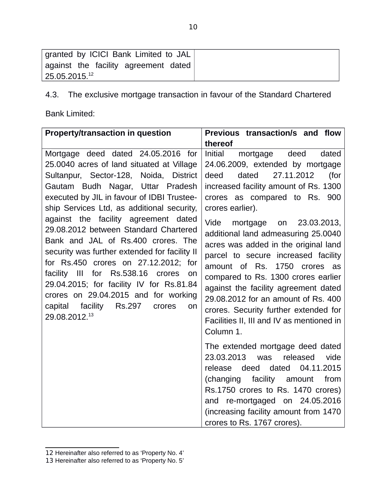| granted by ICICI Bank Limited to JAL |  |
|--------------------------------------|--|
| against the facility agreement dated |  |
| 25.05.2015.12                        |  |

4.3. The exclusive mortgage transaction in favour of the Standard Chartered

Bank Limited:

| <b>Property/transaction in question</b>                                                                                                                                                                                                                                                                                                                                                                                                                                                                                                                                                                                                                                    | Previous transaction/s and flow                                                                                                                                                                                                                                                                                                                                                                                                                                                                                                                                                                                                    |
|----------------------------------------------------------------------------------------------------------------------------------------------------------------------------------------------------------------------------------------------------------------------------------------------------------------------------------------------------------------------------------------------------------------------------------------------------------------------------------------------------------------------------------------------------------------------------------------------------------------------------------------------------------------------------|------------------------------------------------------------------------------------------------------------------------------------------------------------------------------------------------------------------------------------------------------------------------------------------------------------------------------------------------------------------------------------------------------------------------------------------------------------------------------------------------------------------------------------------------------------------------------------------------------------------------------------|
|                                                                                                                                                                                                                                                                                                                                                                                                                                                                                                                                                                                                                                                                            | thereof                                                                                                                                                                                                                                                                                                                                                                                                                                                                                                                                                                                                                            |
| Mortgage deed dated 24.05.2016 for<br>25.0040 acres of land situated at Village<br>Sultanpur, Sector-128, Noida, District<br>Gautam Budh Nagar, Uttar Pradesh<br>executed by JIL in favour of IDBI Trustee-<br>ship Services Ltd, as additional security,<br>against the facility agreement dated<br>29.08.2012 between Standard Chartered<br>Bank and JAL of Rs.400 crores. The<br>security was further extended for facility II<br>for Rs.450 crores on 27.12.2012; for<br>facility III<br>Rs.538.16 crores<br>for<br>on<br>29.04.2015; for facility IV for Rs.81.84<br>crores on 29.04.2015 and for working<br>capital facility Rs.297<br>crores<br>on<br>29.08.2012.13 | Initial<br>mortgage deed<br>dated<br>24.06.2009, extended by mortgage<br>27.11.2012<br>(for<br>deed<br>dated<br>increased facility amount of Rs. 1300<br>crores as compared to Rs. 900<br>crores earlier).<br>Vide<br>mortgage<br>on 23.03.2013,<br>additional land admeasuring 25.0040<br>acres was added in the original land<br>parcel to secure increased facility<br>amount of Rs.<br>1750 crores as<br>compared to Rs. 1300 crores earlier<br>against the facility agreement dated<br>29.08.2012 for an amount of Rs. 400<br>crores. Security further extended for<br>Facilities II, III and IV as mentioned in<br>Column 1. |
|                                                                                                                                                                                                                                                                                                                                                                                                                                                                                                                                                                                                                                                                            | The extended mortgage deed dated<br>23.03.2013<br>released<br>vide<br>was<br>deed dated 04.11.2015<br>release<br>(changing facility amount<br>from<br>Rs.1750 crores to Rs. 1470 crores)<br>and re-mortgaged on 24.05.2016<br>(increasing facility amount from 1470)<br>crores to Rs. 1767 crores).                                                                                                                                                                                                                                                                                                                                |

<sup>12</sup> Hereinafter also referred to as 'Property No. 4'

<sup>13</sup> Hereinafter also referred to as 'Property No. 5'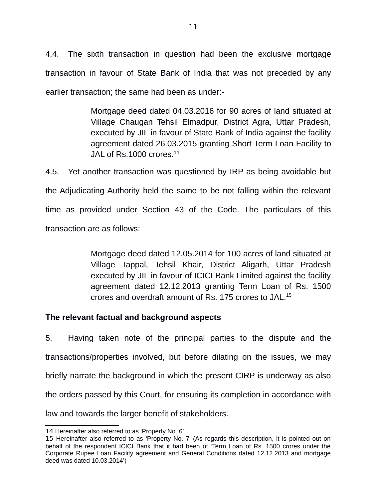4.4. The sixth transaction in question had been the exclusive mortgage transaction in favour of State Bank of India that was not preceded by any earlier transaction; the same had been as under:-

> Mortgage deed dated 04.03.2016 for 90 acres of land situated at Village Chaugan Tehsil Elmadpur, District Agra, Uttar Pradesh, executed by JIL in favour of State Bank of India against the facility agreement dated 26.03.2015 granting Short Term Loan Facility to JAL of  $Rs.1000$  crores.<sup>[14](#page--1-8)</sup>

4.5. Yet another transaction was questioned by IRP as being avoidable but the Adjudicating Authority held the same to be not falling within the relevant time as provided under Section 43 of the Code. The particulars of this transaction are as follows:

> Mortgage deed dated 12.05.2014 for 100 acres of land situated at Village Tappal, Tehsil Khair, District Aligarh, Uttar Pradesh executed by JIL in favour of ICICI Bank Limited against the facility agreement dated 12.12.2013 granting Term Loan of Rs. 1500 crores and overdraft amount of Rs. 175 crores to JAL.[15](#page--1-9)

# **The relevant factual and background aspects**

5. Having taken note of the principal parties to the dispute and the transactions/properties involved, but before dilating on the issues, we may briefly narrate the background in which the present CIRP is underway as also the orders passed by this Court, for ensuring its completion in accordance with law and towards the larger benefit of stakeholders.

<sup>14</sup> Hereinafter also referred to as 'Property No. 6'

<sup>15</sup> Hereinafter also referred to as 'Property No. 7' (As regards this description, it is pointed out on behalf of the respondent ICICI Bank that it had been of 'Term Loan of Rs. 1500 crores under the Corporate Rupee Loan Facility agreement and General Conditions dated 12.12.2013 and mortgage deed was dated 10.03.2014')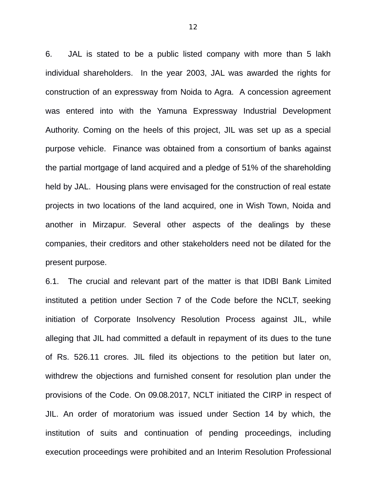6. JAL is stated to be a public listed company with more than 5 lakh individual shareholders. In the year 2003, JAL was awarded the rights for construction of an expressway from Noida to Agra. A concession agreement was entered into with the Yamuna Expressway Industrial Development Authority. Coming on the heels of this project, JIL was set up as a special purpose vehicle. Finance was obtained from a consortium of banks against the partial mortgage of land acquired and a pledge of 51% of the shareholding held by JAL. Housing plans were envisaged for the construction of real estate projects in two locations of the land acquired, one in Wish Town, Noida and another in Mirzapur. Several other aspects of the dealings by these companies, their creditors and other stakeholders need not be dilated for the present purpose.

6.1. The crucial and relevant part of the matter is that IDBI Bank Limited instituted a petition under Section 7 of the Code before the NCLT, seeking initiation of Corporate Insolvency Resolution Process against JIL, while alleging that JIL had committed a default in repayment of its dues to the tune of Rs. 526.11 crores. JIL filed its objections to the petition but later on, withdrew the objections and furnished consent for resolution plan under the provisions of the Code. On 09.08.2017, NCLT initiated the CIRP in respect of JIL. An order of moratorium was issued under Section 14 by which, the institution of suits and continuation of pending proceedings, including execution proceedings were prohibited and an Interim Resolution Professional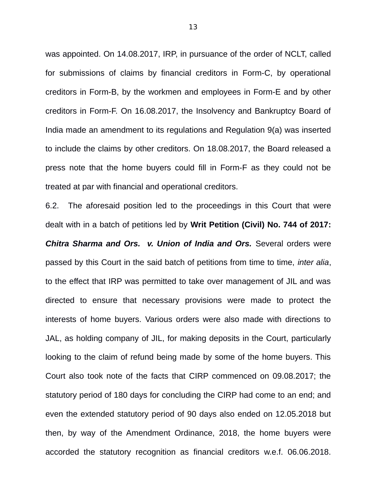was appointed. On 14.08.2017, IRP, in pursuance of the order of NCLT, called for submissions of claims by financial creditors in Form-C, by operational creditors in Form-B, by the workmen and employees in Form-E and by other creditors in Form-F. On 16.08.2017, the Insolvency and Bankruptcy Board of India made an amendment to its regulations and Regulation 9(a) was inserted to include the claims by other creditors. On 18.08.2017, the Board released a press note that the home buyers could fill in Form-F as they could not be treated at par with financial and operational creditors.

6.2. The aforesaid position led to the proceedings in this Court that were dealt with in a batch of petitions led by **Writ Petition (Civil) No. 744 of 2017:** *Chitra Sharma and Ors. v. Union of India and Ors.* Several orders were passed by this Court in the said batch of petitions from time to time, *inter alia*, to the effect that IRP was permitted to take over management of JIL and was directed to ensure that necessary provisions were made to protect the interests of home buyers. Various orders were also made with directions to JAL, as holding company of JIL, for making deposits in the Court, particularly looking to the claim of refund being made by some of the home buyers. This Court also took note of the facts that CIRP commenced on 09.08.2017; the statutory period of 180 days for concluding the CIRP had come to an end; and even the extended statutory period of 90 days also ended on 12.05.2018 but then, by way of the Amendment Ordinance, 2018, the home buyers were accorded the statutory recognition as financial creditors w.e.f. 06.06.2018.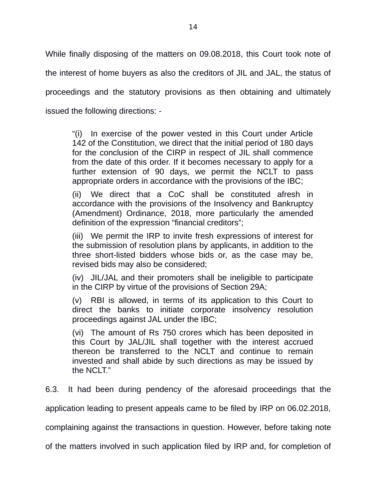While finally disposing of the matters on 09.08.2018, this Court took note of the interest of home buyers as also the creditors of JIL and JAL, the status of proceedings and the statutory provisions as then obtaining and ultimately issued the following directions: -

"(i) In exercise of the power vested in this Court under Article 142 of the Constitution, we direct that the initial period of 180 days for the conclusion of the CIRP in respect of JIL shall commence from the date of this order. If it becomes necessary to apply for a further extension of 90 days, we permit the NCLT to pass appropriate orders in accordance with the provisions of the IBC;

(ii) We direct that a CoC shall be constituted afresh in accordance with the provisions of the Insolvency and Bankruptcy (Amendment) Ordinance, 2018, more particularly the amended definition of the expression "financial creditors";

(iii) We permit the IRP to invite fresh expressions of interest for the submission of resolution plans by applicants, in addition to the three short-listed bidders whose bids or, as the case may be, revised bids may also be considered;

(iv) JIL/JAL and their promoters shall be ineligible to participate in the CIRP by virtue of the provisions of Section 29A;

(v) RBI is allowed, in terms of its application to this Court to direct the banks to initiate corporate insolvency resolution proceedings against JAL under the IBC;

(vi) The amount of Rs 750 crores which has been deposited in this Court by JAL/JIL shall together with the interest accrued thereon be transferred to the NCLT and continue to remain invested and shall abide by such directions as may be issued by the NCLT."

6.3. It had been during pendency of the aforesaid proceedings that the

application leading to present appeals came to be filed by IRP on 06.02.2018,

complaining against the transactions in question. However, before taking note

of the matters involved in such application filed by IRP and, for completion of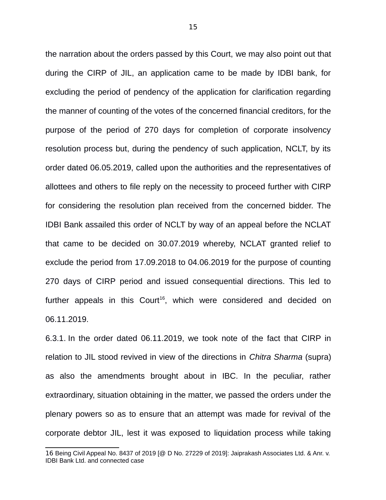the narration about the orders passed by this Court, we may also point out that during the CIRP of JIL, an application came to be made by IDBI bank, for excluding the period of pendency of the application for clarification regarding the manner of counting of the votes of the concerned financial creditors, for the purpose of the period of 270 days for completion of corporate insolvency resolution process but, during the pendency of such application, NCLT, by its order dated 06.05.2019, called upon the authorities and the representatives of allottees and others to file reply on the necessity to proceed further with CIRP for considering the resolution plan received from the concerned bidder. The IDBI Bank assailed this order of NCLT by way of an appeal before the NCLAT that came to be decided on 30.07.2019 whereby, NCLAT granted relief to exclude the period from 17.09.2018 to 04.06.2019 for the purpose of counting 270 days of CIRP period and issued consequential directions. This led to further appeals in this  $Count^{16}$  $Count^{16}$  $Count^{16}$ , which were considered and decided on 06.11.2019.

6.3.1. In the order dated 06.11.2019, we took note of the fact that CIRP in relation to JIL stood revived in view of the directions in *Chitra Sharma* (supra) as also the amendments brought about in IBC. In the peculiar, rather extraordinary, situation obtaining in the matter, we passed the orders under the plenary powers so as to ensure that an attempt was made for revival of the corporate debtor JIL, lest it was exposed to liquidation process while taking

<sup>16</sup> Being Civil Appeal No. 8437 of 2019 [@ D No. 27229 of 2019]: Jaiprakash Associates Ltd. & Anr. v. IDBI Bank Ltd. and connected case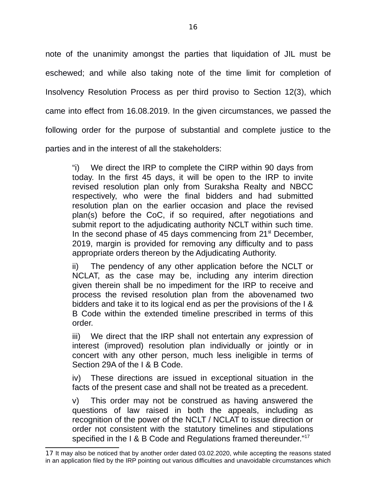note of the unanimity amongst the parties that liquidation of JIL must be eschewed; and while also taking note of the time limit for completion of Insolvency Resolution Process as per third proviso to Section 12(3), which came into effect from 16.08.2019. In the given circumstances, we passed the following order for the purpose of substantial and complete justice to the parties and in the interest of all the stakeholders:

"i) We direct the IRP to complete the CIRP within 90 days from today. In the first 45 days, it will be open to the IRP to invite revised resolution plan only from Suraksha Realty and NBCC respectively, who were the final bidders and had submitted resolution plan on the earlier occasion and place the revised plan(s) before the CoC, if so required, after negotiations and submit report to the adjudicating authority NCLT within such time. In the second phase of 45 days commencing from  $21<sup>st</sup>$  December, 2019, margin is provided for removing any difficulty and to pass appropriate orders thereon by the Adjudicating Authority.

ii) The pendency of any other application before the NCLT or NCLAT, as the case may be, including any interim direction given therein shall be no impediment for the IRP to receive and process the revised resolution plan from the abovenamed two bidders and take it to its logical end as per the provisions of the I & B Code within the extended timeline prescribed in terms of this order.

iii) We direct that the IRP shall not entertain any expression of interest (improved) resolution plan individually or jointly or in concert with any other person, much less ineligible in terms of Section 29A of the I & B Code.

iv) These directions are issued in exceptional situation in the facts of the present case and shall not be treated as a precedent.

v) This order may not be construed as having answered the questions of law raised in both the appeals, including as recognition of the power of the NCLT / NCLAT to issue direction or order not consistent with the statutory timelines and stipulations specified in the I & B Code and Regulations framed thereunder."<sup>[17](#page--1-6)</sup>

<sup>17</sup> It may also be noticed that by another order dated 03.02.2020, while accepting the reasons stated in an application filed by the IRP pointing out various difficulties and unavoidable circumstances which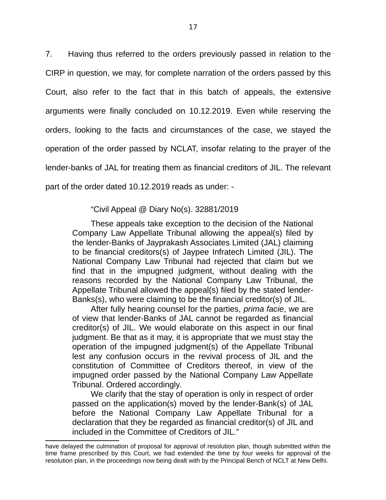7. Having thus referred to the orders previously passed in relation to the CIRP in question, we may, for complete narration of the orders passed by this Court, also refer to the fact that in this batch of appeals, the extensive arguments were finally concluded on 10.12.2019. Even while reserving the orders, looking to the facts and circumstances of the case, we stayed the operation of the order passed by NCLAT, insofar relating to the prayer of the lender-banks of JAL for treating them as financial creditors of JIL. The relevant part of the order dated 10.12.2019 reads as under: -

#### "Civil Appeal @ Diary No(s). 32881/2019

These appeals take exception to the decision of the National Company Law Appellate Tribunal allowing the appeal(s) filed by the lender-Banks of Jayprakash Associates Limited (JAL) claiming to be financial creditors(s) of Jaypee Infratech Limited (JIL). The National Company Law Tribunal had rejected that claim but we find that in the impugned judgment, without dealing with the reasons recorded by the National Company Law Tribunal, the Appellate Tribunal allowed the appeal(s) filed by the stated lender-Banks(s), who were claiming to be the financial creditor(s) of JIL.

After fully hearing counsel for the parties, *prima facie*, we are of view that lender-Banks of JAL cannot be regarded as financial creditor(s) of JIL. We would elaborate on this aspect in our final judgment. Be that as it may, it is appropriate that we must stay the operation of the impugned judgment(s) of the Appellate Tribunal lest any confusion occurs in the revival process of JIL and the constitution of Committee of Creditors thereof, in view of the impugned order passed by the National Company Law Appellate Tribunal. Ordered accordingly.

We clarify that the stay of operation is only in respect of order passed on the application(s) moved by the lender-Bank(s) of JAL before the National Company Law Appellate Tribunal for a declaration that they be regarded as financial creditor(s) of JIL and included in the Committee of Creditors of JIL."

have delayed the culmination of proposal for approval of resolution plan, though submitted within the time frame prescribed by this Court, we had extended the time by four weeks for approval of the resolution plan, in the proceedings now being dealt with by the Principal Bench of NCLT at New Delhi.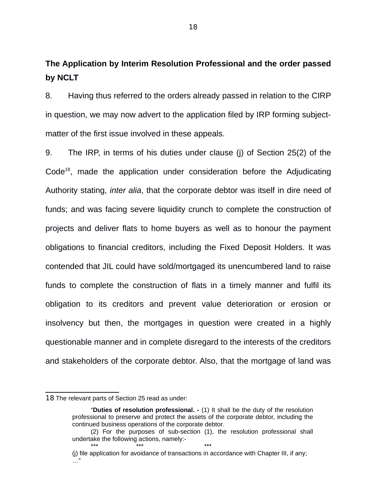**The Application by Interim Resolution Professional and the order passed by NCLT**

8. Having thus referred to the orders already passed in relation to the CIRP in question, we may now advert to the application filed by IRP forming subjectmatter of the first issue involved in these appeals.

9. The IRP, in terms of his duties under clause (j) of Section 25(2) of the  $Code<sup>18</sup>$  $Code<sup>18</sup>$  $Code<sup>18</sup>$ , made the application under consideration before the Adjudicating Authority stating, *inter alia*, that the corporate debtor was itself in dire need of funds; and was facing severe liquidity crunch to complete the construction of projects and deliver flats to home buyers as well as to honour the payment obligations to financial creditors, including the Fixed Deposit Holders. It was contended that JIL could have sold/mortgaged its unencumbered land to raise funds to complete the construction of flats in a timely manner and fulfil its obligation to its creditors and prevent value deterioration or erosion or insolvency but then, the mortgages in question were created in a highly questionable manner and in complete disregard to the interests of the creditors and stakeholders of the corporate debtor. Also, that the mortgage of land was

\*\*\* \*\*\* \*\*\* \*\*\* \*\*\* \*\*\*

<sup>18</sup> The relevant parts of Section 25 read as under:

<sup>&</sup>quot;**Duties of resolution professional. -** (1) It shall be the duty of the resolution professional to preserve and protect the assets of the corporate debtor, including the continued business operations of the corporate debtor.

<sup>(2)</sup> For the purposes of sub-section (1), the resolution professional shall undertake the following actions, namely:-

<sup>(</sup>j) file application for avoidance of transactions in accordance with Chapter III, if any; …"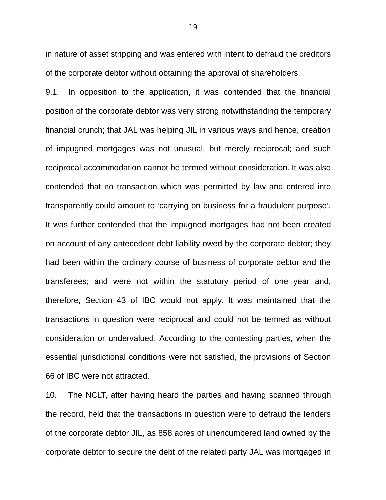in nature of asset stripping and was entered with intent to defraud the creditors of the corporate debtor without obtaining the approval of shareholders.

9.1. In opposition to the application, it was contended that the financial position of the corporate debtor was very strong notwithstanding the temporary financial crunch; that JAL was helping JIL in various ways and hence, creation of impugned mortgages was not unusual, but merely reciprocal; and such reciprocal accommodation cannot be termed without consideration. It was also contended that no transaction which was permitted by law and entered into transparently could amount to 'carrying on business for a fraudulent purpose'. It was further contended that the impugned mortgages had not been created on account of any antecedent debt liability owed by the corporate debtor; they had been within the ordinary course of business of corporate debtor and the transferees; and were not within the statutory period of one year and, therefore, Section 43 of IBC would not apply. It was maintained that the transactions in question were reciprocal and could not be termed as without consideration or undervalued. According to the contesting parties, when the essential jurisdictional conditions were not satisfied, the provisions of Section 66 of IBC were not attracted.

10. The NCLT, after having heard the parties and having scanned through the record, held that the transactions in question were to defraud the lenders of the corporate debtor JIL, as 858 acres of unencumbered land owned by the corporate debtor to secure the debt of the related party JAL was mortgaged in

19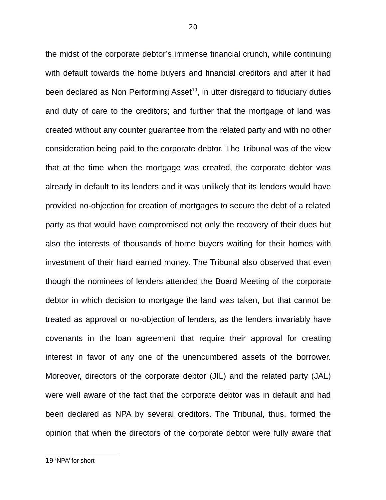the midst of the corporate debtor's immense financial crunch, while continuing with default towards the home buyers and financial creditors and after it had been declared as Non Performing  $\text{ Asset}^{19}$  $\text{ Asset}^{19}$  $\text{ Asset}^{19}$ , in utter disregard to fiduciary duties and duty of care to the creditors; and further that the mortgage of land was created without any counter guarantee from the related party and with no other consideration being paid to the corporate debtor. The Tribunal was of the view that at the time when the mortgage was created, the corporate debtor was already in default to its lenders and it was unlikely that its lenders would have provided no-objection for creation of mortgages to secure the debt of a related party as that would have compromised not only the recovery of their dues but also the interests of thousands of home buyers waiting for their homes with investment of their hard earned money. The Tribunal also observed that even though the nominees of lenders attended the Board Meeting of the corporate debtor in which decision to mortgage the land was taken, but that cannot be treated as approval or no-objection of lenders, as the lenders invariably have covenants in the loan agreement that require their approval for creating interest in favor of any one of the unencumbered assets of the borrower. Moreover, directors of the corporate debtor (JIL) and the related party (JAL) were well aware of the fact that the corporate debtor was in default and had been declared as NPA by several creditors. The Tribunal, thus, formed the opinion that when the directors of the corporate debtor were fully aware that

19 'NPA' for short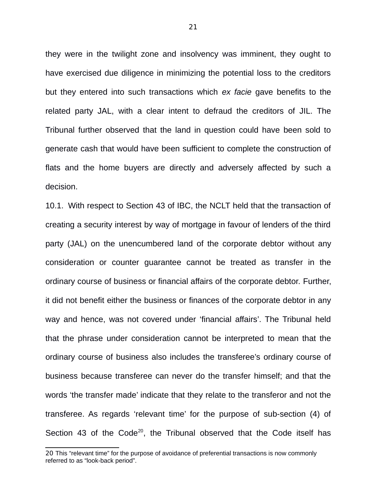they were in the twilight zone and insolvency was imminent, they ought to have exercised due diligence in minimizing the potential loss to the creditors but they entered into such transactions which *ex facie* gave benefits to the related party JAL, with a clear intent to defraud the creditors of JIL. The Tribunal further observed that the land in question could have been sold to generate cash that would have been sufficient to complete the construction of flats and the home buyers are directly and adversely affected by such a decision.

10.1. With respect to Section 43 of IBC, the NCLT held that the transaction of creating a security interest by way of mortgage in favour of lenders of the third party (JAL) on the unencumbered land of the corporate debtor without any consideration or counter guarantee cannot be treated as transfer in the ordinary course of business or financial affairs of the corporate debtor. Further, it did not benefit either the business or finances of the corporate debtor in any way and hence, was not covered under 'financial affairs'. The Tribunal held that the phrase under consideration cannot be interpreted to mean that the ordinary course of business also includes the transferee's ordinary course of business because transferee can never do the transfer himself; and that the words 'the transfer made' indicate that they relate to the transferor and not the transferee. As regards 'relevant time' for the purpose of sub-section (4) of Section 43 of the Code<sup>[20](#page--1-6)</sup>, the Tribunal observed that the Code itself has

<sup>20</sup> This "relevant time" for the purpose of avoidance of preferential transactions is now commonly referred to as "look-back period".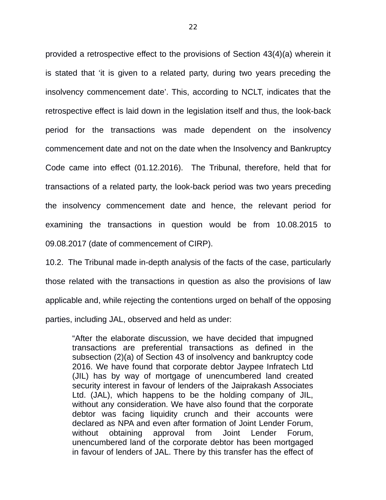provided a retrospective effect to the provisions of Section 43(4)(a) wherein it is stated that 'it is given to a related party, during two years preceding the insolvency commencement date'. This, according to NCLT, indicates that the retrospective effect is laid down in the legislation itself and thus, the look-back period for the transactions was made dependent on the insolvency commencement date and not on the date when the Insolvency and Bankruptcy Code came into effect (01.12.2016). The Tribunal, therefore, held that for transactions of a related party, the look-back period was two years preceding the insolvency commencement date and hence, the relevant period for examining the transactions in question would be from 10.08.2015 to 09.08.2017 (date of commencement of CIRP).

10.2. The Tribunal made in-depth analysis of the facts of the case, particularly those related with the transactions in question as also the provisions of law applicable and, while rejecting the contentions urged on behalf of the opposing parties, including JAL, observed and held as under:

"After the elaborate discussion, we have decided that impugned transactions are preferential transactions as defined in the subsection (2)(a) of Section 43 of insolvency and bankruptcy code 2016. We have found that corporate debtor Jaypee Infratech Ltd (JIL) has by way of mortgage of unencumbered land created security interest in favour of lenders of the Jaiprakash Associates Ltd. (JAL), which happens to be the holding company of JIL, without any consideration. We have also found that the corporate debtor was facing liquidity crunch and their accounts were declared as NPA and even after formation of Joint Lender Forum, without obtaining approval from Joint Lender Forum, unencumbered land of the corporate debtor has been mortgaged in favour of lenders of JAL. There by this transfer has the effect of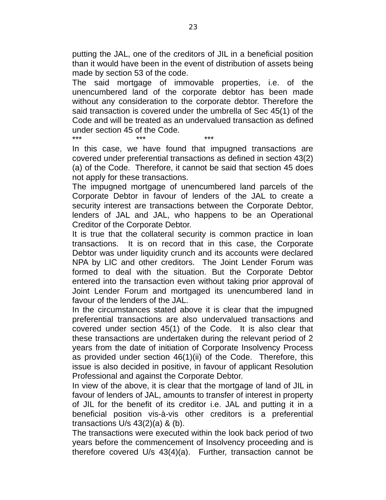putting the JAL, one of the creditors of JIL in a beneficial position than it would have been in the event of distribution of assets being made by section 53 of the code.

The said mortgage of immovable properties, i.e. of the unencumbered land of the corporate debtor has been made without any consideration to the corporate debtor. Therefore the said transaction is covered under the umbrella of Sec 45(1) of the Code and will be treated as an undervalued transaction as defined under section 45 of the Code.

\*\*\* \*\*\* \*\*\*

In this case, we have found that impugned transactions are covered under preferential transactions as defined in section 43(2) (a) of the Code. Therefore, it cannot be said that section 45 does not apply for these transactions.

The impugned mortgage of unencumbered land parcels of the Corporate Debtor in favour of lenders of the JAL to create a security interest are transactions between the Corporate Debtor, lenders of JAL and JAL, who happens to be an Operational Creditor of the Corporate Debtor.

It is true that the collateral security is common practice in loan transactions. It is on record that in this case, the Corporate Debtor was under liquidity crunch and its accounts were declared NPA by LIC and other creditors. The Joint Lender Forum was formed to deal with the situation. But the Corporate Debtor entered into the transaction even without taking prior approval of Joint Lender Forum and mortgaged its unencumbered land in favour of the lenders of the JAL.

In the circumstances stated above it is clear that the impugned preferential transactions are also undervalued transactions and covered under section 45(1) of the Code. It is also clear that these transactions are undertaken during the relevant period of 2 years from the date of initiation of Corporate Insolvency Process as provided under section 46(1)(ii) of the Code. Therefore, this issue is also decided in positive, in favour of applicant Resolution Professional and against the Corporate Debtor.

In view of the above, it is clear that the mortgage of land of JIL in favour of lenders of JAL, amounts to transfer of interest in property of JIL for the benefit of its creditor i.e. JAL and putting it in a beneficial position vis-à-vis other creditors is a preferential transactions  $U/s$  43(2)(a) & (b).

The transactions were executed within the look back period of two years before the commencement of Insolvency proceeding and is therefore covered U/s 43(4)(a). Further, transaction cannot be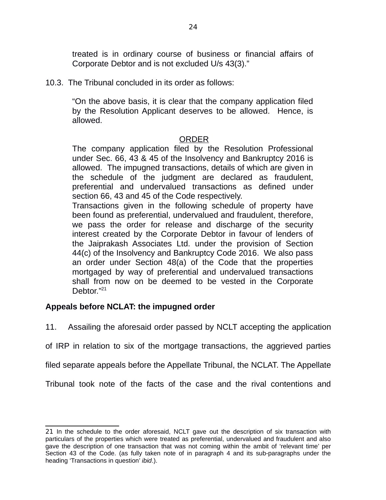treated is in ordinary course of business or financial affairs of Corporate Debtor and is not excluded U/s 43(3)."

10.3. The Tribunal concluded in its order as follows:

"On the above basis, it is clear that the company application filed by the Resolution Applicant deserves to be allowed. Hence, is allowed.

#### ORDER

The company application filed by the Resolution Professional under Sec. 66, 43 & 45 of the Insolvency and Bankruptcy 2016 is allowed. The impugned transactions, details of which are given in the schedule of the judgment are declared as fraudulent, preferential and undervalued transactions as defined under section 66, 43 and 45 of the Code respectively.

Transactions given in the following schedule of property have been found as preferential, undervalued and fraudulent, therefore, we pass the order for release and discharge of the security interest created by the Corporate Debtor in favour of lenders of the Jaiprakash Associates Ltd. under the provision of Section 44(c) of the Insolvency and Bankruptcy Code 2016. We also pass an order under Section 48(a) of the Code that the properties mortgaged by way of preferential and undervalued transactions shall from now on be deemed to be vested in the Corporate Debtor."<sup>[21](#page--1-8)</sup>

# **Appeals before NCLAT: the impugned order**

11. Assailing the aforesaid order passed by NCLT accepting the application

of IRP in relation to six of the mortgage transactions, the aggrieved parties

filed separate appeals before the Appellate Tribunal, the NCLAT. The Appellate

Tribunal took note of the facts of the case and the rival contentions and

<sup>21</sup> In the schedule to the order aforesaid, NCLT gave out the description of six transaction with particulars of the properties which were treated as preferential, undervalued and fraudulent and also gave the description of one transaction that was not coming within the ambit of 'relevant time' per Section 43 of the Code. (as fully taken note of in paragraph 4 and its sub-paragraphs under the heading 'Transactions in question' *ibid*.).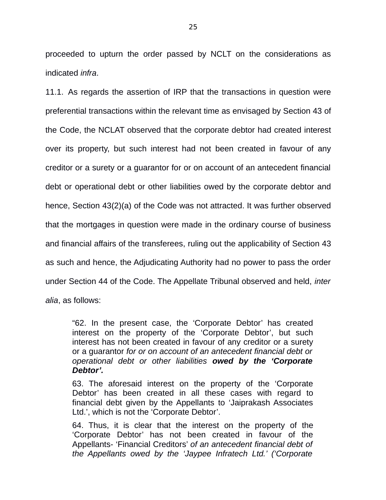proceeded to upturn the order passed by NCLT on the considerations as indicated *infra*.

11.1. As regards the assertion of IRP that the transactions in question were preferential transactions within the relevant time as envisaged by Section 43 of the Code, the NCLAT observed that the corporate debtor had created interest over its property, but such interest had not been created in favour of any creditor or a surety or a guarantor for or on account of an antecedent financial debt or operational debt or other liabilities owed by the corporate debtor and hence, Section 43(2)(a) of the Code was not attracted. It was further observed that the mortgages in question were made in the ordinary course of business and financial affairs of the transferees, ruling out the applicability of Section 43 as such and hence, the Adjudicating Authority had no power to pass the order under Section 44 of the Code. The Appellate Tribunal observed and held, *inter alia*, as follows:

"62. In the present case, the 'Corporate Debtor' has created interest on the property of the 'Corporate Debtor', but such interest has not been created in favour of any creditor or a surety or a guarantor *for or on account of an antecedent financial debt or operational debt or other liabilities owed by the 'Corporate Debtor'.*

63. The aforesaid interest on the property of the 'Corporate Debtor' has been created in all these cases with regard to financial debt given by the Appellants to 'Jaiprakash Associates Ltd.', which is not the 'Corporate Debtor'.

64. Thus, it is clear that the interest on the property of the 'Corporate Debtor' has not been created in favour of the Appellants- 'Financial Creditors' *of an antecedent financial debt of the Appellants owed by the 'Jaypee Infratech Ltd.' ('Corporate*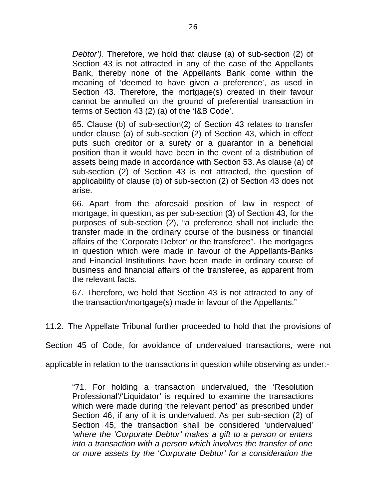*Debtor')*. Therefore, we hold that clause (a) of sub-section (2) of Section 43 is not attracted in any of the case of the Appellants Bank, thereby none of the Appellants Bank come within the meaning of 'deemed to have given a preference', as used in Section 43. Therefore, the mortgage(s) created in their favour cannot be annulled on the ground of preferential transaction in terms of Section 43 (2) (a) of the 'I&B Code'.

65. Clause (b) of sub-section(2) of Section 43 relates to transfer under clause (a) of sub-section (2) of Section 43, which in effect puts such creditor or a surety or a guarantor in a beneficial position than it would have been in the event of a distribution of assets being made in accordance with Section 53. As clause (a) of sub-section (2) of Section 43 is not attracted, the question of applicability of clause (b) of sub-section (2) of Section 43 does not arise.

66. Apart from the aforesaid position of law in respect of mortgage, in question, as per sub-section (3) of Section 43, for the purposes of sub-section (2), "a preference shall not include the transfer made in the ordinary course of the business or financial affairs of the 'Corporate Debtor' or the transferee". The mortgages in question which were made in favour of the Appellants-Banks and Financial Institutions have been made in ordinary course of business and financial affairs of the transferee, as apparent from the relevant facts.

67. Therefore, we hold that Section 43 is not attracted to any of the transaction/mortgage(s) made in favour of the Appellants."

11.2. The Appellate Tribunal further proceeded to hold that the provisions of

Section 45 of Code, for avoidance of undervalued transactions, were not

applicable in relation to the transactions in question while observing as under:-

"71. For holding a transaction undervalued, the 'Resolution Professional'/'Liquidator' is required to examine the transactions which were made during 'the relevant period' as prescribed under Section 46, if any of it is undervalued. As per sub-section (2) of Section 45, the transaction shall be considered 'undervalued' *'where the 'Corporate Debtor' makes a gift to a person or enters into a transaction with a person which involves the transfer of one or more assets by the* '*Corporate Debtor' for a consideration the*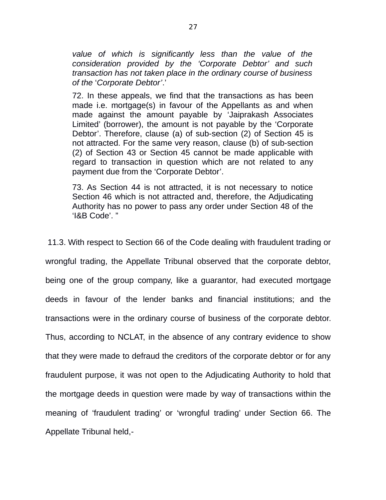*value of which is significantly less than the value of the consideration provided by the 'Corporate Debtor' and such transaction has not taken place in the ordinary course of business of the* '*Corporate Debtor'*.'

72. In these appeals, we find that the transactions as has been made i.e. mortgage(s) in favour of the Appellants as and when made against the amount payable by 'Jaiprakash Associates Limited' (borrower), the amount is not payable by the 'Corporate Debtor'. Therefore, clause (a) of sub-section (2) of Section 45 is not attracted. For the same very reason, clause (b) of sub-section (2) of Section 43 or Section 45 cannot be made applicable with regard to transaction in question which are not related to any payment due from the 'Corporate Debtor'.

73. As Section 44 is not attracted, it is not necessary to notice Section 46 which is not attracted and, therefore, the Adjudicating Authority has no power to pass any order under Section 48 of the 'I&B Code'. "

 11.3. With respect to Section 66 of the Code dealing with fraudulent trading or wrongful trading, the Appellate Tribunal observed that the corporate debtor, being one of the group company, like a guarantor, had executed mortgage deeds in favour of the lender banks and financial institutions; and the transactions were in the ordinary course of business of the corporate debtor. Thus, according to NCLAT, in the absence of any contrary evidence to show that they were made to defraud the creditors of the corporate debtor or for any fraudulent purpose, it was not open to the Adjudicating Authority to hold that the mortgage deeds in question were made by way of transactions within the meaning of 'fraudulent trading' or 'wrongful trading' under Section 66. The Appellate Tribunal held,-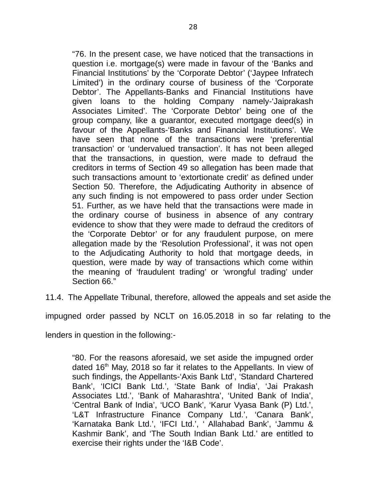"76. In the present case, we have noticed that the transactions in question i.e. mortgage(s) were made in favour of the 'Banks and Financial Institutions' by the 'Corporate Debtor' ('Jaypee Infratech Limited') in the ordinary course of business of the 'Corporate Debtor'. The Appellants-Banks and Financial Institutions have given loans to the holding Company namely-'Jaiprakash Associates Limited'. The 'Corporate Debtor' being one of the group company, like a guarantor, executed mortgage deed(s) in favour of the Appellants-'Banks and Financial Institutions'. We have seen that none of the transactions were 'preferential transaction' or 'undervalued transaction'. It has not been alleged that the transactions, in question, were made to defraud the creditors in terms of Section 49 so allegation has been made that such transactions amount to 'extortionate credit' as defined under Section 50. Therefore, the Adjudicating Authority in absence of any such finding is not empowered to pass order under Section 51. Further, as we have held that the transactions were made in the ordinary course of business in absence of any contrary evidence to show that they were made to defraud the creditors of the 'Corporate Debtor' or for any fraudulent purpose, on mere allegation made by the 'Resolution Professional', it was not open to the Adjudicating Authority to hold that mortgage deeds, in question, were made by way of transactions which come within the meaning of 'fraudulent trading' or 'wrongful trading' under Section 66."

11.4. The Appellate Tribunal, therefore, allowed the appeals and set aside the

impugned order passed by NCLT on 16.05.2018 in so far relating to the

lenders in question in the following:-

"80. For the reasons aforesaid, we set aside the impugned order dated  $16<sup>th</sup>$  May, 2018 so far it relates to the Appellants. In view of such findings, the Appellants-'Axis Bank Ltd', 'Standard Chartered Bank', 'ICICI Bank Ltd.', 'State Bank of India', 'Jai Prakash Associates Ltd.', 'Bank of Maharashtra', 'United Bank of India', 'Central Bank of India', 'UCO Bank', 'Karur Vyasa Bank (P) Ltd.', 'L&T Infrastructure Finance Company Ltd.', 'Canara Bank', 'Karnataka Bank Ltd.', 'IFCI Ltd.', ' Allahabad Bank', 'Jammu & Kashmir Bank', and 'The South Indian Bank Ltd.' are entitled to exercise their rights under the 'I&B Code'.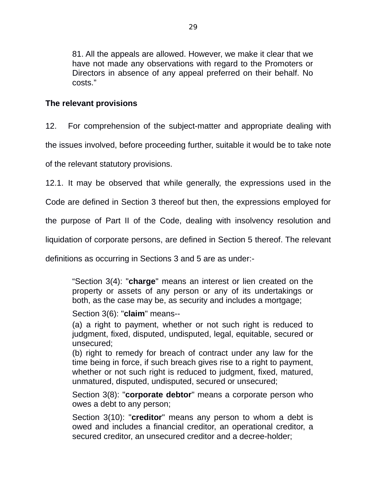81. All the appeals are allowed. However, we make it clear that we have not made any observations with regard to the Promoters or Directors in absence of any appeal preferred on their behalf. No costs."

# **The relevant provisions**

12. For comprehension of the subject-matter and appropriate dealing with

the issues involved, before proceeding further, suitable it would be to take note

of the relevant statutory provisions.

12.1. It may be observed that while generally, the expressions used in the

Code are defined in Section 3 thereof but then, the expressions employed for

the purpose of Part II of the Code, dealing with insolvency resolution and

liquidation of corporate persons, are defined in Section 5 thereof. The relevant

definitions as occurring in Sections 3 and 5 are as under:-

"Section 3(4): "**charge**" means an interest or lien created on the property or assets of any person or any of its undertakings or both, as the case may be, as security and includes a mortgage;

Section 3(6): "**claim**" means--

(a) a right to payment, whether or not such right is reduced to judgment, fixed, disputed, undisputed, legal, equitable, secured or unsecured;

(b) right to remedy for breach of contract under any law for the time being in force, if such breach gives rise to a right to payment, whether or not such right is reduced to judgment, fixed, matured, unmatured, disputed, undisputed, secured or unsecured;

Section 3(8): "**corporate debtor**" means a corporate person who owes a debt to any person;

Section 3(10): "**creditor**" means any person to whom a debt is owed and includes a financial creditor, an operational creditor, a secured creditor, an unsecured creditor and a decree-holder;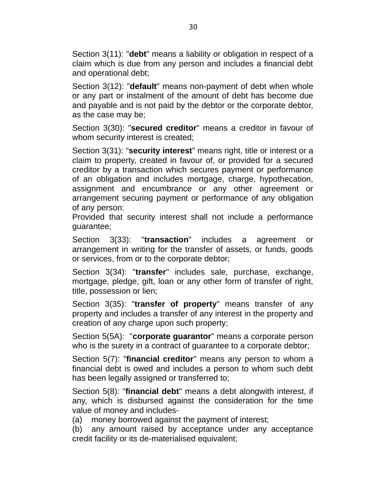Section 3(11): "**debt**" means a liability or obligation in respect of a claim which is due from any person and includes a financial debt and operational debt;

Section 3(12): "**default**" means non-payment of debt when whole or any part or instalment of the amount of debt has become due and payable and is not paid by the debtor or the corporate debtor, as the case may be;

Section 3(30): "**secured creditor**" means a creditor in favour of whom security interest is created;

Section 3(31): "**security interest**" means right, title or interest or a claim to property, created in favour of, or provided for a secured creditor by a transaction which secures payment or performance of an obligation and includes mortgage, charge, hypothecation, assignment and encumbrance or any other agreement or arrangement securing payment or performance of any obligation of any person:

Provided that security interest shall not include a performance guarantee;

Section 3(33): "**transaction**" includes a agreement or arrangement in writing for the transfer of assets, or funds, goods or services, from or to the corporate debtor;

Section 3(34): "**transfer**" includes sale, purchase, exchange, mortgage, pledge, gift, loan or any other form of transfer of right, title, possession or lien;

Section 3(35): "**transfer of property**" means transfer of any property and includes a transfer of any interest in the property and creation of any charge upon such property;

Section 5(5A): "**corporate guarantor**" means a corporate person who is the surety in a contract of guarantee to a corporate debtor;

Section 5(7): "**financial creditor**" means any person to whom a financial debt is owed and includes a person to whom such debt has been legally assigned or transferred to;

Section 5(8): "**financial debt**" means a debt alongwith interest, if any, which is disbursed against the consideration for the time value of money and includes-

(a) money borrowed against the payment of interest;

(b) any amount raised by acceptance under any acceptance credit facility or its de-materialised equivalent;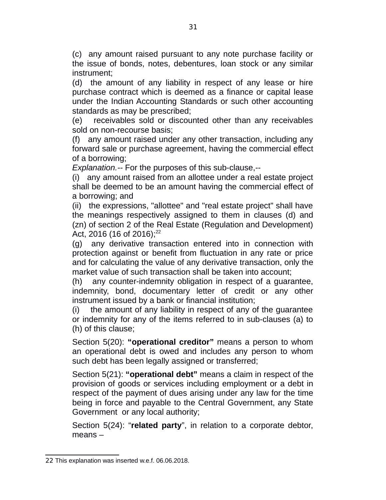(c) any amount raised pursuant to any note purchase facility or the issue of bonds, notes, debentures, loan stock or any similar instrument;

(d) the amount of any liability in respect of any lease or hire purchase contract which is deemed as a finance or capital lease under the Indian Accounting Standards or such other accounting standards as may be prescribed;

(e) receivables sold or discounted other than any receivables sold on non-recourse basis;

(f) any amount raised under any other transaction, including any forward sale or purchase agreement, having the commercial effect of a borrowing;

*Explanation.--* For the purposes of this sub-clause,--

(i) any amount raised from an allottee under a real estate project shall be deemed to be an amount having the commercial effect of a borrowing; and

(ii) the expressions, "allottee" and "real estate project" shall have the meanings respectively assigned to them in clauses (d) and (zn) of section 2 of the Real Estate (Regulation and Development) Act, 2016 (16 of 2016);<sup>[22](#page--1-7)</sup>

(g) any derivative transaction entered into in connection with protection against or benefit from fluctuation in any rate or price and for calculating the value of any derivative transaction, only the market value of such transaction shall be taken into account;

(h) any counter-indemnity obligation in respect of a guarantee, indemnity, bond, documentary letter of credit or any other instrument issued by a bank or financial institution;

(i) the amount of any liability in respect of any of the guarantee or indemnity for any of the items referred to in sub-clauses (a) to (h) of this clause;

Section 5(20): **"operational creditor"** means a person to whom an operational debt is owed and includes any person to whom such debt has been legally assigned or transferred;

Section 5(21): **"operational debt"** means a claim in respect of the provision of goods or services including employment or a debt in respect of the payment of dues arising under any law for the time being in force and payable to the Central Government, any State Government or any local authority;

Section 5(24): "**related party**", in relation to a corporate debtor, means –

<sup>22</sup> This explanation was inserted w.e.f. 06.06.2018.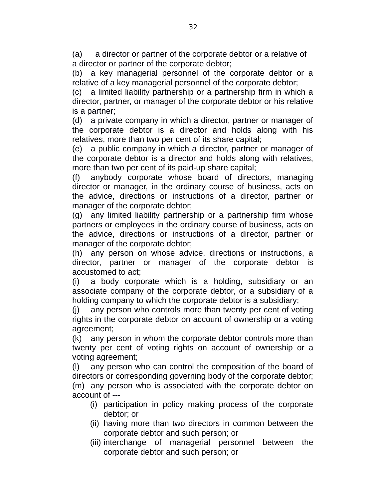(a) a director or partner of the corporate debtor or a relative of a director or partner of the corporate debtor;

(b) a key managerial personnel of the corporate debtor or a relative of a key managerial personnel of the corporate debtor;

(c) a limited liability partnership or a partnership firm in which a director, partner, or manager of the corporate debtor or his relative is a partner;

(d) a private company in which a director, partner or manager of the corporate debtor is a director and holds along with his relatives, more than two per cent of its share capital;

(e) a public company in which a director, partner or manager of the corporate debtor is a director and holds along with relatives, more than two per cent of its paid-up share capital;

(f) anybody corporate whose board of directors, managing director or manager, in the ordinary course of business, acts on the advice, directions or instructions of a director, partner or manager of the corporate debtor;

(g) any limited liability partnership or a partnership firm whose partners or employees in the ordinary course of business, acts on the advice, directions or instructions of a director, partner or manager of the corporate debtor;

(h) any person on whose advice, directions or instructions, a director, partner or manager of the corporate debtor is accustomed to act;

(i) a body corporate which is a holding, subsidiary or an associate company of the corporate debtor, or a subsidiary of a holding company to which the corporate debtor is a subsidiary;

(j) any person who controls more than twenty per cent of voting rights in the corporate debtor on account of ownership or a voting agreement;

(k) any person in whom the corporate debtor controls more than twenty per cent of voting rights on account of ownership or a voting agreement;

(l) any person who can control the composition of the board of directors or corresponding governing body of the corporate debtor; (m) any person who is associated with the corporate debtor on account of ---

- (i) participation in policy making process of the corporate debtor; or
- (ii) having more than two directors in common between the corporate debtor and such person; or
- (iii) interchange of managerial personnel between the corporate debtor and such person; or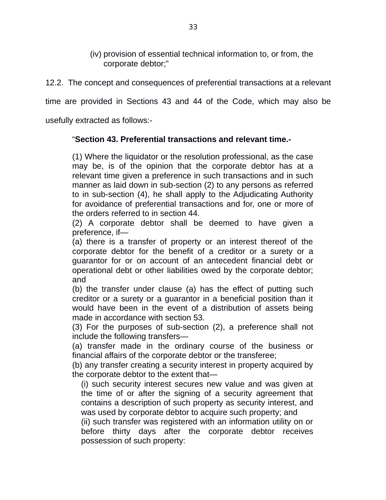(iv) provision of essential technical information to, or from, the corporate debtor;"

12.2. The concept and consequences of preferential transactions at a relevant

time are provided in Sections 43 and 44 of the Code, which may also be

usefully extracted as follows:-

# "**Section 43. Preferential transactions and relevant time.-**

(1) Where the liquidator or the resolution professional, as the case may be, is of the opinion that the corporate debtor has at a relevant time given a preference in such transactions and in such manner as laid down in sub-section (2) to any persons as referred to in sub-section (4), he shall apply to the Adjudicating Authority for avoidance of preferential transactions and for, one or more of the orders referred to in section 44.

(2) A corporate debtor shall be deemed to have given a preference, if—

(a) there is a transfer of property or an interest thereof of the corporate debtor for the benefit of a creditor or a surety or a guarantor for or on account of an antecedent financial debt or operational debt or other liabilities owed by the corporate debtor; and

(b) the transfer under clause (a) has the effect of putting such creditor or a surety or a guarantor in a beneficial position than it would have been in the event of a distribution of assets being made in accordance with section 53.

(3) For the purposes of sub-section (2), a preference shall not include the following transfers—

(a) transfer made in the ordinary course of the business or financial affairs of the corporate debtor or the transferee;

(b) any transfer creating a security interest in property acquired by the corporate debtor to the extent that—

(i) such security interest secures new value and was given at the time of or after the signing of a security agreement that contains a description of such property as security interest, and was used by corporate debtor to acquire such property; and

(ii) such transfer was registered with an information utility on or before thirty days after the corporate debtor receives possession of such property: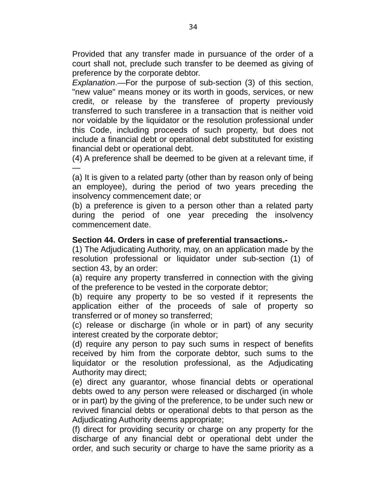Provided that any transfer made in pursuance of the order of a court shall not, preclude such transfer to be deemed as giving of preference by the corporate debtor.

*Explanation*.—For the purpose of sub-section (3) of this section, "new value" means money or its worth in goods, services, or new credit, or release by the transferee of property previously transferred to such transferee in a transaction that is neither void nor voidable by the liquidator or the resolution professional under this Code, including proceeds of such property, but does not include a financial debt or operational debt substituted for existing financial debt or operational debt.

(4) A preference shall be deemed to be given at a relevant time, if —

(a) It is given to a related party (other than by reason only of being an employee), during the period of two years preceding the insolvency commencement date; or

(b) a preference is given to a person other than a related party during the period of one year preceding the insolvency commencement date.

#### **Section 44. Orders in case of preferential transactions.-**

(1) The Adjudicating Authority, may, on an application made by the resolution professional or liquidator under sub-section (1) of section 43, by an order:

(a) require any property transferred in connection with the giving of the preference to be vested in the corporate debtor;

(b) require any property to be so vested if it represents the application either of the proceeds of sale of property so transferred or of money so transferred;

(c) release or discharge (in whole or in part) of any security interest created by the corporate debtor;

(d) require any person to pay such sums in respect of benefits received by him from the corporate debtor, such sums to the liquidator or the resolution professional, as the Adjudicating Authority may direct;

(e) direct any guarantor, whose financial debts or operational debts owed to any person were released or discharged (in whole or in part) by the giving of the preference, to be under such new or revived financial debts or operational debts to that person as the Adjudicating Authority deems appropriate;

(f) direct for providing security or charge on any property for the discharge of any financial debt or operational debt under the order, and such security or charge to have the same priority as a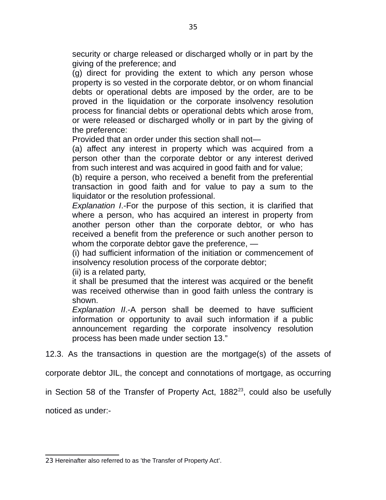security or charge released or discharged wholly or in part by the giving of the preference; and

(g) direct for providing the extent to which any person whose property is so vested in the corporate debtor, or on whom financial debts or operational debts are imposed by the order, are to be proved in the liquidation or the corporate insolvency resolution process for financial debts or operational debts which arose from, or were released or discharged wholly or in part by the giving of the preference:

Provided that an order under this section shall not—

(a) affect any interest in property which was acquired from a person other than the corporate debtor or any interest derived from such interest and was acquired in good faith and for value;

(b) require a person, who received a benefit from the preferential transaction in good faith and for value to pay a sum to the liquidator or the resolution professional.

*Explanation I*.-For the purpose of this section, it is clarified that where a person, who has acquired an interest in property from another person other than the corporate debtor, or who has received a benefit from the preference or such another person to whom the corporate debtor gave the preference. —

(i) had sufficient information of the initiation or commencement of insolvency resolution process of the corporate debtor;

(ii) is a related party,

it shall be presumed that the interest was acquired or the benefit was received otherwise than in good faith unless the contrary is shown.

*Explanation II*.-A person shall be deemed to have sufficient information or opportunity to avail such information if a public announcement regarding the corporate insolvency resolution process has been made under section 13."

12.3. As the transactions in question are the mortgage(s) of the assets of

corporate debtor JIL, the concept and connotations of mortgage, as occurring

in Section 58 of the Transfer of Property Act,  $1882<sup>23</sup>$  $1882<sup>23</sup>$  $1882<sup>23</sup>$ , could also be usefully

noticed as under:-

<sup>23</sup> Hereinafter also referred to as 'the Transfer of Property Act'.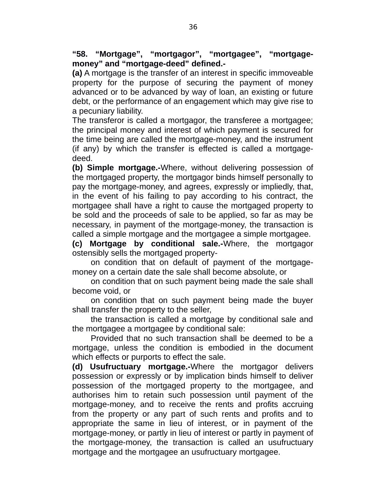**"58. "Mortgage", "mortgagor", "mortgagee", "mortgagemoney" and "mortgage-deed" defined.-**

**(a)** A mortgage is the transfer of an interest in specific immoveable property for the purpose of securing the payment of money advanced or to be advanced by way of loan, an existing or future debt, or the performance of an engagement which may give rise to a pecuniary liability.

The transferor is called a mortgagor, the transferee a mortgagee; the principal money and interest of which payment is secured for the time being are called the mortgage-money, and the instrument (if any) by which the transfer is effected is called a mortgagedeed.

**(b) Simple mortgage.-**Where, without delivering possession of the mortgaged property, the mortgagor binds himself personally to pay the mortgage-money, and agrees, expressly or impliedly, that, in the event of his failing to pay according to his contract, the mortgagee shall have a right to cause the mortgaged property to be sold and the proceeds of sale to be applied, so far as may be necessary, in payment of the mortgage-money, the transaction is called a simple mortgage and the mortgagee a simple mortgagee.

**(c) Mortgage by conditional sale.-**Where, the mortgagor ostensibly sells the mortgaged property-

on condition that on default of payment of the mortgagemoney on a certain date the sale shall become absolute, or

on condition that on such payment being made the sale shall become void, or

on condition that on such payment being made the buyer shall transfer the property to the seller,

the transaction is called a mortgage by conditional sale and the mortgagee a mortgagee by conditional sale:

Provided that no such transaction shall be deemed to be a mortgage, unless the condition is embodied in the document which effects or purports to effect the sale.

**(d) Usufructuary mortgage.-**Where the mortgagor delivers possession or expressly or by implication binds himself to deliver possession of the mortgaged property to the mortgagee, and authorises him to retain such possession until payment of the mortgage-money, and to receive the rents and profits accruing from the property or any part of such rents and profits and to appropriate the same in lieu of interest, or in payment of the mortgage-money, or partly in lieu of interest or partly in payment of the mortgage-money, the transaction is called an usufructuary mortgage and the mortgagee an usufructuary mortgagee.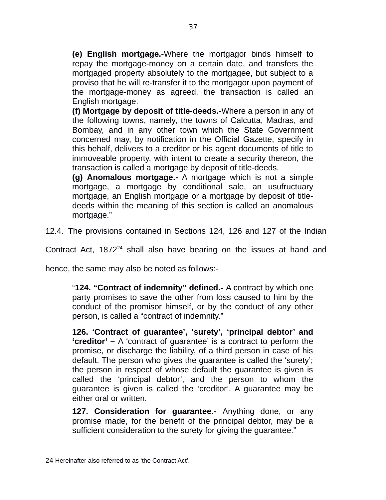**(e) English mortgage.-**Where the mortgagor binds himself to repay the mortgage-money on a certain date, and transfers the mortgaged property absolutely to the mortgagee, but subject to a proviso that he will re-transfer it to the mortgagor upon payment of the mortgage-money as agreed, the transaction is called an English mortgage.

**(f) Mortgage by deposit of title-deeds.-**Where a person in any of the following towns, namely, the towns of Calcutta, Madras, and Bombay, and in any other town which the State Government concerned may, by notification in the Official Gazette, specify in this behalf, delivers to a creditor or his agent documents of title to immoveable property, with intent to create a security thereon, the transaction is called a mortgage by deposit of title-deeds.

**(g) Anomalous mortgage.-** A mortgage which is not a simple mortgage, a mortgage by conditional sale, an usufructuary mortgage, an English mortgage or a mortgage by deposit of titledeeds within the meaning of this section is called an anomalous mortgage."

12.4. The provisions contained in Sections 124, 126 and 127 of the Indian

Contract Act, 1872<sup>[24](#page--1-0)</sup> shall also have bearing on the issues at hand and

hence, the same may also be noted as follows:-

"**124. "Contract of indemnity" defined.-** A contract by which one party promises to save the other from loss caused to him by the conduct of the promisor himself, or by the conduct of any other person, is called a "contract of indemnity."

**126. 'Contract of guarantee', 'surety', 'principal debtor' and 'creditor' –** A 'contract of guarantee' is a contract to perform the promise, or discharge the liability, of a third person in case of his default. The person who gives the guarantee is called the 'surety'; the person in respect of whose default the guarantee is given is called the 'principal debtor', and the person to whom the guarantee is given is called the 'creditor'. A guarantee may be either oral or written.

**127. Consideration for guarantee.-** Anything done, or any promise made, for the benefit of the principal debtor, may be a sufficient consideration to the surety for giving the guarantee."

<sup>24</sup> Hereinafter also referred to as 'the Contract Act'.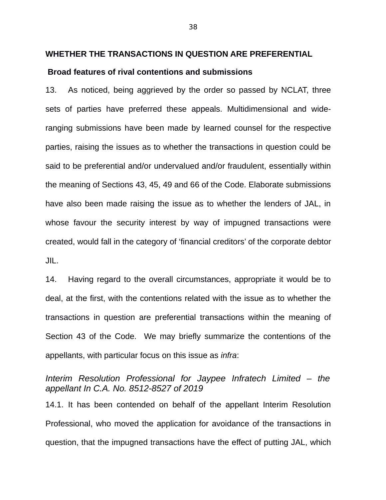#### **WHETHER THE TRANSACTIONS IN QUESTION ARE PREFERENTIAL**

#### **Broad features of rival contentions and submissions**

13. As noticed, being aggrieved by the order so passed by NCLAT, three sets of parties have preferred these appeals. Multidimensional and wideranging submissions have been made by learned counsel for the respective parties, raising the issues as to whether the transactions in question could be said to be preferential and/or undervalued and/or fraudulent, essentially within the meaning of Sections 43, 45, 49 and 66 of the Code. Elaborate submissions have also been made raising the issue as to whether the lenders of JAL, in whose favour the security interest by way of impugned transactions were created, would fall in the category of 'financial creditors' of the corporate debtor JIL.

14. Having regard to the overall circumstances, appropriate it would be to deal, at the first, with the contentions related with the issue as to whether the transactions in question are preferential transactions within the meaning of Section 43 of the Code. We may briefly summarize the contentions of the appellants, with particular focus on this issue as *infra*:

*Interim Resolution Professional for Jaypee Infratech Limited – the appellant In C.A. No. 8512-8527 of 2019*

14.1. It has been contended on behalf of the appellant Interim Resolution Professional, who moved the application for avoidance of the transactions in question, that the impugned transactions have the effect of putting JAL, which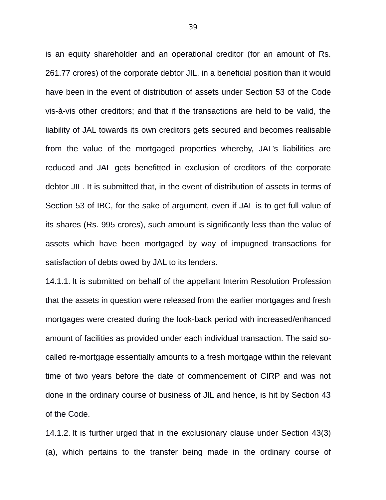is an equity shareholder and an operational creditor (for an amount of Rs. 261.77 crores) of the corporate debtor JIL, in a beneficial position than it would have been in the event of distribution of assets under Section 53 of the Code vis-à-vis other creditors; and that if the transactions are held to be valid, the liability of JAL towards its own creditors gets secured and becomes realisable from the value of the mortgaged properties whereby, JAL's liabilities are reduced and JAL gets benefitted in exclusion of creditors of the corporate debtor JIL. It is submitted that, in the event of distribution of assets in terms of Section 53 of IBC, for the sake of argument, even if JAL is to get full value of its shares (Rs. 995 crores), such amount is significantly less than the value of assets which have been mortgaged by way of impugned transactions for satisfaction of debts owed by JAL to its lenders.

14.1.1. It is submitted on behalf of the appellant Interim Resolution Profession that the assets in question were released from the earlier mortgages and fresh mortgages were created during the look-back period with increased/enhanced amount of facilities as provided under each individual transaction. The said socalled re-mortgage essentially amounts to a fresh mortgage within the relevant time of two years before the date of commencement of CIRP and was not done in the ordinary course of business of JIL and hence, is hit by Section 43 of the Code.

14.1.2. It is further urged that in the exclusionary clause under Section 43(3) (a), which pertains to the transfer being made in the ordinary course of

39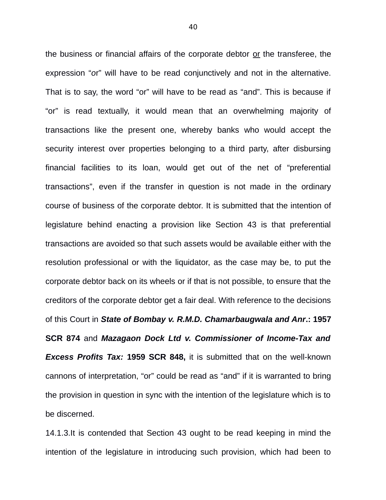the business or financial affairs of the corporate debtor or the transferee, the expression "*o*r" will have to be read conjunctively and not in the alternative. That is to say, the word "or" will have to be read as "and". This is because if "or" is read textually, it would mean that an overwhelming majority of transactions like the present one, whereby banks who would accept the security interest over properties belonging to a third party, after disbursing financial facilities to its loan, would get out of the net of "preferential transactions", even if the transfer in question is not made in the ordinary course of business of the corporate debtor. It is submitted that the intention of legislature behind enacting a provision like Section 43 is that preferential transactions are avoided so that such assets would be available either with the resolution professional or with the liquidator, as the case may be, to put the corporate debtor back on its wheels or if that is not possible, to ensure that the creditors of the corporate debtor get a fair deal. With reference to the decisions of this Court in *State of Bombay v. R.M.D. Chamarbaugwala and Anr***.: 1957 SCR 874** and *Mazagaon Dock Ltd v. Commissioner of Income-Tax and Excess Profits Tax:* **1959 SCR 848,** it is submitted that on the well-known cannons of interpretation, "or" could be read as "and" if it is warranted to bring the provision in question in sync with the intention of the legislature which is to be discerned.

14.1.3.It is contended that Section 43 ought to be read keeping in mind the intention of the legislature in introducing such provision, which had been to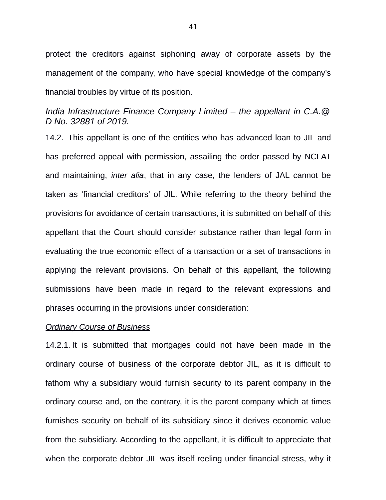protect the creditors against siphoning away of corporate assets by the management of the company, who have special knowledge of the company's financial troubles by virtue of its position.

# *India Infrastructure Finance Company Limited – the appellant in C.A.@ D No. 32881 of 2019.*

14.2. This appellant is one of the entities who has advanced loan to JIL and has preferred appeal with permission, assailing the order passed by NCLAT and maintaining, *inter alia*, that in any case, the lenders of JAL cannot be taken as 'financial creditors' of JIL. While referring to the theory behind the provisions for avoidance of certain transactions, it is submitted on behalf of this appellant that the Court should consider substance rather than legal form in evaluating the true economic effect of a transaction or a set of transactions in applying the relevant provisions. On behalf of this appellant, the following submissions have been made in regard to the relevant expressions and phrases occurring in the provisions under consideration:

#### *Ordinary Course of Business*

14.2.1. It is submitted that mortgages could not have been made in the ordinary course of business of the corporate debtor JIL, as it is difficult to fathom why a subsidiary would furnish security to its parent company in the ordinary course and, on the contrary, it is the parent company which at times furnishes security on behalf of its subsidiary since it derives economic value from the subsidiary. According to the appellant, it is difficult to appreciate that when the corporate debtor JIL was itself reeling under financial stress, why it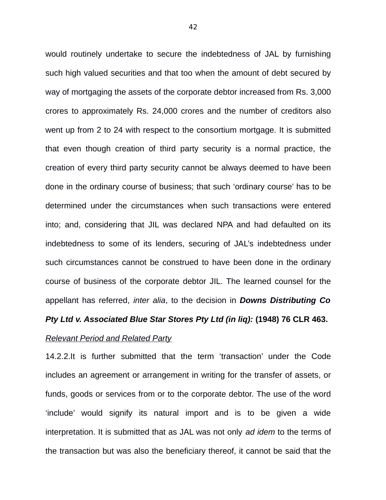would routinely undertake to secure the indebtedness of JAL by furnishing such high valued securities and that too when the amount of debt secured by way of mortgaging the assets of the corporate debtor increased from Rs. 3,000 crores to approximately Rs. 24,000 crores and the number of creditors also went up from 2 to 24 with respect to the consortium mortgage. It is submitted that even though creation of third party security is a normal practice, the creation of every third party security cannot be always deemed to have been done in the ordinary course of business; that such 'ordinary course' has to be determined under the circumstances when such transactions were entered into; and, considering that JIL was declared NPA and had defaulted on its indebtedness to some of its lenders, securing of JAL's indebtedness under such circumstances cannot be construed to have been done in the ordinary course of business of the corporate debtor JIL. The learned counsel for the appellant has referred, *inter alia*, to the decision in *Downs Distributing Co*

# *Pty Ltd v. Associated Blue Star Stores Pty Ltd (in liq):* **(1948) 76 CLR 463.**

## *Relevant Period and Related Party*

14.2.2.It is further submitted that the term 'transaction' under the Code includes an agreement or arrangement in writing for the transfer of assets, or funds, goods or services from or to the corporate debtor. The use of the word 'include' would signify its natural import and is to be given a wide interpretation. It is submitted that as JAL was not only *ad idem* to the terms of the transaction but was also the beneficiary thereof, it cannot be said that the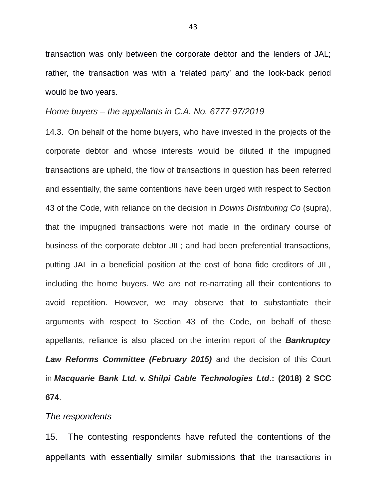transaction was only between the corporate debtor and the lenders of JAL; rather, the transaction was with a 'related party' and the look-back period would be two years.

## *Home buyers – the appellants in C.A. No. 6777-97/2019*

14.3. On behalf of the home buyers, who have invested in the projects of the corporate debtor and whose interests would be diluted if the impugned transactions are upheld, the flow of transactions in question has been referred and essentially, the same contentions have been urged with respect to Section 43 of the Code, with reliance on the decision in *Downs Distributing Co* (supra), that the impugned transactions were not made in the ordinary course of business of the corporate debtor JIL; and had been preferential transactions, putting JAL in a beneficial position at the cost of bona fide creditors of JIL, including the home buyers. We are not re-narrating all their contentions to avoid repetition. However, we may observe that to substantiate their arguments with respect to Section 43 of the Code, on behalf of these appellants, reliance is also placed on the interim report of the *Bankruptcy Law Reforms Committee (February 2015)* and the decision of this Court in *Macquarie Bank Ltd.* **v.** *Shilpi Cable Technologies Ltd***.: (2018) 2 SCC 674**.

#### *The respondents*

15. The contesting respondents have refuted the contentions of the appellants with essentially similar submissions that the transactions in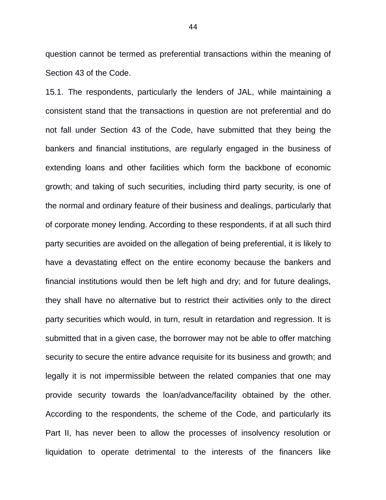question cannot be termed as preferential transactions within the meaning of Section 43 of the Code.

15.1. The respondents, particularly the lenders of JAL, while maintaining a consistent stand that the transactions in question are not preferential and do not fall under Section 43 of the Code, have submitted that they being the bankers and financial institutions, are regularly engaged in the business of extending loans and other facilities which form the backbone of economic growth; and taking of such securities, including third party security, is one of the normal and ordinary feature of their business and dealings, particularly that of corporate money lending. According to these respondents, if at all such third party securities are avoided on the allegation of being preferential, it is likely to have a devastating effect on the entire economy because the bankers and financial institutions would then be left high and dry; and for future dealings, they shall have no alternative but to restrict their activities only to the direct party securities which would, in turn, result in retardation and regression. It is submitted that in a given case, the borrower may not be able to offer matching security to secure the entire advance requisite for its business and growth; and legally it is not impermissible between the related companies that one may provide security towards the loan/advance/facility obtained by the other. According to the respondents, the scheme of the Code, and particularly its Part II, has never been to allow the processes of insolvency resolution or liquidation to operate detrimental to the interests of the financers like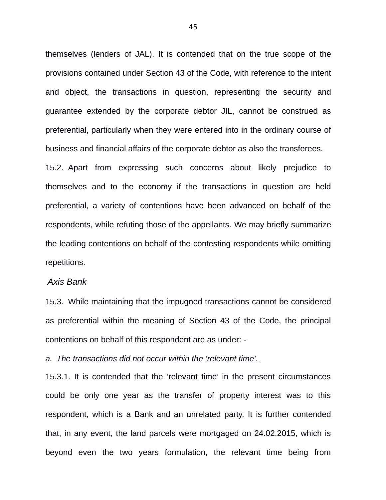themselves (lenders of JAL). It is contended that on the true scope of the provisions contained under Section 43 of the Code, with reference to the intent and object, the transactions in question, representing the security and guarantee extended by the corporate debtor JIL, cannot be construed as preferential, particularly when they were entered into in the ordinary course of business and financial affairs of the corporate debtor as also the transferees.

15.2. Apart from expressing such concerns about likely prejudice to themselves and to the economy if the transactions in question are held preferential, a variety of contentions have been advanced on behalf of the respondents, while refuting those of the appellants. We may briefly summarize the leading contentions on behalf of the contesting respondents while omitting repetitions.

#### *Axis Bank*

15.3. While maintaining that the impugned transactions cannot be considered as preferential within the meaning of Section 43 of the Code, the principal contentions on behalf of this respondent are as under: -

*a. The transactions did not occur within the 'relevant time'.* 

15.3.1. It is contended that the 'relevant time' in the present circumstances could be only one year as the transfer of property interest was to this respondent, which is a Bank and an unrelated party. It is further contended that, in any event, the land parcels were mortgaged on 24.02.2015, which is beyond even the two years formulation, the relevant time being from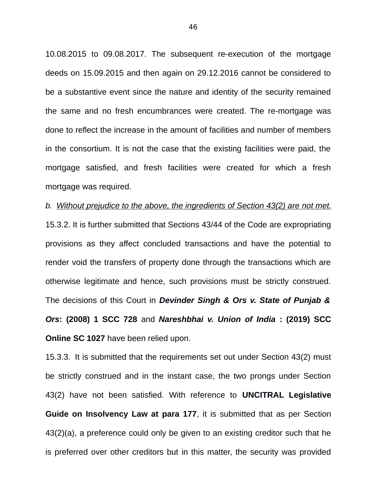10.08.2015 to 09.08.2017. The subsequent re-execution of the mortgage deeds on 15.09.2015 and then again on 29.12.2016 cannot be considered to be a substantive event since the nature and identity of the security remained the same and no fresh encumbrances were created. The re-mortgage was done to reflect the increase in the amount of facilities and number of members in the consortium. It is not the case that the existing facilities were paid, the mortgage satisfied, and fresh facilities were created for which a fresh mortgage was required.

*b. Without prejudice to the above, the ingredients of Section 43(2) are not met.* 15.3.2. It is further submitted that Sections 43/44 of the Code are expropriating provisions as they affect concluded transactions and have the potential to render void the transfers of property done through the transactions which are otherwise legitimate and hence, such provisions must be strictly construed. The decisions of this Court in *Devinder Singh & Ors v. State of Punjab & Ors***: (2008) 1 SCC 728** and *Nareshbhai v. Union of India* **: (2019) SCC Online SC 1027** have been relied upon.

15.3.3. It is submitted that the requirements set out under Section 43(2) must be strictly construed and in the instant case, the two prongs under Section 43(2) have not been satisfied. With reference to **UNCITRAL Legislative Guide on Insolvency Law at para 177**, it is submitted that as per Section 43(2)(a), a preference could only be given to an existing creditor such that he is preferred over other creditors but in this matter, the security was provided

46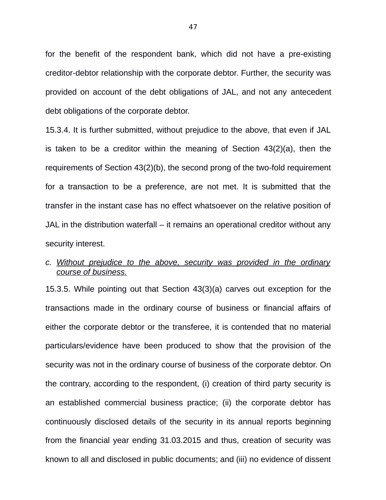for the benefit of the respondent bank, which did not have a pre-existing creditor-debtor relationship with the corporate debtor. Further, the security was provided on account of the debt obligations of JAL, and not any antecedent debt obligations of the corporate debtor.

15.3.4. It is further submitted, without prejudice to the above, that even if JAL is taken to be a creditor within the meaning of Section 43(2)(a), then the requirements of Section 43(2)(b), the second prong of the two-fold requirement for a transaction to be a preference, are not met. It is submitted that the transfer in the instant case has no effect whatsoever on the relative position of JAL in the distribution waterfall – it remains an operational creditor without any security interest.

# *c. Without prejudice to the above, security was provided in the ordinary course of business.*

15.3.5. While pointing out that Section 43(3)(a) carves out exception for the transactions made in the ordinary course of business or financial affairs of either the corporate debtor or the transferee, it is contended that no material particulars/evidence have been produced to show that the provision of the security was not in the ordinary course of business of the corporate debtor. On the contrary, according to the respondent, (i) creation of third party security is an established commercial business practice; (ii) the corporate debtor has continuously disclosed details of the security in its annual reports beginning from the financial year ending 31.03.2015 and thus, creation of security was known to all and disclosed in public documents; and (iii) no evidence of dissent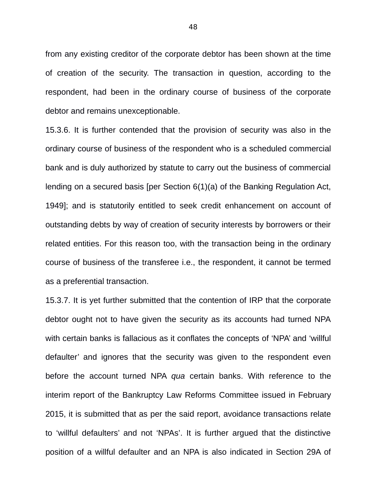from any existing creditor of the corporate debtor has been shown at the time of creation of the security. The transaction in question, according to the respondent, had been in the ordinary course of business of the corporate debtor and remains unexceptionable.

15.3.6. It is further contended that the provision of security was also in the ordinary course of business of the respondent who is a scheduled commercial bank and is duly authorized by statute to carry out the business of commercial lending on a secured basis [per Section 6(1)(a) of the Banking Regulation Act, 1949]; and is statutorily entitled to seek credit enhancement on account of outstanding debts by way of creation of security interests by borrowers or their related entities. For this reason too, with the transaction being in the ordinary course of business of the transferee i.e., the respondent, it cannot be termed as a preferential transaction.

15.3.7. It is yet further submitted that the contention of IRP that the corporate debtor ought not to have given the security as its accounts had turned NPA with certain banks is fallacious as it conflates the concepts of 'NPA' and 'willful defaulter' and ignores that the security was given to the respondent even before the account turned NPA *qua* certain banks. With reference to the interim report of the Bankruptcy Law Reforms Committee issued in February 2015, it is submitted that as per the said report, avoidance transactions relate to 'willful defaulters' and not 'NPAs'. It is further argued that the distinctive position of a willful defaulter and an NPA is also indicated in Section 29A of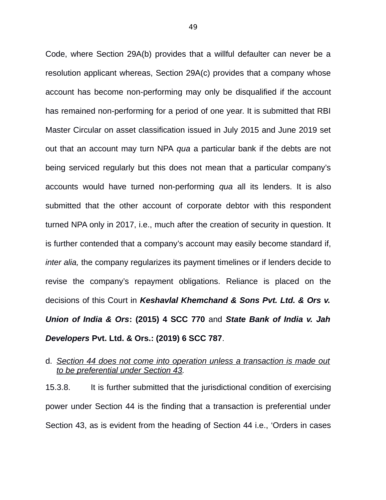Code, where Section 29A(b) provides that a willful defaulter can never be a resolution applicant whereas, Section 29A(c) provides that a company whose account has become non-performing may only be disqualified if the account has remained non-performing for a period of one year. It is submitted that RBI Master Circular on asset classification issued in July 2015 and June 2019 set out that an account may turn NPA *qua* a particular bank if the debts are not being serviced regularly but this does not mean that a particular company's accounts would have turned non-performing *qua* all its lenders. It is also submitted that the other account of corporate debtor with this respondent turned NPA only in 2017, i.e., much after the creation of security in question. It is further contended that a company's account may easily become standard if, *inter alia,* the company regularizes its payment timelines or if lenders decide to revise the company's repayment obligations. Reliance is placed on the decisions of this Court in *Keshavlal Khemchand & Sons Pvt. Ltd. & Ors v. Union of India & Ors***: (2015) 4 SCC 770** and *State Bank of India v. Jah Developers* **Pvt. Ltd. & Ors.: (2019) 6 SCC 787**.

# d. *Section 44 does not come into operation unless a transaction is made out to be preferential under Section 43.*

15.3.8. It is further submitted that the jurisdictional condition of exercising power under Section 44 is the finding that a transaction is preferential under Section 43, as is evident from the heading of Section 44 i.e., 'Orders in cases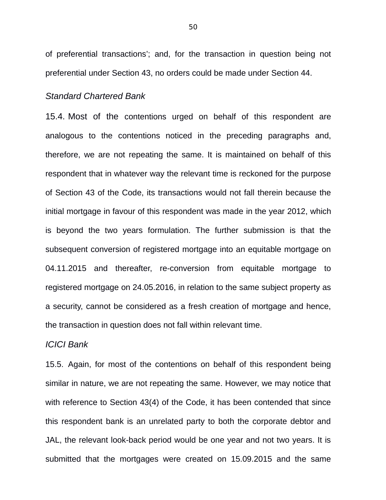of preferential transactions'; and, for the transaction in question being not preferential under Section 43, no orders could be made under Section 44.

## *Standard Chartered Bank*

15.4. Most of the contentions urged on behalf of this respondent are analogous to the contentions noticed in the preceding paragraphs and, therefore, we are not repeating the same. It is maintained on behalf of this respondent that in whatever way the relevant time is reckoned for the purpose of Section 43 of the Code, its transactions would not fall therein because the initial mortgage in favour of this respondent was made in the year 2012, which is beyond the two years formulation. The further submission is that the subsequent conversion of registered mortgage into an equitable mortgage on 04.11.2015 and thereafter, re-conversion from equitable mortgage to registered mortgage on 24.05.2016, in relation to the same subject property as a security, cannot be considered as a fresh creation of mortgage and hence, the transaction in question does not fall within relevant time.

#### *ICICI Bank*

15.5. Again, for most of the contentions on behalf of this respondent being similar in nature, we are not repeating the same. However, we may notice that with reference to Section 43(4) of the Code, it has been contended that since this respondent bank is an unrelated party to both the corporate debtor and JAL, the relevant look-back period would be one year and not two years. It is submitted that the mortgages were created on 15.09.2015 and the same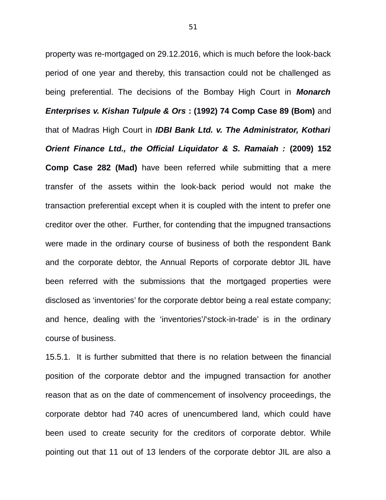property was re-mortgaged on 29.12.2016, which is much before the look-back period of one year and thereby, this transaction could not be challenged as being preferential. The decisions of the Bombay High Court in *Monarch Enterprises v. Kishan Tulpule & Ors* **: (1992) 74 Comp Case 89 (Bom)** and that of Madras High Court in *IDBI Bank Ltd. v. The Administrator, Kothari Orient Finance Ltd., the Official Liquidator & S. Ramaiah :* **(2009) 152 Comp Case 282 (Mad)** have been referred while submitting that a mere transfer of the assets within the look-back period would not make the transaction preferential except when it is coupled with the intent to prefer one creditor over the other. Further, for contending that the impugned transactions were made in the ordinary course of business of both the respondent Bank and the corporate debtor, the Annual Reports of corporate debtor JIL have been referred with the submissions that the mortgaged properties were disclosed as 'inventories' for the corporate debtor being a real estate company; and hence, dealing with the 'inventories'/'stock-in-trade' is in the ordinary course of business.

15.5.1. It is further submitted that there is no relation between the financial position of the corporate debtor and the impugned transaction for another reason that as on the date of commencement of insolvency proceedings, the corporate debtor had 740 acres of unencumbered land, which could have been used to create security for the creditors of corporate debtor. While pointing out that 11 out of 13 lenders of the corporate debtor JIL are also a

51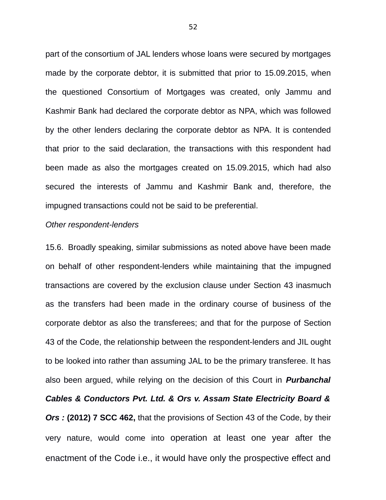part of the consortium of JAL lenders whose loans were secured by mortgages made by the corporate debtor, it is submitted that prior to 15.09.2015, when the questioned Consortium of Mortgages was created, only Jammu and Kashmir Bank had declared the corporate debtor as NPA, which was followed by the other lenders declaring the corporate debtor as NPA. It is contended that prior to the said declaration, the transactions with this respondent had been made as also the mortgages created on 15.09.2015, which had also secured the interests of Jammu and Kashmir Bank and, therefore, the impugned transactions could not be said to be preferential.

#### *Other respondent-lenders*

15.6. Broadly speaking, similar submissions as noted above have been made on behalf of other respondent-lenders while maintaining that the impugned transactions are covered by the exclusion clause under Section 43 inasmuch as the transfers had been made in the ordinary course of business of the corporate debtor as also the transferees; and that for the purpose of Section 43 of the Code, the relationship between the respondent-lenders and JIL ought to be looked into rather than assuming JAL to be the primary transferee. It has also been argued, while relying on the decision of this Court in *Purbanchal Cables & Conductors Pvt. Ltd. & Ors v. Assam State Electricity Board & Ors :* **(2012) 7 SCC 462,** that the provisions of Section 43 of the Code, by their very nature, would come into operation at least one year after the enactment of the Code i.e., it would have only the prospective effect and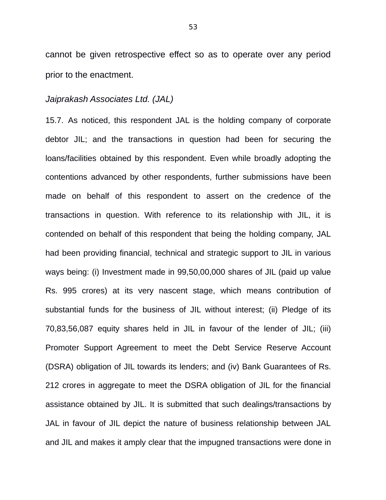cannot be given retrospective effect so as to operate over any period prior to the enactment.

## *Jaiprakash Associates Ltd. (JAL)*

15.7. As noticed, this respondent JAL is the holding company of corporate debtor JIL; and the transactions in question had been for securing the loans/facilities obtained by this respondent. Even while broadly adopting the contentions advanced by other respondents, further submissions have been made on behalf of this respondent to assert on the credence of the transactions in question. With reference to its relationship with JIL, it is contended on behalf of this respondent that being the holding company, JAL had been providing financial, technical and strategic support to JIL in various ways being: (i) Investment made in 99,50,00,000 shares of JIL (paid up value Rs. 995 crores) at its very nascent stage, which means contribution of substantial funds for the business of JIL without interest; (ii) Pledge of its 70,83,56,087 equity shares held in JIL in favour of the lender of JIL; (iii) Promoter Support Agreement to meet the Debt Service Reserve Account (DSRA) obligation of JIL towards its lenders; and (iv) Bank Guarantees of Rs. 212 crores in aggregate to meet the DSRA obligation of JIL for the financial assistance obtained by JIL. It is submitted that such dealings/transactions by JAL in favour of JIL depict the nature of business relationship between JAL and JIL and makes it amply clear that the impugned transactions were done in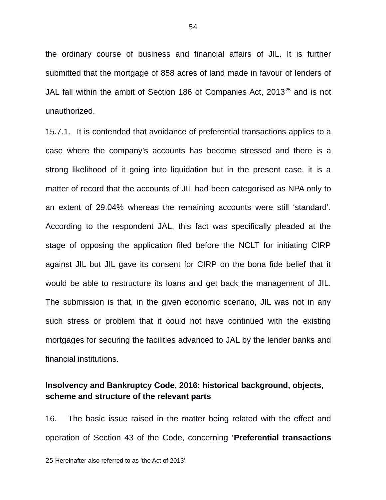the ordinary course of business and financial affairs of JIL. It is further submitted that the mortgage of 858 acres of land made in favour of lenders of JAL fall within the ambit of Section 186 of Companies Act, 2013<sup>[25](#page--1-0)</sup> and is not unauthorized.

15.7.1. It is contended that avoidance of preferential transactions applies to a case where the company's accounts has become stressed and there is a strong likelihood of it going into liquidation but in the present case, it is a matter of record that the accounts of JIL had been categorised as NPA only to an extent of 29.04% whereas the remaining accounts were still 'standard'. According to the respondent JAL, this fact was specifically pleaded at the stage of opposing the application filed before the NCLT for initiating CIRP against JIL but JIL gave its consent for CIRP on the bona fide belief that it would be able to restructure its loans and get back the management of JIL. The submission is that, in the given economic scenario, JIL was not in any such stress or problem that it could not have continued with the existing mortgages for securing the facilities advanced to JAL by the lender banks and financial institutions.

# **Insolvency and Bankruptcy Code, 2016: historical background, objects, scheme and structure of the relevant parts**

16. The basic issue raised in the matter being related with the effect and operation of Section 43 of the Code, concerning '**Preferential transactions**

<sup>25</sup> Hereinafter also referred to as 'the Act of 2013'.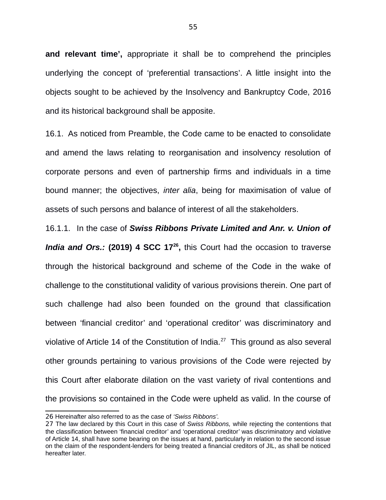**and relevant time',** appropriate it shall be to comprehend the principles underlying the concept of 'preferential transactions'. A little insight into the objects sought to be achieved by the Insolvency and Bankruptcy Code, 2016 and its historical background shall be apposite.

16.1. As noticed from Preamble, the Code came to be enacted to consolidate and amend the laws relating to reorganisation and insolvency resolution of corporate persons and even of partnership firms and individuals in a time bound manner; the objectives, *inter alia*, being for maximisation of value of assets of such persons and balance of interest of all the stakeholders.

16.1.1. In the case of *Swiss Ribbons Private Limited and Anr. v. Union of India and Ors.:* **(2019) 4 SCC 17[26](#page--1-1) ,** this Court had the occasion to traverse through the historical background and scheme of the Code in the wake of challenge to the constitutional validity of various provisions therein. One part of such challenge had also been founded on the ground that classification between 'financial creditor' and 'operational creditor' was discriminatory and violative of Article 14 of the Constitution of India.<sup>[27](#page--1-2)</sup> This ground as also several other grounds pertaining to various provisions of the Code were rejected by this Court after elaborate dilation on the vast variety of rival contentions and the provisions so contained in the Code were upheld as valid. In the course of

<sup>26</sup> Hereinafter also referred to as the case of *'Swiss Ribbons'.*

<sup>27</sup> The law declared by this Court in this case of *Swiss Ribbons,* while rejecting the contentions that the classification between 'financial creditor' and 'operational creditor' was discriminatory and violative of Article 14, shall have some bearing on the issues at hand, particularly in relation to the second issue on the claim of the respondent-lenders for being treated a financial creditors of JIL, as shall be noticed hereafter later.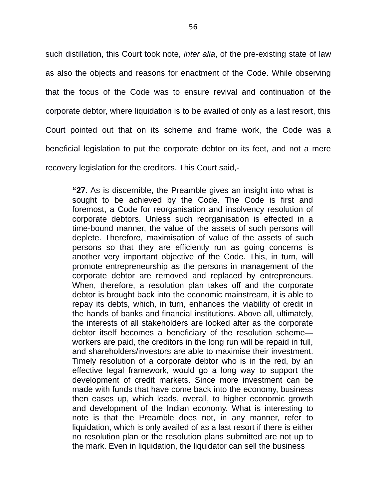such distillation, this Court took note, *inter alia*, of the pre-existing state of law as also the objects and reasons for enactment of the Code. While observing that the focus of the Code was to ensure revival and continuation of the corporate debtor, where liquidation is to be availed of only as a last resort, this Court pointed out that on its scheme and frame work, the Code was a beneficial legislation to put the corporate debtor on its feet, and not a mere recovery legislation for the creditors. This Court said,-

**"27.** As is discernible, the Preamble gives an insight into what is sought to be achieved by the Code. The Code is first and foremost, a Code for reorganisation and insolvency resolution of corporate debtors. Unless such reorganisation is effected in a time-bound manner, the value of the assets of such persons will deplete. Therefore, maximisation of value of the assets of such persons so that they are efficiently run as going concerns is another very important objective of the Code. This, in turn, will promote entrepreneurship as the persons in management of the corporate debtor are removed and replaced by entrepreneurs. When, therefore, a resolution plan takes off and the corporate debtor is brought back into the economic mainstream, it is able to repay its debts, which, in turn, enhances the viability of credit in the hands of banks and financial institutions. Above all, ultimately, the interests of all stakeholders are looked after as the corporate debtor itself becomes a beneficiary of the resolution scheme workers are paid, the creditors in the long run will be repaid in full, and shareholders/investors are able to maximise their investment. Timely resolution of a corporate debtor who is in the red, by an effective legal framework, would go a long way to support the development of credit markets. Since more investment can be made with funds that have come back into the economy, business then eases up, which leads, overall, to higher economic growth and development of the Indian economy. What is interesting to note is that the Preamble does not, in any manner, refer to liquidation, which is only availed of as a last resort if there is either no resolution plan or the resolution plans submitted are not up to the mark. Even in liquidation, the liquidator can sell the business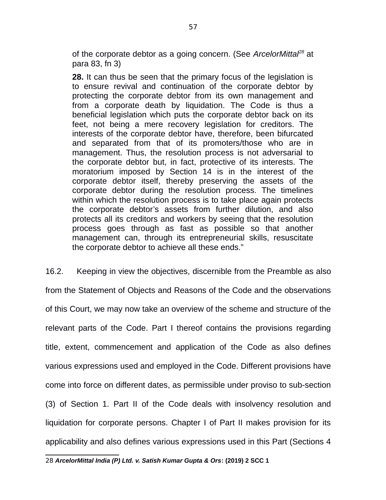of the corporate debtor as a going concern. (See *ArcelorMittal[28](#page--1-0)* at para 83, fn 3)

**28.** It can thus be seen that the primary focus of the legislation is to ensure revival and continuation of the corporate debtor by protecting the corporate debtor from its own management and from a corporate death by liquidation. The Code is thus a beneficial legislation which puts the corporate debtor back on its feet, not being a mere recovery legislation for creditors. The interests of the corporate debtor have, therefore, been bifurcated and separated from that of its promoters/those who are in management. Thus, the resolution process is not adversarial to the corporate debtor but, in fact, protective of its interests. The moratorium imposed by Section 14 is in the interest of the corporate debtor itself, thereby preserving the assets of the corporate debtor during the resolution process. The timelines within which the resolution process is to take place again protects the corporate debtor's assets from further dilution, and also protects all its creditors and workers by seeing that the resolution process goes through as fast as possible so that another management can, through its entrepreneurial skills, resuscitate the corporate debtor to achieve all these ends."

16.2. Keeping in view the objectives, discernible from the Preamble as also from the Statement of Objects and Reasons of the Code and the observations of this Court, we may now take an overview of the scheme and structure of the relevant parts of the Code. Part I thereof contains the provisions regarding title, extent, commencement and application of the Code as also defines various expressions used and employed in the Code. Different provisions have come into force on different dates, as permissible under proviso to sub-section (3) of Section 1. Part II of the Code deals with insolvency resolution and liquidation for corporate persons. Chapter I of Part II makes provision for its applicability and also defines various expressions used in this Part (Sections 4

28 *ArcelorMittal India (P) Ltd. v. Satish Kumar Gupta & Ors***: (2019) 2 SCC 1**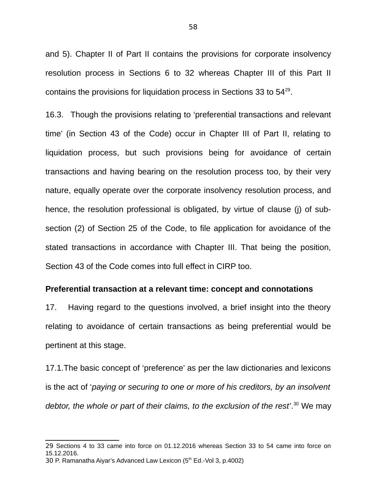and 5). Chapter II of Part II contains the provisions for corporate insolvency resolution process in Sections 6 to 32 whereas Chapter III of this Part II contains the provisions for liquidation process in Sections 33 to  $54^{29}$  $54^{29}$  $54^{29}$ .

16.3. Though the provisions relating to 'preferential transactions and relevant time' (in Section 43 of the Code) occur in Chapter III of Part II, relating to liquidation process, but such provisions being for avoidance of certain transactions and having bearing on the resolution process too, by their very nature, equally operate over the corporate insolvency resolution process, and hence, the resolution professional is obligated, by virtue of clause (j) of subsection (2) of Section 25 of the Code, to file application for avoidance of the stated transactions in accordance with Chapter III. That being the position, Section 43 of the Code comes into full effect in CIRP too.

#### **Preferential transaction at a relevant time: concept and connotations**

17. Having regard to the questions involved, a brief insight into the theory relating to avoidance of certain transactions as being preferential would be pertinent at this stage.

17.1.The basic concept of 'preference' as per the law dictionaries and lexicons is the act of '*paying or securing to one or more of his creditors, by an insolvent debtor, the whole or part of their claims, to the exclusion of the rest'*. [30](#page--1-0) We may

<sup>29</sup> Sections 4 to 33 came into force on 01.12.2016 whereas Section 33 to 54 came into force on 15.12.2016.

<sup>30</sup> P. Ramanatha Aiyar's Advanced Law Lexicon  $(5<sup>th</sup>$  Ed.-Vol 3, p.4002)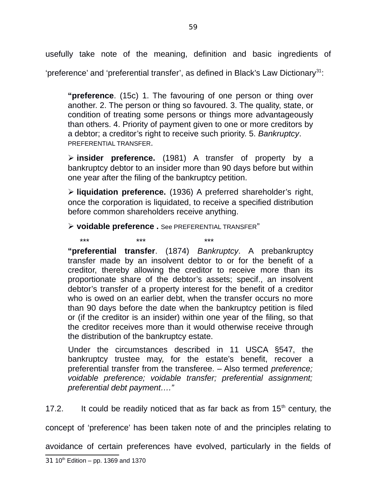usefully take note of the meaning, definition and basic ingredients of 'preference' and 'preferential transfer', as defined in Black's Law Dictionary<sup>[31](#page--1-0)</sup>:

**"preference**. (15c) 1. The favouring of one person or thing over another. 2. The person or thing so favoured. 3. The quality, state, or condition of treating some persons or things more advantageously than others. 4. Priority of payment given to one or more creditors by a debtor; a creditor's right to receive such priority. 5. *Bankruptcy*. PREFERENTIAL TRANSFER.

 **insider preference.** (1981) A transfer of property by a bankruptcy debtor to an insider more than 90 days before but within one year after the filing of the bankruptcy petition.

 **liquidation preference.** (1936) A preferred shareholder's right, once the corporation is liquidated, to receive a specified distribution before common shareholders receive anything.

**voidable preference .** See PREFERENTIAL TRANSFER"

\*\*\* \*\*\* \*\*\* **"preferential transfer**. (1874) *Bankruptcy*. A prebankruptcy transfer made by an insolvent debtor to or for the benefit of a creditor, thereby allowing the creditor to receive more than its proportionate share of the debtor's assets; specif., an insolvent debtor's transfer of a property interest for the benefit of a creditor who is owed on an earlier debt, when the transfer occurs no more than 90 days before the date when the bankruptcy petition is filed or (if the creditor is an insider) within one year of the filing, so that the creditor receives more than it would otherwise receive through the distribution of the bankruptcy estate.

Under the circumstances described in 11 USCA §547, the bankruptcy trustee may, for the estate's benefit, recover a preferential transfer from the transferee. – Also termed *preference; voidable preference; voidable transfer; preferential assignment; preferential debt payment…."* 

17.2. It could be readily noticed that as far back as from  $15<sup>th</sup>$  century, the

concept of 'preference' has been taken note of and the principles relating to

avoidance of certain preferences have evolved, particularly in the fields of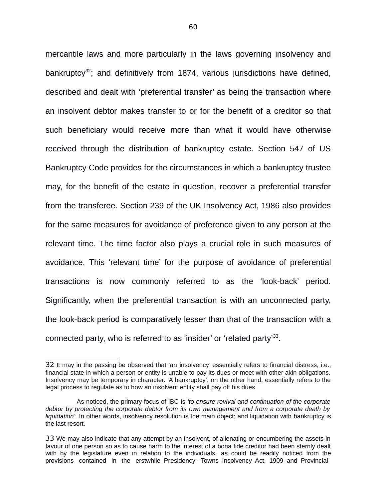mercantile laws and more particularly in the laws governing insolvency and bankruptcy<sup>[32](#page--1-4)</sup>; and definitively from 1874, various jurisdictions have defined, described and dealt with 'preferential transfer' as being the transaction where an insolvent debtor makes transfer to or for the benefit of a creditor so that such beneficiary would receive more than what it would have otherwise received through the distribution of bankruptcy estate. Section 547 of US Bankruptcy Code provides for the circumstances in which a bankruptcy trustee may, for the benefit of the estate in question, recover a preferential transfer from the transferee. Section 239 of the UK Insolvency Act, 1986 also provides for the same measures for avoidance of preference given to any person at the relevant time. The time factor also plays a crucial role in such measures of avoidance. This 'relevant time' for the purpose of avoidance of preferential transactions is now commonly referred to as the 'look-back' period. Significantly, when the preferential transaction is with an unconnected party, the look-back period is comparatively lesser than that of the transaction with a connected party, who is referred to as 'insider' or 'related party'<sup>[33](#page--1-5)</sup>.

<sup>32</sup> It may in the passing be observed that 'an insolvency' essentially refers to financial distress, i.e., financial state in which a person or entity is unable to pay its dues or meet with other akin obligations. Insolvency may be temporary in character. 'A bankruptcy', on the other hand, essentially refers to the legal process to regulate as to how an insolvent entity shall pay off his dues.

As noticed, the primary focus of IBC is *'to ensure revival and continuation of the corporate debtor by protecting the corporate debtor from its own management and from a corporate death by liquidation'*. In other words, insolvency resolution is the main object; and liquidation with bankruptcy is the last resort.

<sup>33</sup> We may also indicate that any attempt by an insolvent, of alienating or encumbering the assets in favour of one person so as to cause harm to the interest of a bona fide creditor had been sternly dealt with by the legislature even in relation to the individuals, as could be readily noticed from the provisions contained in the erstwhile Presidency - Towns Insolvency Act, 1909 and Provincial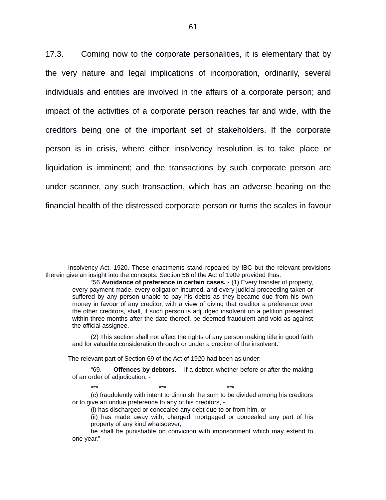17.3. Coming now to the corporate personalities, it is elementary that by the very nature and legal implications of incorporation, ordinarily, several individuals and entities are involved in the affairs of a corporate person; and impact of the activities of a corporate person reaches far and wide, with the creditors being one of the important set of stakeholders. If the corporate person is in crisis, where either insolvency resolution is to take place or liquidation is imminent; and the transactions by such corporate person are under scanner, any such transaction, which has an adverse bearing on the financial health of the distressed corporate person or turns the scales in favour

The relevant part of Section 69 of the Act of 1920 had been as under:

Insolvency Act, 1920. These enactments stand repealed by IBC but the relevant provisions therein give an insight into the concepts. Section 56 of the Act of 1909 provided thus:

<sup>&</sup>quot;56.**Avoidance of preference in certain cases. -** (1) Every transfer of property, every payment made, every obligation incurred, and every judicial proceeding taken or suffered by any person unable to pay his debts as they became due from his own money in favour of any creditor, with a view of giving that creditor a preference over the other creditors, shall, if such person is adjudged insolvent on a petition presented within three months after the date thereof, be deemed fraudulent and void as against the official assignee.

<sup>(2)</sup> This section shall not affect the rights of any person making title in good faith and for valuable consideration through or under a creditor of the insolvent."

<sup>&</sup>quot;69. **Offences by debtors. –** If a debtor, whether before or after the making of an order of adjudication, -

<sup>\*\*\*</sup> \*\*\* \*\*\* (c) fraudulently with intent to diminish the sum to be divided among his creditors or to give an undue preference to any of his creditors, -

<sup>(</sup>i) has discharged or concealed any debt due to or from him, or

<sup>(</sup>ii) has made away with, charged, mortgaged or concealed any part of his property of any kind whatsoever,

he shall be punishable on conviction with imprisonment which may extend to one year."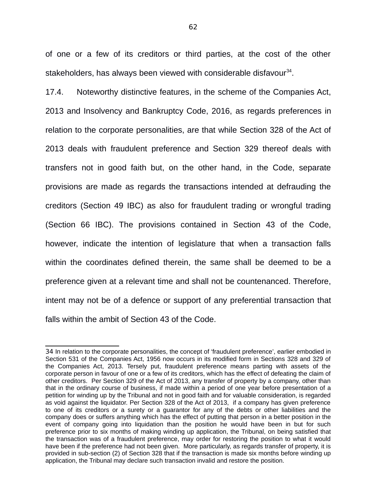of one or a few of its creditors or third parties, at the cost of the other stakeholders, has always been viewed with considerable disfavour<sup>[34](#page--1-6)</sup>.

17.4. Noteworthy distinctive features, in the scheme of the Companies Act, 2013 and Insolvency and Bankruptcy Code, 2016, as regards preferences in relation to the corporate personalities, are that while Section 328 of the Act of 2013 deals with fraudulent preference and Section 329 thereof deals with transfers not in good faith but, on the other hand, in the Code, separate provisions are made as regards the transactions intended at defrauding the creditors (Section 49 IBC) as also for fraudulent trading or wrongful trading (Section 66 IBC). The provisions contained in Section 43 of the Code, however, indicate the intention of legislature that when a transaction falls within the coordinates defined therein, the same shall be deemed to be a preference given at a relevant time and shall not be countenanced. Therefore, intent may not be of a defence or support of any preferential transaction that falls within the ambit of Section 43 of the Code.

<sup>34</sup> In relation to the corporate personalities, the concept of 'fraudulent preference', earlier embodied in Section 531 of the Companies Act, 1956 now occurs in its modified form in Sections 328 and 329 of the Companies Act, 2013. Tersely put, fraudulent preference means parting with assets of the corporate person in favour of one or a few of its creditors, which has the effect of defeating the claim of other creditors. Per Section 329 of the Act of 2013, any transfer of property by a company, other than that in the ordinary course of business, if made within a period of one year before presentation of a petition for winding up by the Tribunal and not in good faith and for valuable consideration, is regarded as void against the liquidator. Per Section 328 of the Act of 2013, if a company has given preference to one of its creditors or a surety or a guarantor for any of the debts or other liabilities and the company does or suffers anything which has the effect of putting that person in a better position in the event of company going into liquidation than the position he would have been in but for such preference prior to six months of making winding up application, the Tribunal, on being satisfied that the transaction was of a fraudulent preference, may order for restoring the position to what it would have been if the preference had not been given. More particularly, as regards transfer of property, it is provided in sub-section (2) of Section 328 that if the transaction is made six months before winding up application, the Tribunal may declare such transaction invalid and restore the position.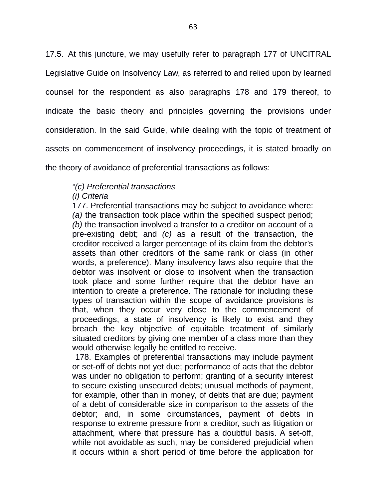17.5. At this juncture, we may usefully refer to paragraph 177 of UNCITRAL Legislative Guide on Insolvency Law, as referred to and relied upon by learned counsel for the respondent as also paragraphs 178 and 179 thereof, to indicate the basic theory and principles governing the provisions under consideration. In the said Guide, while dealing with the topic of treatment of assets on commencement of insolvency proceedings, it is stated broadly on the theory of avoidance of preferential transactions as follows:

# *"(c) Preferential transactions*

# *(i) Criteria*

177. Preferential transactions may be subject to avoidance where: *(a)* the transaction took place within the specified suspect period; *(b)* the transaction involved a transfer to a creditor on account of a pre-existing debt; and *(c)* as a result of the transaction, the creditor received a larger percentage of its claim from the debtor's assets than other creditors of the same rank or class (in other words, a preference). Many insolvency laws also require that the debtor was insolvent or close to insolvent when the transaction took place and some further require that the debtor have an intention to create a preference. The rationale for including these types of transaction within the scope of avoidance provisions is that, when they occur very close to the commencement of proceedings, a state of insolvency is likely to exist and they breach the key objective of equitable treatment of similarly situated creditors by giving one member of a class more than they would otherwise legally be entitled to receive.

 178. Examples of preferential transactions may include payment or set-off of debts not yet due; performance of acts that the debtor was under no obligation to perform; granting of a security interest to secure existing unsecured debts; unusual methods of payment, for example, other than in money, of debts that are due; payment of a debt of considerable size in comparison to the assets of the debtor; and, in some circumstances, payment of debts in response to extreme pressure from a creditor, such as litigation or attachment, where that pressure has a doubtful basis. A set-off, while not avoidable as such, may be considered prejudicial when it occurs within a short period of time before the application for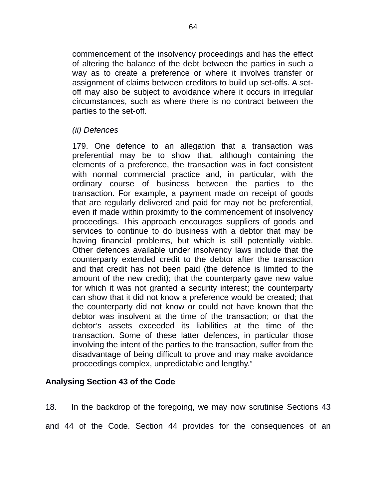commencement of the insolvency proceedings and has the effect of altering the balance of the debt between the parties in such a way as to create a preference or where it involves transfer or assignment of claims between creditors to build up set-offs. A setoff may also be subject to avoidance where it occurs in irregular circumstances, such as where there is no contract between the parties to the set-off.

# *(ii) Defences*

179. One defence to an allegation that a transaction was preferential may be to show that, although containing the elements of a preference, the transaction was in fact consistent with normal commercial practice and, in particular, with the ordinary course of business between the parties to the transaction. For example, a payment made on receipt of goods that are regularly delivered and paid for may not be preferential, even if made within proximity to the commencement of insolvency proceedings. This approach encourages suppliers of goods and services to continue to do business with a debtor that may be having financial problems, but which is still potentially viable. Other defences available under insolvency laws include that the counterparty extended credit to the debtor after the transaction and that credit has not been paid (the defence is limited to the amount of the new credit); that the counterparty gave new value for which it was not granted a security interest; the counterparty can show that it did not know a preference would be created; that the counterparty did not know or could not have known that the debtor was insolvent at the time of the transaction; or that the debtor's assets exceeded its liabilities at the time of the transaction. Some of these latter defences, in particular those involving the intent of the parties to the transaction, suffer from the disadvantage of being difficult to prove and may make avoidance proceedings complex, unpredictable and lengthy."

# **Analysing Section 43 of the Code**

18. In the backdrop of the foregoing, we may now scrutinise Sections 43 and 44 of the Code. Section 44 provides for the consequences of an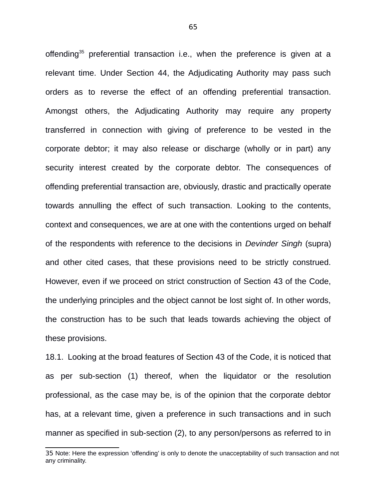offending<sup>[35](#page--1-7)</sup> preferential transaction i.e., when the preference is given at a relevant time. Under Section 44, the Adjudicating Authority may pass such orders as to reverse the effect of an offending preferential transaction. Amongst others, the Adjudicating Authority may require any property transferred in connection with giving of preference to be vested in the corporate debtor; it may also release or discharge (wholly or in part) any security interest created by the corporate debtor. The consequences of offending preferential transaction are, obviously, drastic and practically operate towards annulling the effect of such transaction. Looking to the contents, context and consequences, we are at one with the contentions urged on behalf of the respondents with reference to the decisions in *Devinder Singh* (supra) and other cited cases, that these provisions need to be strictly construed. However, even if we proceed on strict construction of Section 43 of the Code, the underlying principles and the object cannot be lost sight of. In other words, the construction has to be such that leads towards achieving the object of these provisions.

18.1. Looking at the broad features of Section 43 of the Code, it is noticed that as per sub-section (1) thereof, when the liquidator or the resolution professional, as the case may be, is of the opinion that the corporate debtor has, at a relevant time, given a preference in such transactions and in such manner as specified in sub-section (2), to any person/persons as referred to in

<sup>35</sup> Note: Here the expression 'offending' is only to denote the unacceptability of such transaction and not any criminality.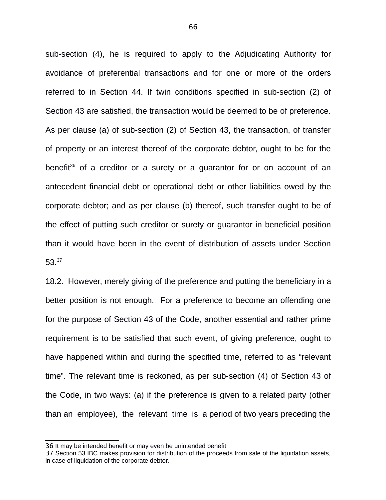sub-section (4), he is required to apply to the Adjudicating Authority for avoidance of preferential transactions and for one or more of the orders referred to in Section 44. If twin conditions specified in sub-section (2) of Section 43 are satisfied, the transaction would be deemed to be of preference. As per clause (a) of sub-section (2) of Section 43, the transaction, of transfer of property or an interest thereof of the corporate debtor, ought to be for the benefit<sup>[36](#page--1-3)</sup> of a creditor or a surety or a quarantor for or on account of an antecedent financial debt or operational debt or other liabilities owed by the corporate debtor; and as per clause (b) thereof, such transfer ought to be of the effect of putting such creditor or surety or guarantor in beneficial position than it would have been in the event of distribution of assets under Section 53.[37](#page--1-7)

18.2. However, merely giving of the preference and putting the beneficiary in a better position is not enough. For a preference to become an offending one for the purpose of Section 43 of the Code, another essential and rather prime requirement is to be satisfied that such event, of giving preference, ought to have happened within and during the specified time, referred to as "relevant time". The relevant time is reckoned, as per sub-section (4) of Section 43 of the Code, in two ways: (a) if the preference is given to a related party (other than an employee), the relevant time is a period of two years preceding the

<sup>36</sup> It may be intended benefit or may even be unintended benefit

<sup>37</sup> Section 53 IBC makes provision for distribution of the proceeds from sale of the liquidation assets, in case of liquidation of the corporate debtor.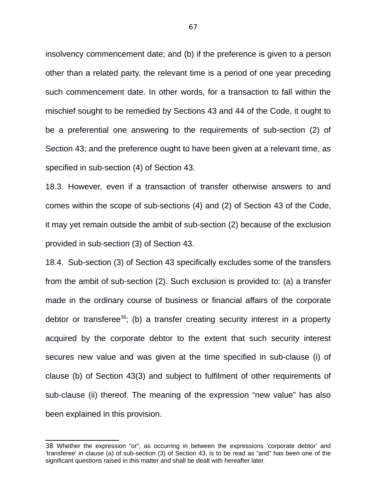insolvency commencement date; and (b) if the preference is given to a person other than a related party, the relevant time is a period of one year preceding such commencement date. In other words, for a transaction to fall within the mischief sought to be remedied by Sections 43 and 44 of the Code, it ought to be a preferential one answering to the requirements of sub-section (2) of Section 43; and the preference ought to have been given at a relevant time, as specified in sub-section (4) of Section 43.

18.3. However, even if a transaction of transfer otherwise answers to and comes within the scope of sub-sections (4) and (2) of Section 43 of the Code, it may yet remain outside the ambit of sub-section (2) because of the exclusion provided in sub-section (3) of Section 43.

18.4. Sub-section (3) of Section 43 specifically excludes some of the transfers from the ambit of sub-section (2). Such exclusion is provided to: (a) a transfer made in the ordinary course of business or financial affairs of the corporate debtor or transferee<sup>[38](#page--1-8)</sup>; (b) a transfer creating security interest in a property acquired by the corporate debtor to the extent that such security interest secures new value and was given at the time specified in sub-clause (i) of clause (b) of Section 43(3) and subject to fulfilment of other requirements of sub-clause (ii) thereof. The meaning of the expression "new value" has also been explained in this provision.

<sup>38</sup> Whether the expression "or", as occurring in between the expressions 'corporate debtor' and 'transferee' in clause (a) of sub-section (3) of Section 43, is to be read as "and" has been one of the significant questions raised in this matter and shall be dealt with hereafter later.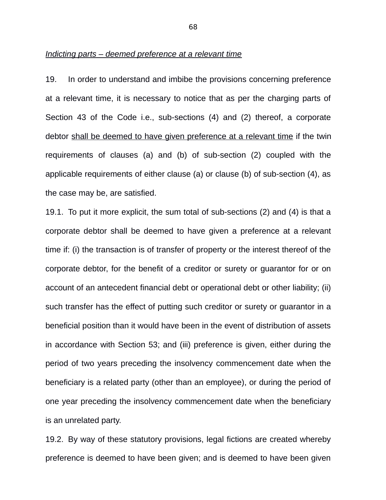#### *Indicting parts – deemed preference at a relevant time*

19. In order to understand and imbibe the provisions concerning preference at a relevant time, it is necessary to notice that as per the charging parts of Section 43 of the Code i.e., sub-sections (4) and (2) thereof, a corporate debtor shall be deemed to have given preference at a relevant time if the twin requirements of clauses (a) and (b) of sub-section (2) coupled with the applicable requirements of either clause (a) or clause (b) of sub-section (4), as the case may be, are satisfied.

19.1. To put it more explicit, the sum total of sub-sections (2) and (4) is that a corporate debtor shall be deemed to have given a preference at a relevant time if: (i) the transaction is of transfer of property or the interest thereof of the corporate debtor, for the benefit of a creditor or surety or guarantor for or on account of an antecedent financial debt or operational debt or other liability; (ii) such transfer has the effect of putting such creditor or surety or guarantor in a beneficial position than it would have been in the event of distribution of assets in accordance with Section 53; and (iii) preference is given, either during the period of two years preceding the insolvency commencement date when the beneficiary is a related party (other than an employee), or during the period of one year preceding the insolvency commencement date when the beneficiary is an unrelated party.

19.2. By way of these statutory provisions, legal fictions are created whereby preference is deemed to have been given; and is deemed to have been given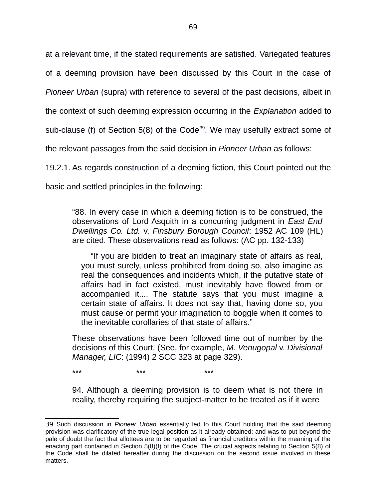at a relevant time, if the stated requirements are satisfied. Variegated features

of a deeming provision have been discussed by this Court in the case of

*Pioneer Urban* (supra) with reference to several of the past decisions, albeit in

the context of such deeming expression occurring in the *Explanation* added to

sub-clause (f) of Section 5(8) of the Code<sup>[39](#page--1-2)</sup>. We may usefully extract some of

the relevant passages from the said decision in *Pioneer Urban* as follows:

19.2.1. As regards construction of a deeming fiction, this Court pointed out the

basic and settled principles in the following:

"88. In every case in which a deeming fiction is to be construed, the observations of Lord Asquith in a concurring judgment in *East End Dwellings Co. Ltd.* v. *Finsbury Borough Council*: 1952 AC 109 (HL) are cited. These observations read as follows: (AC pp. 132-133)

"If you are bidden to treat an imaginary state of affairs as real, you must surely, unless prohibited from doing so, also imagine as real the consequences and incidents which, if the putative state of affairs had in fact existed, must inevitably have flowed from or accompanied it.... The statute says that you must imagine a certain state of affairs. It does not say that, having done so, you must cause or permit your imagination to boggle when it comes to the inevitable corollaries of that state of affairs."

These observations have been followed time out of number by the decisions of this Court. (See, for example, *M. Venugopal* v. *Divisional Manager, LIC*: (1994) 2 SCC 323 at page 329).

\*\*\* \*\*\* \*\*\*

94. Although a deeming provision is to deem what is not there in reality, thereby requiring the subject-matter to be treated as if it were

<sup>39</sup> Such discussion in *Pioneer Urban* essentially led to this Court holding that the said deeming provision was clarificatory of the true legal position as it already obtained; and was to put beyond the pale of doubt the fact that allottees are to be regarded as financial creditors within the meaning of the enacting part contained in Section 5(8)(f) of the Code. The crucial aspects relating to Section 5(8) of the Code shall be dilated hereafter during the discussion on the second issue involved in these matters.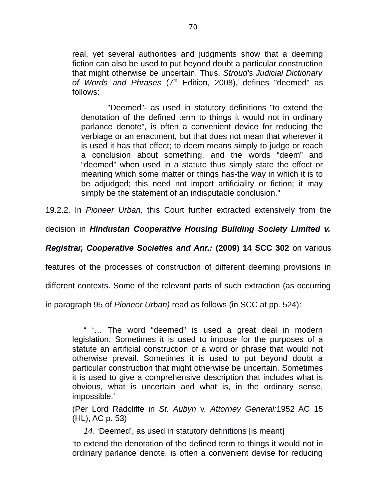real, yet several authorities and judgments show that a deeming fiction can also be used to put beyond doubt a particular construction that might otherwise be uncertain. Thus, *Stroud's Judicial Dictionary* of Words and Phrases (7<sup>th</sup> Edition, 2008), defines "deemed" as follows:

 "Deemed"- as used in statutory definitions "to extend the denotation of the defined term to things it would not in ordinary parlance denote", is often a convenient device for reducing the verbiage or an enactment, but that does not mean that wherever it is used it has that effect; to deem means simply to judge or reach a conclusion about something, and the words "deem" and "deemed" when used in a statute thus simply state the effect or meaning which some matter or things has-the way in which it is to be adjudged; this need not import artificiality or fiction; it may simply be the statement of an indisputable conclusion."

19.2.2. In *Pioneer Urban,* this Court further extracted extensively from the

decision in *Hindustan Cooperative Housing Building Society Limited v.*

*Registrar, Cooperative Societies and Anr.:* **(2009) 14 SCC 302** on various

features of the processes of construction of different deeming provisions in

different contexts. Some of the relevant parts of such extraction (as occurring

in paragraph 95 of *Pioneer Urban)* read as follows (in SCC at pp. 524):

" '… The word "deemed" is used a great deal in modern legislation. Sometimes it is used to impose for the purposes of a statute an artificial construction of a word or phrase that would not otherwise prevail. Sometimes it is used to put beyond doubt a particular construction that might otherwise be uncertain. Sometimes it is used to give a comprehensive description that includes what is obvious, what is uncertain and what is, in the ordinary sense, impossible.'

(Per Lord Radcliffe in *St. Aubyn* v. *Attorney General:*1952 AC 15 (HL), AC p. 53)

*14*. 'Deemed', as used in statutory definitions [is meant]

'to extend the denotation of the defined term to things it would not in ordinary parlance denote, is often a convenient devise for reducing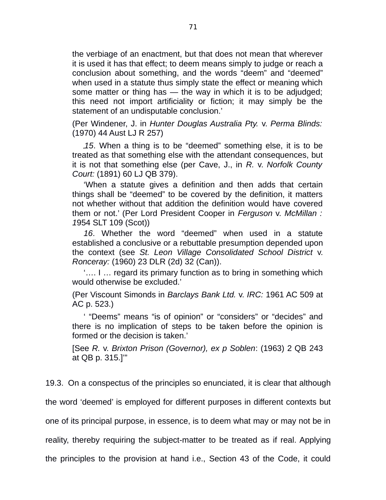the verbiage of an enactment, but that does not mean that wherever it is used it has that effect; to deem means simply to judge or reach a conclusion about something, and the words "deem" and "deemed" when used in a statute thus simply state the effect or meaning which some matter or thing has — the way in which it is to be adjudged; this need not import artificiality or fiction; it may simply be the statement of an undisputable conclusion.'

(Per Windener, J. in *Hunter Douglas Australia Pty.* v. *Perma Blinds:* (1970) 44 Aust LJ R 257)

*15*. When a thing is to be "deemed" something else, it is to be treated as that something else with the attendant consequences, but it is not that something else (per Cave, J., in *R.* v. *Norfolk County Court:* (1891) 60 LJ QB 379).

'When a statute gives a definition and then adds that certain things shall be "deemed" to be covered by the definition, it matters not whether without that addition the definition would have covered them or not.' (Per Lord President Cooper in *Ferguson* v. *McMillan : 1*954 SLT 109 (Scot))

*16*. Whether the word "deemed" when used in a statute established a conclusive or a rebuttable presumption depended upon the context (see *St. Leon Village Consolidated School District* v. *Ronceray:* (1960) 23 DLR (2d) 32 (Can)).

'…. I … regard its primary function as to bring in something which would otherwise be excluded.'

(Per Viscount Simonds in *Barclays Bank Ltd.* v. *IRC:* 1961 AC 509 at AC p. 523.)

' "Deems" means "is of opinion" or "considers" or "decides" and there is no implication of steps to be taken before the opinion is formed or the decision is taken.'

[See *R.* v. *Brixton Prison (Governor), ex p Soblen*: (1963) 2 QB 243 at QB p. 315.]'"

19.3. On a conspectus of the principles so enunciated, it is clear that although

the word 'deemed' is employed for different purposes in different contexts but

one of its principal purpose, in essence, is to deem what may or may not be in

reality, thereby requiring the subject-matter to be treated as if real. Applying

the principles to the provision at hand i.e., Section 43 of the Code, it could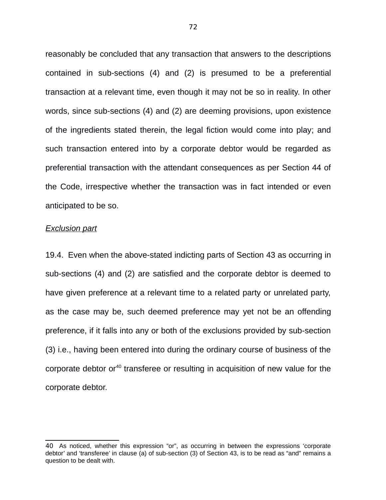reasonably be concluded that any transaction that answers to the descriptions contained in sub-sections (4) and (2) is presumed to be a preferential transaction at a relevant time, even though it may not be so in reality. In other words, since sub-sections (4) and (2) are deeming provisions, upon existence of the ingredients stated therein, the legal fiction would come into play; and such transaction entered into by a corporate debtor would be regarded as preferential transaction with the attendant consequences as per Section 44 of the Code, irrespective whether the transaction was in fact intended or even anticipated to be so.

#### *Exclusion part*

19.4. Even when the above-stated indicting parts of Section 43 as occurring in sub-sections (4) and (2) are satisfied and the corporate debtor is deemed to have given preference at a relevant time to a related party or unrelated party, as the case may be, such deemed preference may yet not be an offending preference, if it falls into any or both of the exclusions provided by sub-section (3) i.e., having been entered into during the ordinary course of business of the corporate debtor or<sup>[40](#page--1-0)</sup> transferee or resulting in acquisition of new value for the corporate debtor.

<sup>40</sup> As noticed, whether this expression "or", as occurring in between the expressions 'corporate debtor' and 'transferee' in clause (a) of sub-section (3) of Section 43, is to be read as "and" remains a question to be dealt with.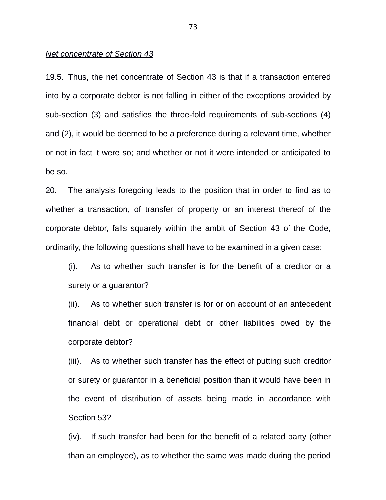#### *Net concentrate of Section 43*

19.5. Thus, the net concentrate of Section 43 is that if a transaction entered into by a corporate debtor is not falling in either of the exceptions provided by sub-section (3) and satisfies the three-fold requirements of sub-sections (4) and (2), it would be deemed to be a preference during a relevant time, whether or not in fact it were so; and whether or not it were intended or anticipated to be so.

20. The analysis foregoing leads to the position that in order to find as to whether a transaction, of transfer of property or an interest thereof of the corporate debtor, falls squarely within the ambit of Section 43 of the Code, ordinarily, the following questions shall have to be examined in a given case:

(i). As to whether such transfer is for the benefit of a creditor or a surety or a guarantor?

(ii). As to whether such transfer is for or on account of an antecedent financial debt or operational debt or other liabilities owed by the corporate debtor?

(iii). As to whether such transfer has the effect of putting such creditor or surety or guarantor in a beneficial position than it would have been in the event of distribution of assets being made in accordance with Section 53?

(iv). If such transfer had been for the benefit of a related party (other than an employee), as to whether the same was made during the period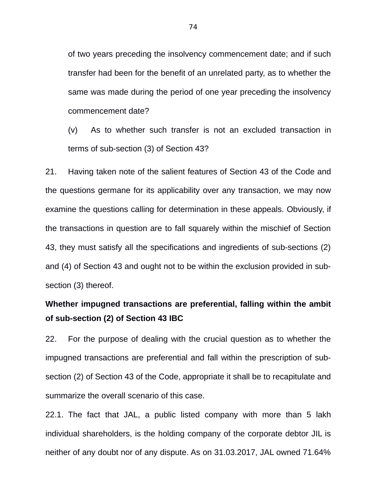of two years preceding the insolvency commencement date; and if such transfer had been for the benefit of an unrelated party, as to whether the same was made during the period of one year preceding the insolvency commencement date?

(v) As to whether such transfer is not an excluded transaction in terms of sub-section (3) of Section 43?

21. Having taken note of the salient features of Section 43 of the Code and the questions germane for its applicability over any transaction, we may now examine the questions calling for determination in these appeals. Obviously, if the transactions in question are to fall squarely within the mischief of Section 43, they must satisfy all the specifications and ingredients of sub-sections (2) and (4) of Section 43 and ought not to be within the exclusion provided in subsection (3) thereof.

# **Whether impugned transactions are preferential, falling within the ambit of sub-section (2) of Section 43 IBC**

22. For the purpose of dealing with the crucial question as to whether the impugned transactions are preferential and fall within the prescription of subsection (2) of Section 43 of the Code, appropriate it shall be to recapitulate and summarize the overall scenario of this case.

22.1. The fact that JAL, a public listed company with more than 5 lakh individual shareholders, is the holding company of the corporate debtor JIL is neither of any doubt nor of any dispute. As on 31.03.2017, JAL owned 71.64%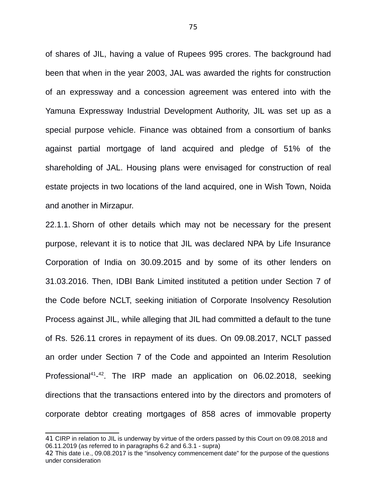of shares of JIL, having a value of Rupees 995 crores. The background had been that when in the year 2003, JAL was awarded the rights for construction of an expressway and a concession agreement was entered into with the Yamuna Expressway Industrial Development Authority, JIL was set up as a special purpose vehicle. Finance was obtained from a consortium of banks against partial mortgage of land acquired and pledge of 51% of the shareholding of JAL. Housing plans were envisaged for construction of real estate projects in two locations of the land acquired, one in Wish Town, Noida and another in Mirzapur.

22.1.1. Shorn of other details which may not be necessary for the present purpose, relevant it is to notice that JIL was declared NPA by Life Insurance Corporation of India on 30.09.2015 and by some of its other lenders on 31.03.2016. Then, IDBI Bank Limited instituted a petition under Section 7 of the Code before NCLT, seeking initiation of Corporate Insolvency Resolution Process against JIL, while alleging that JIL had committed a default to the tune of Rs. 526.11 crores in repayment of its dues. On 09.08.2017, NCLT passed an order under Section 7 of the Code and appointed an Interim Resolution Professional<sup>[41](#page--1-1)</sup>-<sup>[42](#page--1-2)</sup>. The IRP made an application on 06.02.2018, seeking directions that the transactions entered into by the directors and promoters of corporate debtor creating mortgages of 858 acres of immovable property

<sup>41</sup> CIRP in relation to JIL is underway by virtue of the orders passed by this Court on 09.08.2018 and 06.11.2019 (as referred to in paragraphs 6.2 and 6.3.1 - supra)

<sup>42</sup> This date i.e., 09.08.2017 is the "insolvency commencement date" for the purpose of the questions under consideration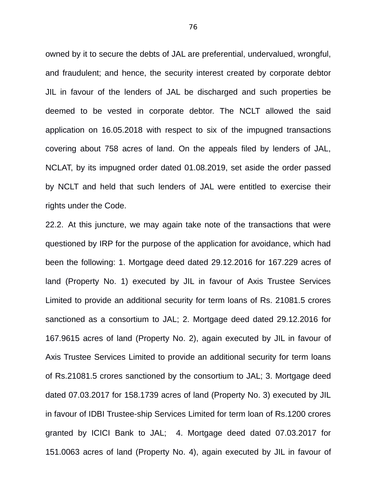owned by it to secure the debts of JAL are preferential, undervalued, wrongful, and fraudulent; and hence, the security interest created by corporate debtor JIL in favour of the lenders of JAL be discharged and such properties be deemed to be vested in corporate debtor. The NCLT allowed the said application on 16.05.2018 with respect to six of the impugned transactions covering about 758 acres of land. On the appeals filed by lenders of JAL, NCLAT, by its impugned order dated 01.08.2019, set aside the order passed by NCLT and held that such lenders of JAL were entitled to exercise their rights under the Code.

22.2. At this juncture, we may again take note of the transactions that were questioned by IRP for the purpose of the application for avoidance, which had been the following: 1. Mortgage deed dated 29.12.2016 for 167.229 acres of land (Property No. 1) executed by JIL in favour of Axis Trustee Services Limited to provide an additional security for term loans of Rs. 21081.5 crores sanctioned as a consortium to JAL; 2. Mortgage deed dated 29.12.2016 for 167.9615 acres of land (Property No. 2), again executed by JIL in favour of Axis Trustee Services Limited to provide an additional security for term loans of Rs.21081.5 crores sanctioned by the consortium to JAL; 3. Mortgage deed dated 07.03.2017 for 158.1739 acres of land (Property No. 3) executed by JIL in favour of IDBI Trustee-ship Services Limited for term loan of Rs.1200 crores granted by ICICI Bank to JAL; 4. Mortgage deed dated 07.03.2017 for 151.0063 acres of land (Property No. 4), again executed by JIL in favour of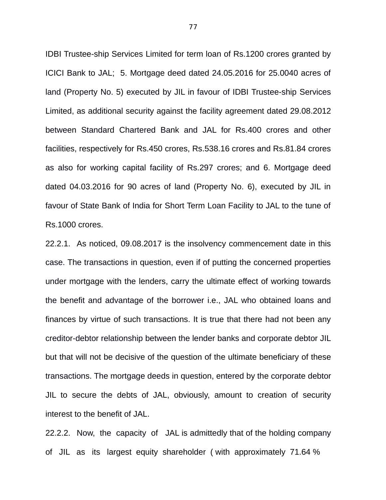IDBI Trustee-ship Services Limited for term loan of Rs.1200 crores granted by ICICI Bank to JAL; 5. Mortgage deed dated 24.05.2016 for 25.0040 acres of land (Property No. 5) executed by JIL in favour of IDBI Trustee-ship Services Limited, as additional security against the facility agreement dated 29.08.2012 between Standard Chartered Bank and JAL for Rs.400 crores and other facilities, respectively for Rs.450 crores, Rs.538.16 crores and Rs.81.84 crores as also for working capital facility of Rs.297 crores; and 6. Mortgage deed dated 04.03.2016 for 90 acres of land (Property No. 6), executed by JIL in favour of State Bank of India for Short Term Loan Facility to JAL to the tune of Rs.1000 crores.

22.2.1. As noticed, 09.08.2017 is the insolvency commencement date in this case. The transactions in question, even if of putting the concerned properties under mortgage with the lenders, carry the ultimate effect of working towards the benefit and advantage of the borrower i.e., JAL who obtained loans and finances by virtue of such transactions. It is true that there had not been any creditor-debtor relationship between the lender banks and corporate debtor JIL but that will not be decisive of the question of the ultimate beneficiary of these transactions. The mortgage deeds in question, entered by the corporate debtor JIL to secure the debts of JAL, obviously, amount to creation of security interest to the benefit of JAL.

22.2.2. Now, the capacity of JAL is admittedly that of the holding company of JIL as its largest equity shareholder ( with approximately 71.64 %

77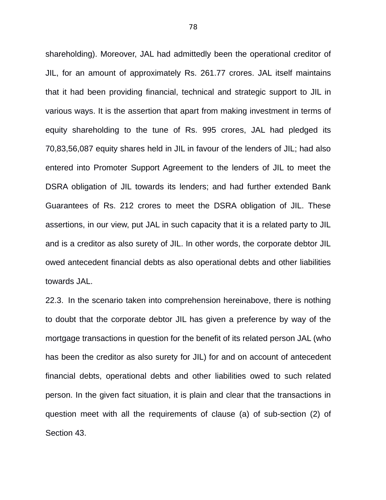shareholding). Moreover, JAL had admittedly been the operational creditor of JIL, for an amount of approximately Rs. 261.77 crores. JAL itself maintains that it had been providing financial, technical and strategic support to JIL in various ways. It is the assertion that apart from making investment in terms of equity shareholding to the tune of Rs. 995 crores, JAL had pledged its 70,83,56,087 equity shares held in JIL in favour of the lenders of JIL; had also entered into Promoter Support Agreement to the lenders of JIL to meet the DSRA obligation of JIL towards its lenders; and had further extended Bank Guarantees of Rs. 212 crores to meet the DSRA obligation of JIL. These assertions, in our view, put JAL in such capacity that it is a related party to JIL and is a creditor as also surety of JIL. In other words, the corporate debtor JIL owed antecedent financial debts as also operational debts and other liabilities towards JAL.

22.3. In the scenario taken into comprehension hereinabove, there is nothing to doubt that the corporate debtor JIL has given a preference by way of the mortgage transactions in question for the benefit of its related person JAL (who has been the creditor as also surety for JIL) for and on account of antecedent financial debts, operational debts and other liabilities owed to such related person. In the given fact situation, it is plain and clear that the transactions in question meet with all the requirements of clause (a) of sub-section (2) of Section 43.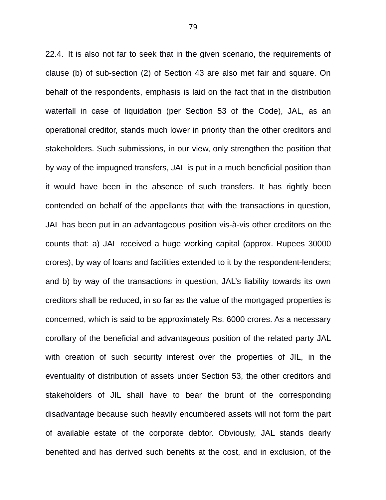22.4. It is also not far to seek that in the given scenario, the requirements of clause (b) of sub-section (2) of Section 43 are also met fair and square. On behalf of the respondents, emphasis is laid on the fact that in the distribution waterfall in case of liquidation (per Section 53 of the Code), JAL, as an operational creditor, stands much lower in priority than the other creditors and stakeholders. Such submissions, in our view, only strengthen the position that by way of the impugned transfers, JAL is put in a much beneficial position than it would have been in the absence of such transfers. It has rightly been contended on behalf of the appellants that with the transactions in question, JAL has been put in an advantageous position vis-à-vis other creditors on the counts that: a) JAL received a huge working capital (approx. Rupees 30000 crores), by way of loans and facilities extended to it by the respondent-lenders; and b) by way of the transactions in question, JAL's liability towards its own creditors shall be reduced, in so far as the value of the mortgaged properties is concerned, which is said to be approximately Rs. 6000 crores. As a necessary corollary of the beneficial and advantageous position of the related party JAL with creation of such security interest over the properties of JIL, in the eventuality of distribution of assets under Section 53, the other creditors and stakeholders of JIL shall have to bear the brunt of the corresponding disadvantage because such heavily encumbered assets will not form the part of available estate of the corporate debtor. Obviously, JAL stands dearly benefited and has derived such benefits at the cost, and in exclusion, of the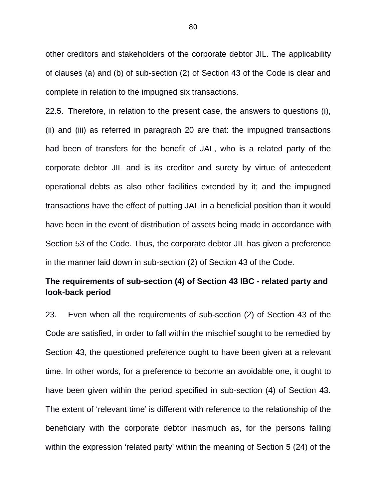other creditors and stakeholders of the corporate debtor JIL. The applicability of clauses (a) and (b) of sub-section (2) of Section 43 of the Code is clear and complete in relation to the impugned six transactions.

22.5. Therefore, in relation to the present case, the answers to questions (i), (ii) and (iii) as referred in paragraph 20 are that: the impugned transactions had been of transfers for the benefit of JAL, who is a related party of the corporate debtor JIL and is its creditor and surety by virtue of antecedent operational debts as also other facilities extended by it; and the impugned transactions have the effect of putting JAL in a beneficial position than it would have been in the event of distribution of assets being made in accordance with Section 53 of the Code. Thus, the corporate debtor JIL has given a preference in the manner laid down in sub-section (2) of Section 43 of the Code.

# **The requirements of sub-section (4) of Section 43 IBC - related party and look-back period**

23. Even when all the requirements of sub-section (2) of Section 43 of the Code are satisfied, in order to fall within the mischief sought to be remedied by Section 43, the questioned preference ought to have been given at a relevant time. In other words, for a preference to become an avoidable one, it ought to have been given within the period specified in sub-section (4) of Section 43. The extent of 'relevant time' is different with reference to the relationship of the beneficiary with the corporate debtor inasmuch as, for the persons falling within the expression 'related party' within the meaning of Section 5 (24) of the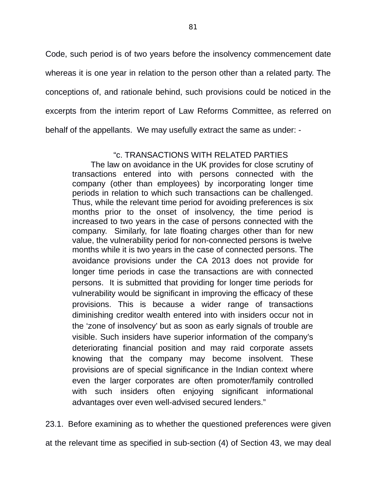Code, such period is of two years before the insolvency commencement date whereas it is one year in relation to the person other than a related party. The conceptions of, and rationale behind, such provisions could be noticed in the excerpts from the interim report of Law Reforms Committee, as referred on behalf of the appellants. We may usefully extract the same as under: -

### "c. TRANSACTIONS WITH RELATED PARTIES

The law on avoidance in the UK provides for close scrutiny of transactions entered into with persons connected with the company (other than employees) by incorporating longer time periods in relation to which such transactions can be challenged. Thus, while the relevant time period for avoiding preferences is six months prior to the onset of insolvency, the time period is increased to two years in the case of persons connected with the company. Similarly, for late floating charges other than for new value, the vulnerability period for non-connected persons is twelve months while it is two years in the case of connected persons. The avoidance provisions under the CA 2013 does not provide for longer time periods in case the transactions are with connected persons. It is submitted that providing for longer time periods for vulnerability would be significant in improving the efficacy of these provisions. This is because a wider range of transactions diminishing creditor wealth entered into with insiders occur not in the 'zone of insolvency' but as soon as early signals of trouble are visible. Such insiders have superior information of the company's deteriorating financial position and may raid corporate assets knowing that the company may become insolvent. These provisions are of special significance in the Indian context where even the larger corporates are often promoter/family controlled with such insiders often enjoying significant informational advantages over even well-advised secured lenders."

23.1. Before examining as to whether the questioned preferences were given at the relevant time as specified in sub-section (4) of Section 43, we may deal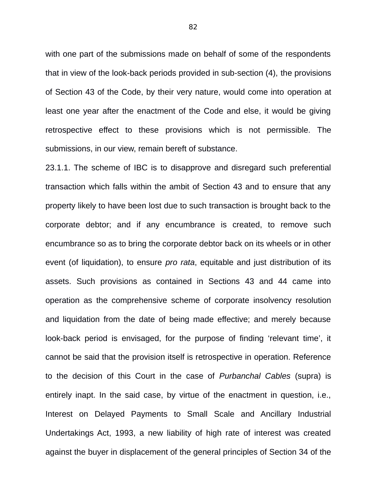with one part of the submissions made on behalf of some of the respondents that in view of the look-back periods provided in sub-section (4), the provisions of Section 43 of the Code, by their very nature, would come into operation at least one year after the enactment of the Code and else, it would be giving retrospective effect to these provisions which is not permissible. The submissions, in our view, remain bereft of substance.

23.1.1. The scheme of IBC is to disapprove and disregard such preferential transaction which falls within the ambit of Section 43 and to ensure that any property likely to have been lost due to such transaction is brought back to the corporate debtor; and if any encumbrance is created, to remove such encumbrance so as to bring the corporate debtor back on its wheels or in other event (of liquidation), to ensure *pro rata*, equitable and just distribution of its assets. Such provisions as contained in Sections 43 and 44 came into operation as the comprehensive scheme of corporate insolvency resolution and liquidation from the date of being made effective; and merely because look-back period is envisaged, for the purpose of finding 'relevant time', it cannot be said that the provision itself is retrospective in operation. Reference to the decision of this Court in the case of *Purbanchal Cables* (supra) is entirely inapt. In the said case, by virtue of the enactment in question, i.e., Interest on Delayed Payments to Small Scale and Ancillary Industrial Undertakings Act, 1993, a new liability of high rate of interest was created against the buyer in displacement of the general principles of Section 34 of the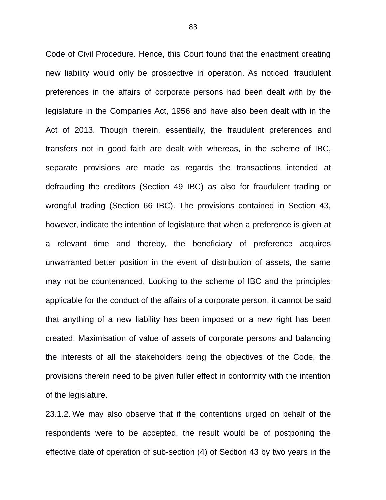Code of Civil Procedure. Hence, this Court found that the enactment creating new liability would only be prospective in operation. As noticed, fraudulent preferences in the affairs of corporate persons had been dealt with by the legislature in the Companies Act, 1956 and have also been dealt with in the Act of 2013. Though therein, essentially, the fraudulent preferences and transfers not in good faith are dealt with whereas, in the scheme of IBC, separate provisions are made as regards the transactions intended at defrauding the creditors (Section 49 IBC) as also for fraudulent trading or wrongful trading (Section 66 IBC). The provisions contained in Section 43, however, indicate the intention of legislature that when a preference is given at a relevant time and thereby, the beneficiary of preference acquires unwarranted better position in the event of distribution of assets, the same may not be countenanced. Looking to the scheme of IBC and the principles applicable for the conduct of the affairs of a corporate person, it cannot be said that anything of a new liability has been imposed or a new right has been created. Maximisation of value of assets of corporate persons and balancing the interests of all the stakeholders being the objectives of the Code, the provisions therein need to be given fuller effect in conformity with the intention of the legislature.

23.1.2. We may also observe that if the contentions urged on behalf of the respondents were to be accepted, the result would be of postponing the effective date of operation of sub-section (4) of Section 43 by two years in the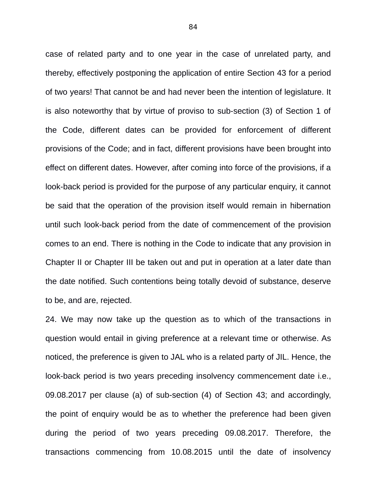case of related party and to one year in the case of unrelated party, and thereby, effectively postponing the application of entire Section 43 for a period of two years! That cannot be and had never been the intention of legislature. It is also noteworthy that by virtue of proviso to sub-section (3) of Section 1 of the Code, different dates can be provided for enforcement of different provisions of the Code; and in fact, different provisions have been brought into effect on different dates. However, after coming into force of the provisions, if a look-back period is provided for the purpose of any particular enquiry, it cannot be said that the operation of the provision itself would remain in hibernation until such look-back period from the date of commencement of the provision comes to an end. There is nothing in the Code to indicate that any provision in Chapter II or Chapter III be taken out and put in operation at a later date than the date notified. Such contentions being totally devoid of substance, deserve to be, and are, rejected.

24. We may now take up the question as to which of the transactions in question would entail in giving preference at a relevant time or otherwise. As noticed, the preference is given to JAL who is a related party of JIL. Hence, the look-back period is two years preceding insolvency commencement date i.e., 09.08.2017 per clause (a) of sub-section (4) of Section 43; and accordingly, the point of enquiry would be as to whether the preference had been given during the period of two years preceding 09.08.2017. Therefore, the transactions commencing from 10.08.2015 until the date of insolvency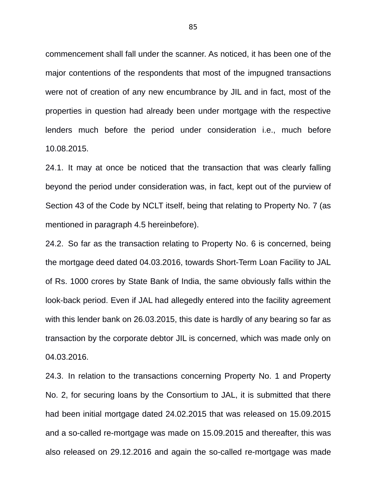commencement shall fall under the scanner. As noticed, it has been one of the major contentions of the respondents that most of the impugned transactions were not of creation of any new encumbrance by JIL and in fact, most of the properties in question had already been under mortgage with the respective lenders much before the period under consideration i.e., much before 10.08.2015.

24.1. It may at once be noticed that the transaction that was clearly falling beyond the period under consideration was, in fact, kept out of the purview of Section 43 of the Code by NCLT itself, being that relating to Property No. 7 (as mentioned in paragraph 4.5 hereinbefore).

24.2. So far as the transaction relating to Property No. 6 is concerned, being the mortgage deed dated 04.03.2016, towards Short-Term Loan Facility to JAL of Rs. 1000 crores by State Bank of India, the same obviously falls within the look-back period. Even if JAL had allegedly entered into the facility agreement with this lender bank on 26.03.2015, this date is hardly of any bearing so far as transaction by the corporate debtor JIL is concerned, which was made only on 04.03.2016.

24.3. In relation to the transactions concerning Property No. 1 and Property No. 2, for securing loans by the Consortium to JAL, it is submitted that there had been initial mortgage dated 24.02.2015 that was released on 15.09.2015 and a so-called re-mortgage was made on 15.09.2015 and thereafter, this was also released on 29.12.2016 and again the so-called re-mortgage was made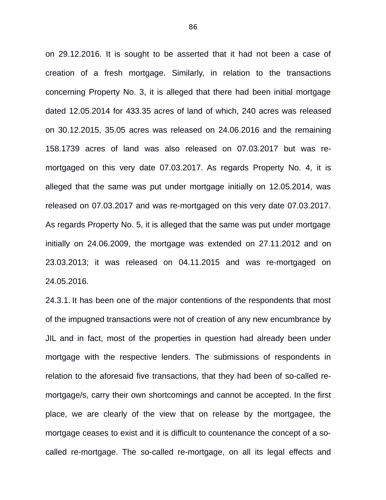on 29.12.2016. It is sought to be asserted that it had not been a case of creation of a fresh mortgage. Similarly, in relation to the transactions concerning Property No. 3, it is alleged that there had been initial mortgage dated 12.05.2014 for 433.35 acres of land of which, 240 acres was released on 30.12.2015, 35.05 acres was released on 24.06.2016 and the remaining 158.1739 acres of land was also released on 07.03.2017 but was remortgaged on this very date 07.03.2017. As regards Property No. 4, it is alleged that the same was put under mortgage initially on 12.05.2014, was released on 07.03.2017 and was re-mortgaged on this very date 07.03.2017. As regards Property No. 5, it is alleged that the same was put under mortgage initially on 24.06.2009, the mortgage was extended on 27.11.2012 and on 23.03.2013; it was released on 04.11.2015 and was re-mortgaged on 24.05.2016.

24.3.1. It has been one of the major contentions of the respondents that most of the impugned transactions were not of creation of any new encumbrance by JIL and in fact, most of the properties in question had already been under mortgage with the respective lenders. The submissions of respondents in relation to the aforesaid five transactions, that they had been of so-called remortgage/s, carry their own shortcomings and cannot be accepted. In the first place, we are clearly of the view that on release by the mortgagee, the mortgage ceases to exist and it is difficult to countenance the concept of a socalled re-mortgage. The so-called re-mortgage, on all its legal effects and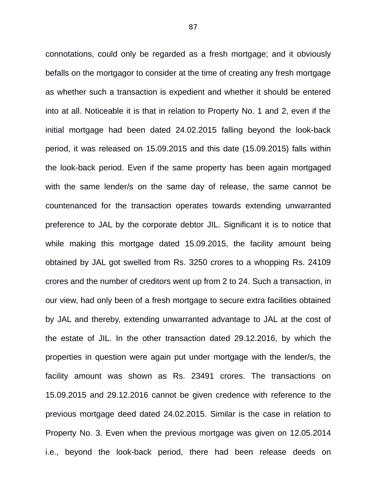connotations, could only be regarded as a fresh mortgage; and it obviously befalls on the mortgagor to consider at the time of creating any fresh mortgage as whether such a transaction is expedient and whether it should be entered into at all. Noticeable it is that in relation to Property No. 1 and 2, even if the initial mortgage had been dated 24.02.2015 falling beyond the look-back period, it was released on 15.09.2015 and this date (15.09.2015) falls within the look-back period. Even if the same property has been again mortgaged with the same lender/s on the same day of release, the same cannot be countenanced for the transaction operates towards extending unwarranted preference to JAL by the corporate debtor JIL. Significant it is to notice that while making this mortgage dated 15.09.2015, the facility amount being obtained by JAL got swelled from Rs. 3250 crores to a whopping Rs. 24109 crores and the number of creditors went up from 2 to 24. Such a transaction, in our view, had only been of a fresh mortgage to secure extra facilities obtained by JAL and thereby, extending unwarranted advantage to JAL at the cost of the estate of JIL. In the other transaction dated 29.12.2016, by which the properties in question were again put under mortgage with the lender/s, the facility amount was shown as Rs. 23491 crores. The transactions on 15.09.2015 and 29.12.2016 cannot be given credence with reference to the previous mortgage deed dated 24.02.2015. Similar is the case in relation to Property No. 3. Even when the previous mortgage was given on 12.05.2014 i.e., beyond the look-back period, there had been release deeds on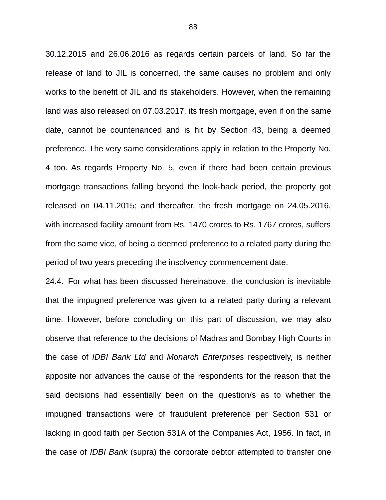30.12.2015 and 26.06.2016 as regards certain parcels of land. So far the release of land to JIL is concerned, the same causes no problem and only works to the benefit of JIL and its stakeholders. However, when the remaining land was also released on 07.03.2017, its fresh mortgage, even if on the same date, cannot be countenanced and is hit by Section 43, being a deemed preference. The very same considerations apply in relation to the Property No. 4 too. As regards Property No. 5, even if there had been certain previous mortgage transactions falling beyond the look-back period, the property got released on 04.11.2015; and thereafter, the fresh mortgage on 24.05.2016, with increased facility amount from Rs. 1470 crores to Rs. 1767 crores, suffers from the same vice, of being a deemed preference to a related party during the period of two years preceding the insolvency commencement date.

24.4. For what has been discussed hereinabove, the conclusion is inevitable that the impugned preference was given to a related party during a relevant time. However, before concluding on this part of discussion, we may also observe that reference to the decisions of Madras and Bombay High Courts in the case of *IDBI Bank Ltd* and *Monarch Enterprises* respectively, is neither apposite nor advances the cause of the respondents for the reason that the said decisions had essentially been on the question/s as to whether the impugned transactions were of fraudulent preference per Section 531 or lacking in good faith per Section 531A of the Companies Act, 1956. In fact, in the case of *IDBI Bank* (supra) the corporate debtor attempted to transfer one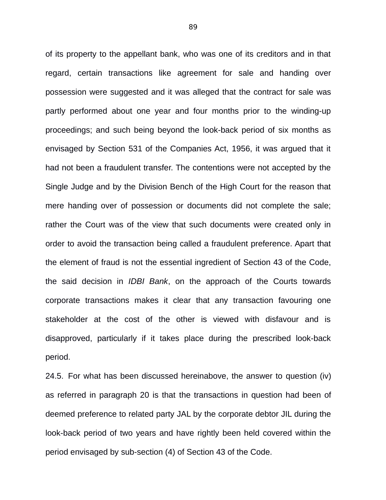of its property to the appellant bank, who was one of its creditors and in that regard, certain transactions like agreement for sale and handing over possession were suggested and it was alleged that the contract for sale was partly performed about one year and four months prior to the winding-up proceedings; and such being beyond the look-back period of six months as envisaged by Section 531 of the Companies Act, 1956, it was argued that it had not been a fraudulent transfer. The contentions were not accepted by the Single Judge and by the Division Bench of the High Court for the reason that mere handing over of possession or documents did not complete the sale; rather the Court was of the view that such documents were created only in order to avoid the transaction being called a fraudulent preference. Apart that the element of fraud is not the essential ingredient of Section 43 of the Code, the said decision in *IDBI Bank*, on the approach of the Courts towards corporate transactions makes it clear that any transaction favouring one stakeholder at the cost of the other is viewed with disfavour and is disapproved, particularly if it takes place during the prescribed look-back period.

24.5. For what has been discussed hereinabove, the answer to question (iv) as referred in paragraph 20 is that the transactions in question had been of deemed preference to related party JAL by the corporate debtor JIL during the look-back period of two years and have rightly been held covered within the period envisaged by sub-section (4) of Section 43 of the Code.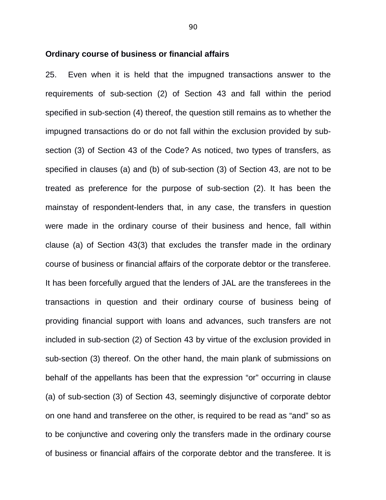#### **Ordinary course of business or financial affairs**

25. Even when it is held that the impugned transactions answer to the requirements of sub-section (2) of Section 43 and fall within the period specified in sub-section (4) thereof, the question still remains as to whether the impugned transactions do or do not fall within the exclusion provided by subsection (3) of Section 43 of the Code? As noticed, two types of transfers, as specified in clauses (a) and (b) of sub-section (3) of Section 43, are not to be treated as preference for the purpose of sub-section (2). It has been the mainstay of respondent-lenders that, in any case, the transfers in question were made in the ordinary course of their business and hence, fall within clause (a) of Section 43(3) that excludes the transfer made in the ordinary course of business or financial affairs of the corporate debtor or the transferee. It has been forcefully argued that the lenders of JAL are the transferees in the transactions in question and their ordinary course of business being of providing financial support with loans and advances, such transfers are not included in sub-section (2) of Section 43 by virtue of the exclusion provided in sub-section (3) thereof. On the other hand, the main plank of submissions on behalf of the appellants has been that the expression "or" occurring in clause (a) of sub-section (3) of Section 43, seemingly disjunctive of corporate debtor on one hand and transferee on the other, is required to be read as "and" so as to be conjunctive and covering only the transfers made in the ordinary course of business or financial affairs of the corporate debtor and the transferee. It is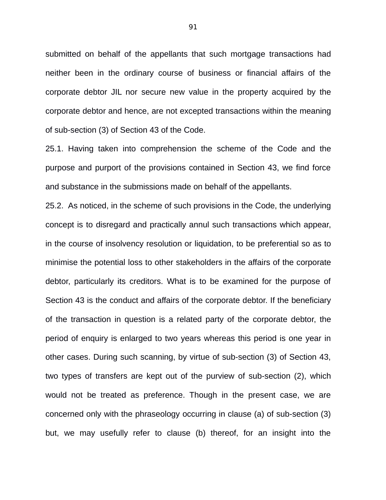submitted on behalf of the appellants that such mortgage transactions had neither been in the ordinary course of business or financial affairs of the corporate debtor JIL nor secure new value in the property acquired by the corporate debtor and hence, are not excepted transactions within the meaning of sub-section (3) of Section 43 of the Code.

25.1. Having taken into comprehension the scheme of the Code and the purpose and purport of the provisions contained in Section 43, we find force and substance in the submissions made on behalf of the appellants.

25.2. As noticed, in the scheme of such provisions in the Code, the underlying concept is to disregard and practically annul such transactions which appear, in the course of insolvency resolution or liquidation, to be preferential so as to minimise the potential loss to other stakeholders in the affairs of the corporate debtor, particularly its creditors. What is to be examined for the purpose of Section 43 is the conduct and affairs of the corporate debtor. If the beneficiary of the transaction in question is a related party of the corporate debtor, the period of enquiry is enlarged to two years whereas this period is one year in other cases. During such scanning, by virtue of sub-section (3) of Section 43, two types of transfers are kept out of the purview of sub-section (2), which would not be treated as preference. Though in the present case, we are concerned only with the phraseology occurring in clause (a) of sub-section (3) but, we may usefully refer to clause (b) thereof, for an insight into the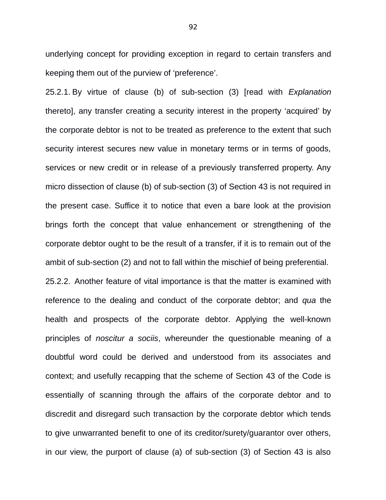underlying concept for providing exception in regard to certain transfers and keeping them out of the purview of 'preference'.

25.2.1. By virtue of clause (b) of sub-section (3) [read with *Explanation* thereto], any transfer creating a security interest in the property 'acquired' by the corporate debtor is not to be treated as preference to the extent that such security interest secures new value in monetary terms or in terms of goods, services or new credit or in release of a previously transferred property. Any micro dissection of clause (b) of sub-section (3) of Section 43 is not required in the present case. Suffice it to notice that even a bare look at the provision brings forth the concept that value enhancement or strengthening of the corporate debtor ought to be the result of a transfer, if it is to remain out of the ambit of sub-section (2) and not to fall within the mischief of being preferential. 25.2.2. Another feature of vital importance is that the matter is examined with reference to the dealing and conduct of the corporate debtor; and *qua* the health and prospects of the corporate debtor. Applying the well-known principles of *noscitur a sociis*, whereunder the questionable meaning of a doubtful word could be derived and understood from its associates and context; and usefully recapping that the scheme of Section 43 of the Code is essentially of scanning through the affairs of the corporate debtor and to discredit and disregard such transaction by the corporate debtor which tends to give unwarranted benefit to one of its creditor/surety/guarantor over others, in our view, the purport of clause (a) of sub-section (3) of Section 43 is also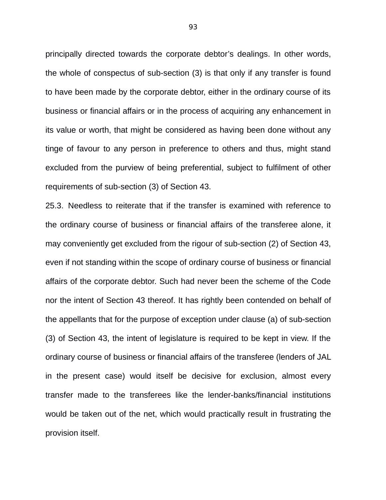principally directed towards the corporate debtor's dealings. In other words, the whole of conspectus of sub-section (3) is that only if any transfer is found to have been made by the corporate debtor, either in the ordinary course of its business or financial affairs or in the process of acquiring any enhancement in its value or worth, that might be considered as having been done without any tinge of favour to any person in preference to others and thus, might stand excluded from the purview of being preferential, subject to fulfilment of other requirements of sub-section (3) of Section 43.

25.3. Needless to reiterate that if the transfer is examined with reference to the ordinary course of business or financial affairs of the transferee alone, it may conveniently get excluded from the rigour of sub-section (2) of Section 43, even if not standing within the scope of ordinary course of business or financial affairs of the corporate debtor. Such had never been the scheme of the Code nor the intent of Section 43 thereof. It has rightly been contended on behalf of the appellants that for the purpose of exception under clause (a) of sub-section (3) of Section 43, the intent of legislature is required to be kept in view. If the ordinary course of business or financial affairs of the transferee (lenders of JAL in the present case) would itself be decisive for exclusion, almost every transfer made to the transferees like the lender-banks/financial institutions would be taken out of the net, which would practically result in frustrating the provision itself.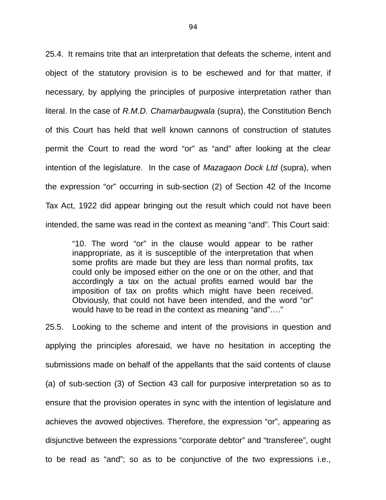25.4. It remains trite that an interpretation that defeats the scheme, intent and object of the statutory provision is to be eschewed and for that matter, if necessary, by applying the principles of purposive interpretation rather than literal. In the case of *R.M.D. Chamarbaugwala* (supra), the Constitution Bench of this Court has held that well known cannons of construction of statutes permit the Court to read the word "or" as "and" after looking at the clear intention of the legislature. In the case of *Mazagaon Dock Ltd* (supra), when the expression "or" occurring in sub-section (2) of Section 42 of the Income Tax Act, 1922 did appear bringing out the result which could not have been intended, the same was read in the context as meaning "and". This Court said:

"10. The word "or" in the clause would appear to be rather inappropriate, as it is susceptible of the interpretation that when some profits are made but they are less than normal profits, tax could only be imposed either on the one or on the other, and that accordingly a tax on the actual profits earned would bar the imposition of tax on profits which might have been received. Obviously, that could not have been intended, and the word "or" would have to be read in the context as meaning "and"…."

25.5. Looking to the scheme and intent of the provisions in question and applying the principles aforesaid, we have no hesitation in accepting the submissions made on behalf of the appellants that the said contents of clause (a) of sub-section (3) of Section 43 call for purposive interpretation so as to ensure that the provision operates in sync with the intention of legislature and achieves the avowed objectives. Therefore, the expression "or", appearing as disjunctive between the expressions "corporate debtor" and "transferee", ought to be read as "and"; so as to be conjunctive of the two expressions i.e.,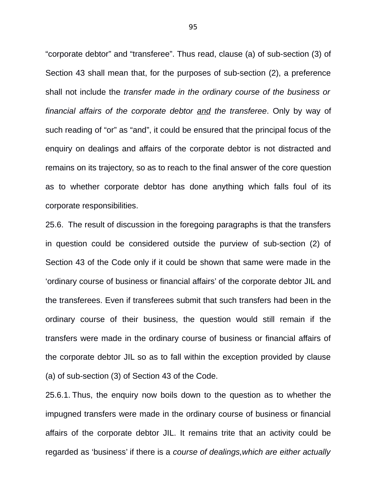"corporate debtor" and "transferee". Thus read, clause (a) of sub-section (3) of Section 43 shall mean that, for the purposes of sub-section (2), a preference shall not include the *transfer made in the ordinary course of the business or financial affairs of the corporate debtor and the transferee*. Only by way of such reading of "or" as "and", it could be ensured that the principal focus of the enquiry on dealings and affairs of the corporate debtor is not distracted and remains on its trajectory, so as to reach to the final answer of the core question as to whether corporate debtor has done anything which falls foul of its corporate responsibilities.

25.6. The result of discussion in the foregoing paragraphs is that the transfers in question could be considered outside the purview of sub-section (2) of Section 43 of the Code only if it could be shown that same were made in the 'ordinary course of business or financial affairs' of the corporate debtor JIL and the transferees. Even if transferees submit that such transfers had been in the ordinary course of their business, the question would still remain if the transfers were made in the ordinary course of business or financial affairs of the corporate debtor JIL so as to fall within the exception provided by clause (a) of sub-section (3) of Section 43 of the Code.

25.6.1. Thus, the enquiry now boils down to the question as to whether the impugned transfers were made in the ordinary course of business or financial affairs of the corporate debtor JIL. It remains trite that an activity could be regarded as 'business' if there is a *course of dealings,which are either actually*

95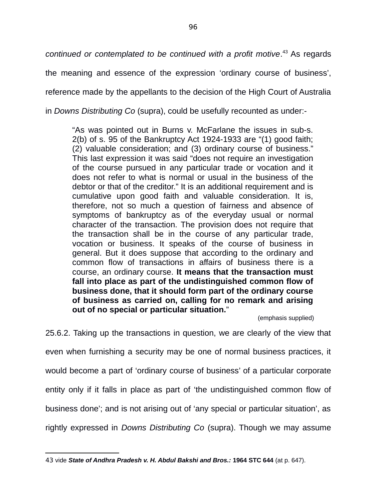*continued or contemplated to be continued with a profit motive*. [43](#page--1-3) As regards

the meaning and essence of the expression 'ordinary course of business',

reference made by the appellants to the decision of the High Court of Australia

in *Downs Distributing Co* (supra), could be usefully recounted as under:-

"As was pointed out in Burns v. McFarlane the issues in sub-s. 2(b) of s. 95 of the Bankruptcy Act 1924-1933 are "(1) good faith; (2) valuable consideration; and (3) ordinary course of business." This last expression it was said "does not require an investigation of the course pursued in any particular trade or vocation and it does not refer to what is normal or usual in the business of the debtor or that of the creditor." It is an additional requirement and is cumulative upon good faith and valuable consideration. It is, therefore, not so much a question of fairness and absence of symptoms of bankruptcy as of the everyday usual or normal character of the transaction. The provision does not require that the transaction shall be in the course of any particular trade, vocation or business. It speaks of the course of business in general. But it does suppose that according to the ordinary and common flow of transactions in affairs of business there is a course, an ordinary course. **It means that the transaction must fall into place as part of the undistinguished common flow of business done, that it should form part of the ordinary course of business as carried on, calling for no remark and arising out of no special or particular situation.**"

(emphasis supplied)

25.6.2. Taking up the transactions in question, we are clearly of the view that even when furnishing a security may be one of normal business practices, it would become a part of 'ordinary course of business' of a particular corporate entity only if it falls in place as part of 'the undistinguished common flow of business done'; and is not arising out of 'any special or particular situation', as rightly expressed in *Downs Distributing Co* (supra). Though we may assume

<sup>43</sup> vide *State of Andhra Pradesh v. H. Abdul Bakshi and Bros.:* **1964 STC 644** (at p. 647).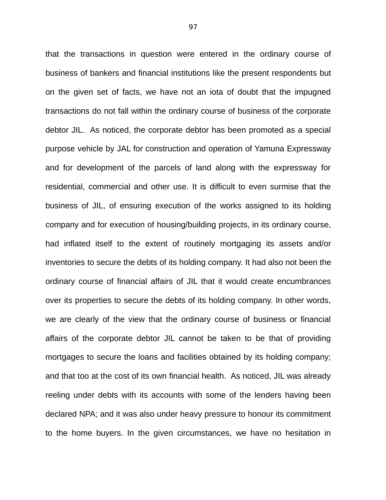that the transactions in question were entered in the ordinary course of business of bankers and financial institutions like the present respondents but on the given set of facts, we have not an iota of doubt that the impugned transactions do not fall within the ordinary course of business of the corporate debtor JIL. As noticed, the corporate debtor has been promoted as a special purpose vehicle by JAL for construction and operation of Yamuna Expressway and for development of the parcels of land along with the expressway for residential, commercial and other use. It is difficult to even surmise that the business of JIL, of ensuring execution of the works assigned to its holding company and for execution of housing/building projects, in its ordinary course, had inflated itself to the extent of routinely mortgaging its assets and/or inventories to secure the debts of its holding company. It had also not been the ordinary course of financial affairs of JIL that it would create encumbrances over its properties to secure the debts of its holding company. In other words, we are clearly of the view that the ordinary course of business or financial affairs of the corporate debtor JIL cannot be taken to be that of providing mortgages to secure the loans and facilities obtained by its holding company; and that too at the cost of its own financial health. As noticed, JIL was already reeling under debts with its accounts with some of the lenders having been declared NPA; and it was also under heavy pressure to honour its commitment to the home buyers. In the given circumstances, we have no hesitation in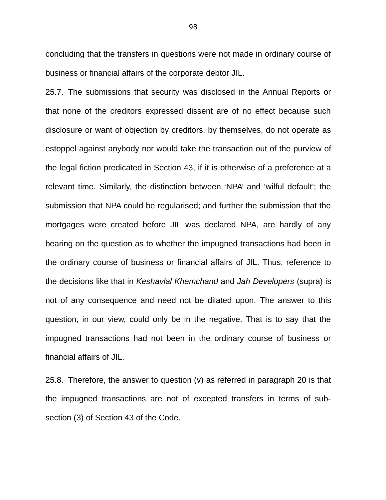concluding that the transfers in questions were not made in ordinary course of business or financial affairs of the corporate debtor JIL.

25.7. The submissions that security was disclosed in the Annual Reports or that none of the creditors expressed dissent are of no effect because such disclosure or want of objection by creditors, by themselves, do not operate as estoppel against anybody nor would take the transaction out of the purview of the legal fiction predicated in Section 43, if it is otherwise of a preference at a relevant time. Similarly, the distinction between 'NPA' and 'wilful default'; the submission that NPA could be regularised; and further the submission that the mortgages were created before JIL was declared NPA, are hardly of any bearing on the question as to whether the impugned transactions had been in the ordinary course of business or financial affairs of JIL. Thus, reference to the decisions like that in *Keshavlal Khemchand* and *Jah Developers* (supra) is not of any consequence and need not be dilated upon. The answer to this question, in our view, could only be in the negative. That is to say that the impugned transactions had not been in the ordinary course of business or financial affairs of JIL.

25.8. Therefore, the answer to question (v) as referred in paragraph 20 is that the impugned transactions are not of excepted transfers in terms of subsection (3) of Section 43 of the Code.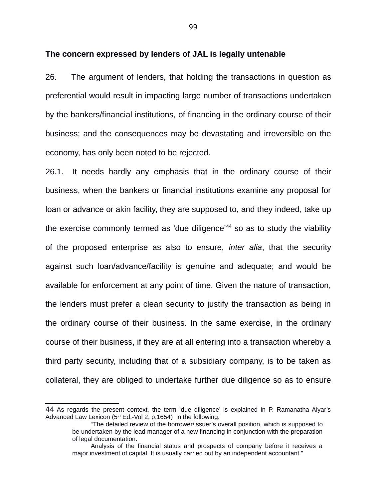#### **The concern expressed by lenders of JAL is legally untenable**

26. The argument of lenders, that holding the transactions in question as preferential would result in impacting large number of transactions undertaken by the bankers/financial institutions, of financing in the ordinary course of their business; and the consequences may be devastating and irreversible on the economy, has only been noted to be rejected.

26.1. It needs hardly any emphasis that in the ordinary course of their business, when the bankers or financial institutions examine any proposal for loan or advance or akin facility, they are supposed to, and they indeed, take up the exercise commonly termed as 'due diligence'<sup>[44](#page--1-4)</sup> so as to study the viability of the proposed enterprise as also to ensure, *inter alia*, that the security against such loan/advance/facility is genuine and adequate; and would be available for enforcement at any point of time. Given the nature of transaction, the lenders must prefer a clean security to justify the transaction as being in the ordinary course of their business. In the same exercise, in the ordinary course of their business, if they are at all entering into a transaction whereby a third party security, including that of a subsidiary company, is to be taken as collateral, they are obliged to undertake further due diligence so as to ensure

<sup>44</sup> As regards the present context, the term 'due diligence' is explained in P. Ramanatha Aiyar's Advanced Law Lexicon  $(5<sup>th</sup> Ed.-Vol 2, p.1654)$  in the following:

<sup>&</sup>quot;The detailed review of the borrower/issuer's overall position, which is supposed to be undertaken by the lead manager of a new financing in conjunction with the preparation of legal documentation.

Analysis of the financial status and prospects of company before it receives a major investment of capital. It is usually carried out by an independent accountant."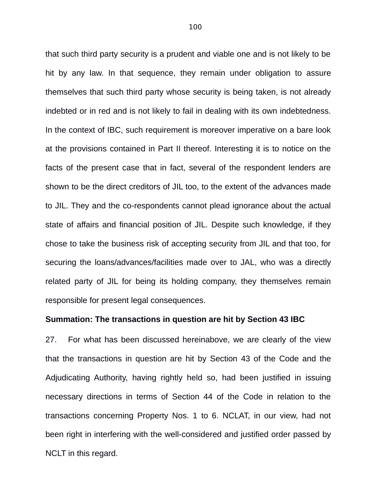that such third party security is a prudent and viable one and is not likely to be hit by any law. In that sequence, they remain under obligation to assure themselves that such third party whose security is being taken, is not already indebted or in red and is not likely to fail in dealing with its own indebtedness. In the context of IBC, such requirement is moreover imperative on a bare look at the provisions contained in Part II thereof. Interesting it is to notice on the facts of the present case that in fact, several of the respondent lenders are shown to be the direct creditors of JIL too, to the extent of the advances made to JIL. They and the co-respondents cannot plead ignorance about the actual state of affairs and financial position of JIL. Despite such knowledge, if they chose to take the business risk of accepting security from JIL and that too, for securing the loans/advances/facilities made over to JAL, who was a directly related party of JIL for being its holding company, they themselves remain responsible for present legal consequences.

#### **Summation: The transactions in question are hit by Section 43 IBC**

27. For what has been discussed hereinabove, we are clearly of the view that the transactions in question are hit by Section 43 of the Code and the Adjudicating Authority, having rightly held so, had been justified in issuing necessary directions in terms of Section 44 of the Code in relation to the transactions concerning Property Nos. 1 to 6. NCLAT, in our view, had not been right in interfering with the well-considered and justified order passed by NCLT in this regard.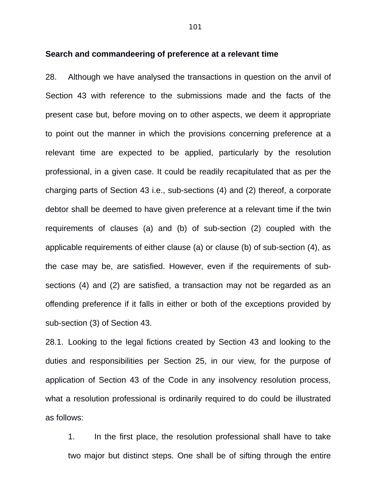#### **Search and commandeering of preference at a relevant time**

28. Although we have analysed the transactions in question on the anvil of Section 43 with reference to the submissions made and the facts of the present case but, before moving on to other aspects, we deem it appropriate to point out the manner in which the provisions concerning preference at a relevant time are expected to be applied, particularly by the resolution professional, in a given case. It could be readily recapitulated that as per the charging parts of Section 43 i.e., sub-sections (4) and (2) thereof, a corporate debtor shall be deemed to have given preference at a relevant time if the twin requirements of clauses (a) and (b) of sub-section (2) coupled with the applicable requirements of either clause (a) or clause (b) of sub-section (4), as the case may be, are satisfied. However, even if the requirements of subsections (4) and (2) are satisfied, a transaction may not be regarded as an offending preference if it falls in either or both of the exceptions provided by sub-section (3) of Section 43.

28.1. Looking to the legal fictions created by Section 43 and looking to the duties and responsibilities per Section 25, in our view, for the purpose of application of Section 43 of the Code in any insolvency resolution process, what a resolution professional is ordinarily required to do could be illustrated as follows:

1. In the first place, the resolution professional shall have to take two major but distinct steps. One shall be of sifting through the entire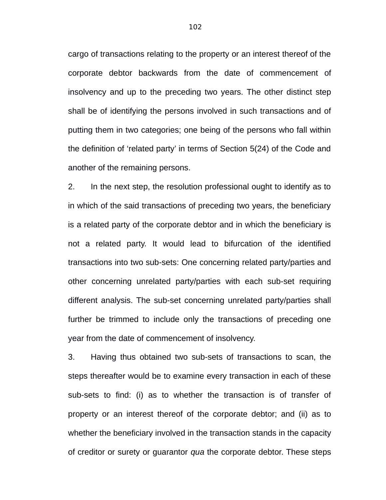cargo of transactions relating to the property or an interest thereof of the corporate debtor backwards from the date of commencement of insolvency and up to the preceding two years. The other distinct step shall be of identifying the persons involved in such transactions and of putting them in two categories; one being of the persons who fall within the definition of 'related party' in terms of Section 5(24) of the Code and another of the remaining persons.

2. In the next step, the resolution professional ought to identify as to in which of the said transactions of preceding two years, the beneficiary is a related party of the corporate debtor and in which the beneficiary is not a related party. It would lead to bifurcation of the identified transactions into two sub-sets: One concerning related party/parties and other concerning unrelated party/parties with each sub-set requiring different analysis. The sub-set concerning unrelated party/parties shall further be trimmed to include only the transactions of preceding one year from the date of commencement of insolvency.

3. Having thus obtained two sub-sets of transactions to scan, the steps thereafter would be to examine every transaction in each of these sub-sets to find: (i) as to whether the transaction is of transfer of property or an interest thereof of the corporate debtor; and (ii) as to whether the beneficiary involved in the transaction stands in the capacity of creditor or surety or guarantor *qua* the corporate debtor. These steps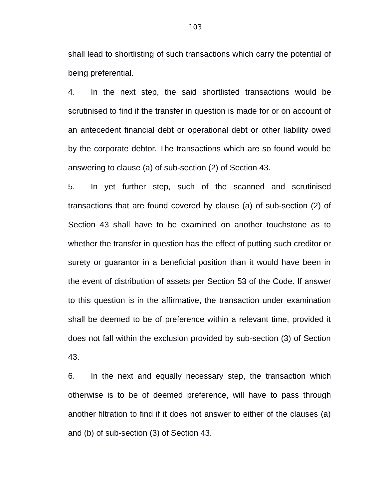shall lead to shortlisting of such transactions which carry the potential of being preferential.

4. In the next step, the said shortlisted transactions would be scrutinised to find if the transfer in question is made for or on account of an antecedent financial debt or operational debt or other liability owed by the corporate debtor. The transactions which are so found would be answering to clause (a) of sub-section (2) of Section 43.

5. In yet further step, such of the scanned and scrutinised transactions that are found covered by clause (a) of sub-section (2) of Section 43 shall have to be examined on another touchstone as to whether the transfer in question has the effect of putting such creditor or surety or guarantor in a beneficial position than it would have been in the event of distribution of assets per Section 53 of the Code. If answer to this question is in the affirmative, the transaction under examination shall be deemed to be of preference within a relevant time, provided it does not fall within the exclusion provided by sub-section (3) of Section 43.

6. In the next and equally necessary step, the transaction which otherwise is to be of deemed preference, will have to pass through another filtration to find if it does not answer to either of the clauses (a) and (b) of sub-section (3) of Section 43.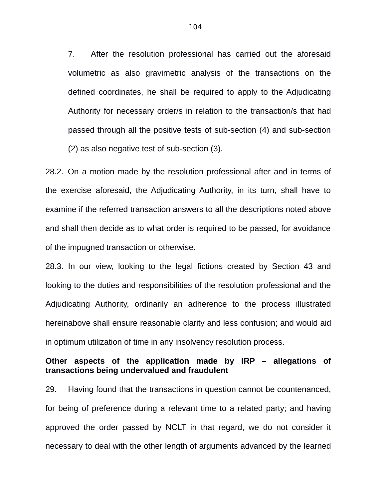7. After the resolution professional has carried out the aforesaid volumetric as also gravimetric analysis of the transactions on the defined coordinates, he shall be required to apply to the Adjudicating Authority for necessary order/s in relation to the transaction/s that had passed through all the positive tests of sub-section (4) and sub-section (2) as also negative test of sub-section (3).

28.2. On a motion made by the resolution professional after and in terms of the exercise aforesaid, the Adjudicating Authority, in its turn, shall have to examine if the referred transaction answers to all the descriptions noted above and shall then decide as to what order is required to be passed, for avoidance of the impugned transaction or otherwise.

28.3. In our view, looking to the legal fictions created by Section 43 and looking to the duties and responsibilities of the resolution professional and the Adjudicating Authority, ordinarily an adherence to the process illustrated hereinabove shall ensure reasonable clarity and less confusion; and would aid in optimum utilization of time in any insolvency resolution process.

## **Other aspects of the application made by IRP – allegations of transactions being undervalued and fraudulent**

29. Having found that the transactions in question cannot be countenanced, for being of preference during a relevant time to a related party; and having approved the order passed by NCLT in that regard, we do not consider it necessary to deal with the other length of arguments advanced by the learned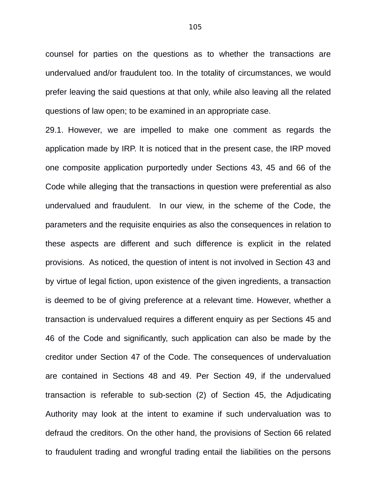counsel for parties on the questions as to whether the transactions are undervalued and/or fraudulent too. In the totality of circumstances, we would prefer leaving the said questions at that only, while also leaving all the related questions of law open; to be examined in an appropriate case.

29.1. However, we are impelled to make one comment as regards the application made by IRP. It is noticed that in the present case, the IRP moved one composite application purportedly under Sections 43, 45 and 66 of the Code while alleging that the transactions in question were preferential as also undervalued and fraudulent. In our view, in the scheme of the Code, the parameters and the requisite enquiries as also the consequences in relation to these aspects are different and such difference is explicit in the related provisions. As noticed, the question of intent is not involved in Section 43 and by virtue of legal fiction, upon existence of the given ingredients, a transaction is deemed to be of giving preference at a relevant time. However, whether a transaction is undervalued requires a different enquiry as per Sections 45 and 46 of the Code and significantly, such application can also be made by the creditor under Section 47 of the Code. The consequences of undervaluation are contained in Sections 48 and 49. Per Section 49, if the undervalued transaction is referable to sub-section (2) of Section 45, the Adjudicating Authority may look at the intent to examine if such undervaluation was to defraud the creditors. On the other hand, the provisions of Section 66 related to fraudulent trading and wrongful trading entail the liabilities on the persons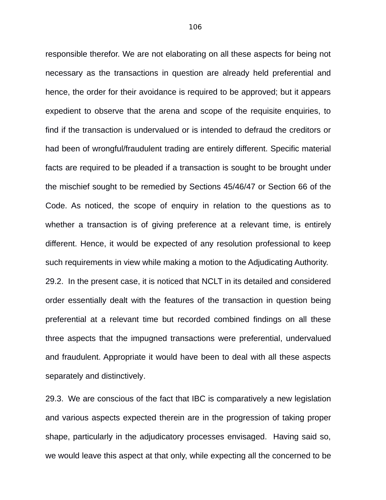responsible therefor. We are not elaborating on all these aspects for being not necessary as the transactions in question are already held preferential and hence, the order for their avoidance is required to be approved; but it appears expedient to observe that the arena and scope of the requisite enquiries, to find if the transaction is undervalued or is intended to defraud the creditors or had been of wrongful/fraudulent trading are entirely different. Specific material facts are required to be pleaded if a transaction is sought to be brought under the mischief sought to be remedied by Sections 45/46/47 or Section 66 of the Code. As noticed, the scope of enquiry in relation to the questions as to whether a transaction is of giving preference at a relevant time, is entirely different. Hence, it would be expected of any resolution professional to keep such requirements in view while making a motion to the Adjudicating Authority. 29.2. In the present case, it is noticed that NCLT in its detailed and considered order essentially dealt with the features of the transaction in question being preferential at a relevant time but recorded combined findings on all these three aspects that the impugned transactions were preferential, undervalued and fraudulent. Appropriate it would have been to deal with all these aspects separately and distinctively.

29.3. We are conscious of the fact that IBC is comparatively a new legislation and various aspects expected therein are in the progression of taking proper shape, particularly in the adjudicatory processes envisaged. Having said so, we would leave this aspect at that only, while expecting all the concerned to be

106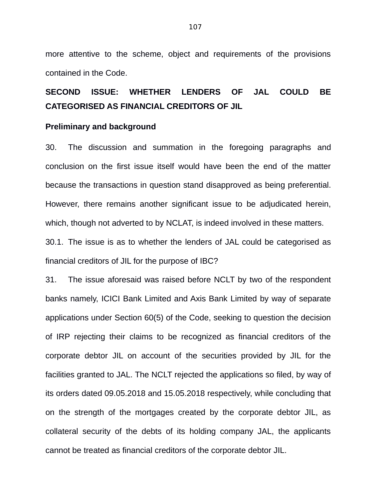more attentive to the scheme, object and requirements of the provisions contained in the Code.

# **SECOND ISSUE: WHETHER LENDERS OF JAL COULD BE CATEGORISED AS FINANCIAL CREDITORS OF JIL**

#### **Preliminary and background**

30. The discussion and summation in the foregoing paragraphs and conclusion on the first issue itself would have been the end of the matter because the transactions in question stand disapproved as being preferential. However, there remains another significant issue to be adjudicated herein, which, though not adverted to by NCLAT, is indeed involved in these matters. 30.1. The issue is as to whether the lenders of JAL could be categorised as financial creditors of JIL for the purpose of IBC?

31. The issue aforesaid was raised before NCLT by two of the respondent banks namely, ICICI Bank Limited and Axis Bank Limited by way of separate applications under Section 60(5) of the Code, seeking to question the decision of IRP rejecting their claims to be recognized as financial creditors of the corporate debtor JIL on account of the securities provided by JIL for the facilities granted to JAL. The NCLT rejected the applications so filed, by way of its orders dated 09.05.2018 and 15.05.2018 respectively, while concluding that on the strength of the mortgages created by the corporate debtor JIL, as collateral security of the debts of its holding company JAL, the applicants cannot be treated as financial creditors of the corporate debtor JIL.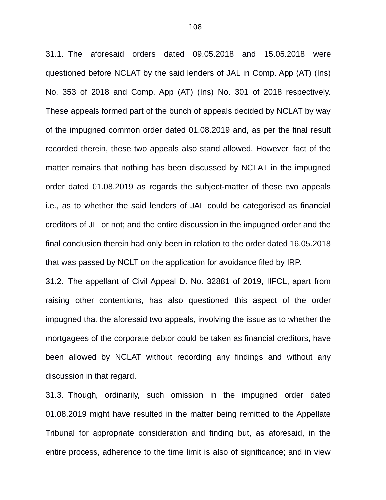31.1. The aforesaid orders dated 09.05.2018 and 15.05.2018 were questioned before NCLAT by the said lenders of JAL in Comp. App (AT) (Ins) No. 353 of 2018 and Comp. App (AT) (Ins) No. 301 of 2018 respectively. These appeals formed part of the bunch of appeals decided by NCLAT by way of the impugned common order dated 01.08.2019 and, as per the final result recorded therein, these two appeals also stand allowed. However, fact of the matter remains that nothing has been discussed by NCLAT in the impugned order dated 01.08.2019 as regards the subject-matter of these two appeals i.e., as to whether the said lenders of JAL could be categorised as financial creditors of JIL or not; and the entire discussion in the impugned order and the final conclusion therein had only been in relation to the order dated 16.05.2018 that was passed by NCLT on the application for avoidance filed by IRP.

31.2. The appellant of Civil Appeal D. No. 32881 of 2019, IIFCL, apart from raising other contentions, has also questioned this aspect of the order impugned that the aforesaid two appeals, involving the issue as to whether the mortgagees of the corporate debtor could be taken as financial creditors, have been allowed by NCLAT without recording any findings and without any discussion in that regard.

31.3. Though, ordinarily, such omission in the impugned order dated 01.08.2019 might have resulted in the matter being remitted to the Appellate Tribunal for appropriate consideration and finding but, as aforesaid, in the entire process, adherence to the time limit is also of significance; and in view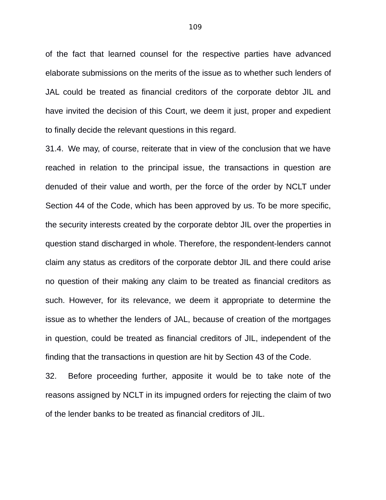of the fact that learned counsel for the respective parties have advanced elaborate submissions on the merits of the issue as to whether such lenders of JAL could be treated as financial creditors of the corporate debtor JIL and have invited the decision of this Court, we deem it just, proper and expedient to finally decide the relevant questions in this regard.

31.4. We may, of course, reiterate that in view of the conclusion that we have reached in relation to the principal issue, the transactions in question are denuded of their value and worth, per the force of the order by NCLT under Section 44 of the Code, which has been approved by us. To be more specific, the security interests created by the corporate debtor JIL over the properties in question stand discharged in whole. Therefore, the respondent-lenders cannot claim any status as creditors of the corporate debtor JIL and there could arise no question of their making any claim to be treated as financial creditors as such. However, for its relevance, we deem it appropriate to determine the issue as to whether the lenders of JAL, because of creation of the mortgages in question, could be treated as financial creditors of JIL, independent of the finding that the transactions in question are hit by Section 43 of the Code.

32. Before proceeding further, apposite it would be to take note of the reasons assigned by NCLT in its impugned orders for rejecting the claim of two of the lender banks to be treated as financial creditors of JIL.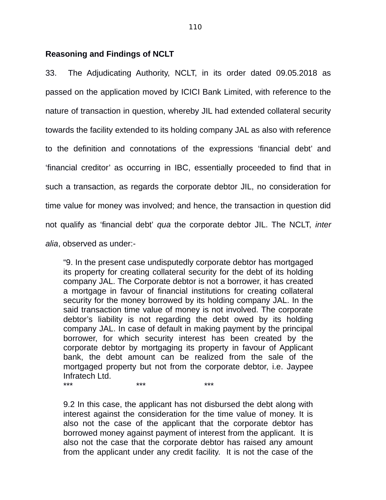#### **Reasoning and Findings of NCLT**

33. The Adjudicating Authority, NCLT, in its order dated 09.05.2018 as passed on the application moved by ICICI Bank Limited, with reference to the nature of transaction in question, whereby JIL had extended collateral security towards the facility extended to its holding company JAL as also with reference to the definition and connotations of the expressions 'financial debt' and 'financial creditor' as occurring in IBC, essentially proceeded to find that in such a transaction, as regards the corporate debtor JIL, no consideration for time value for money was involved; and hence, the transaction in question did not qualify as 'financial debt' *qua* the corporate debtor JIL. The NCLT, *inter alia*, observed as under:-

"9. In the present case undisputedly corporate debtor has mortgaged its property for creating collateral security for the debt of its holding company JAL. The Corporate debtor is not a borrower, it has created a mortgage in favour of financial institutions for creating collateral security for the money borrowed by its holding company JAL. In the said transaction time value of money is not involved. The corporate debtor's liability is not regarding the debt owed by its holding company JAL. In case of default in making payment by the principal borrower, for which security interest has been created by the corporate debtor by mortgaging its property in favour of Applicant bank, the debt amount can be realized from the sale of the mortgaged property but not from the corporate debtor, i.e. Jaypee Infratech Ltd. \*\*\* \*\*\* \*\*\*

9.2 In this case, the applicant has not disbursed the debt along with interest against the consideration for the time value of money. It is also not the case of the applicant that the corporate debtor has borrowed money against payment of interest from the applicant. It is also not the case that the corporate debtor has raised any amount from the applicant under any credit facility. It is not the case of the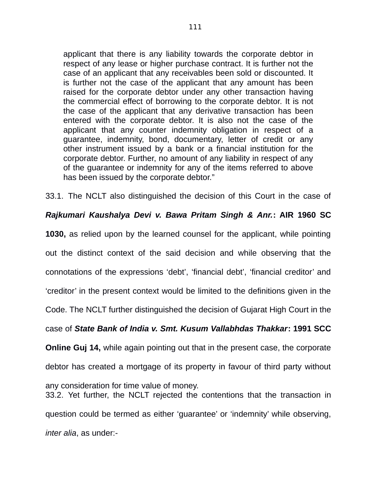applicant that there is any liability towards the corporate debtor in respect of any lease or higher purchase contract. It is further not the case of an applicant that any receivables been sold or discounted. It is further not the case of the applicant that any amount has been raised for the corporate debtor under any other transaction having the commercial effect of borrowing to the corporate debtor. It is not the case of the applicant that any derivative transaction has been entered with the corporate debtor. It is also not the case of the applicant that any counter indemnity obligation in respect of a guarantee, indemnity, bond, documentary, letter of credit or any other instrument issued by a bank or a financial institution for the corporate debtor. Further, no amount of any liability in respect of any of the guarantee or indemnity for any of the items referred to above has been issued by the corporate debtor."

33.1. The NCLT also distinguished the decision of this Court in the case of

### *Rajkumari Kaushalya Devi v. Bawa Pritam Singh & Anr.***: AIR 1960 SC**

**1030,** as relied upon by the learned counsel for the applicant, while pointing

out the distinct context of the said decision and while observing that the

connotations of the expressions 'debt', 'financial debt', 'financial creditor' and

'creditor' in the present context would be limited to the definitions given in the

Code. The NCLT further distinguished the decision of Gujarat High Court in the

## case of *State Bank of India v. Smt. Kusum Vallabhdas Thakkar***: 1991 SCC**

**Online Guj 14,** while again pointing out that in the present case, the corporate

debtor has created a mortgage of its property in favour of third party without

any consideration for time value of money.

33.2. Yet further, the NCLT rejected the contentions that the transaction in question could be termed as either 'guarantee' or 'indemnity' while observing, *inter alia*, as under:-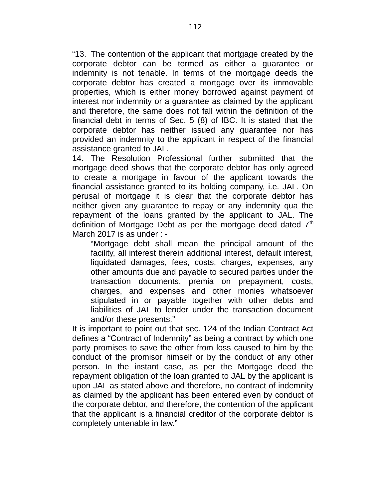"13. The contention of the applicant that mortgage created by the corporate debtor can be termed as either a guarantee or indemnity is not tenable. In terms of the mortgage deeds the corporate debtor has created a mortgage over its immovable properties, which is either money borrowed against payment of interest nor indemnity or a guarantee as claimed by the applicant and therefore, the same does not fall within the definition of the financial debt in terms of Sec. 5 (8) of IBC. It is stated that the corporate debtor has neither issued any guarantee nor has provided an indemnity to the applicant in respect of the financial assistance granted to JAL.

14. The Resolution Professional further submitted that the mortgage deed shows that the corporate debtor has only agreed to create a mortgage in favour of the applicant towards the financial assistance granted to its holding company, i.e. JAL. On perusal of mortgage it is clear that the corporate debtor has neither given any guarantee to repay or any indemnity qua the repayment of the loans granted by the applicant to JAL. The definition of Mortgage Debt as per the mortgage deed dated  $7<sup>th</sup>$ March 2017 is as under : -

"Mortgage debt shall mean the principal amount of the facility, all interest therein additional interest, default interest, liquidated damages, fees, costs, charges, expenses, any other amounts due and payable to secured parties under the transaction documents, premia on prepayment, costs, charges, and expenses and other monies whatsoever stipulated in or payable together with other debts and liabilities of JAL to lender under the transaction document and/or these presents."

It is important to point out that sec. 124 of the Indian Contract Act defines a "Contract of Indemnity" as being a contract by which one party promises to save the other from loss caused to him by the conduct of the promisor himself or by the conduct of any other person. In the instant case, as per the Mortgage deed the repayment obligation of the loan granted to JAL by the applicant is upon JAL as stated above and therefore, no contract of indemnity as claimed by the applicant has been entered even by conduct of the corporate debtor, and therefore, the contention of the applicant that the applicant is a financial creditor of the corporate debtor is completely untenable in law."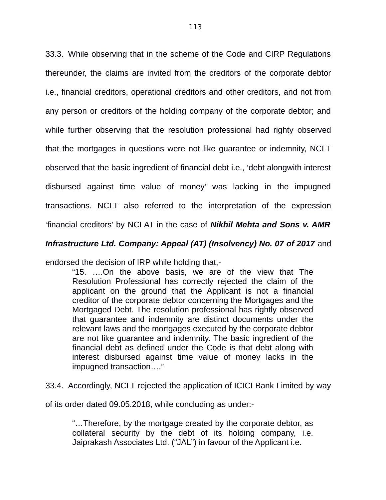33.3. While observing that in the scheme of the Code and CIRP Regulations thereunder, the claims are invited from the creditors of the corporate debtor i.e., financial creditors, operational creditors and other creditors, and not from any person or creditors of the holding company of the corporate debtor; and while further observing that the resolution professional had righty observed that the mortgages in questions were not like guarantee or indemnity, NCLT observed that the basic ingredient of financial debt i.e., 'debt alongwith interest disbursed against time value of money' was lacking in the impugned transactions. NCLT also referred to the interpretation of the expression 'financial creditors' by NCLAT in the case of *Nikhil Mehta and Sons v. AMR*

### *Infrastructure Ltd. Company: Appeal (AT) (Insolvency) No. 07 of 2017* and

endorsed the decision of IRP while holding that,-

"15. ….On the above basis, we are of the view that The Resolution Professional has correctly rejected the claim of the applicant on the ground that the Applicant is not a financial creditor of the corporate debtor concerning the Mortgages and the Mortgaged Debt. The resolution professional has rightly observed that guarantee and indemnity are distinct documents under the relevant laws and the mortgages executed by the corporate debtor are not like guarantee and indemnity. The basic ingredient of the financial debt as defined under the Code is that debt along with interest disbursed against time value of money lacks in the impugned transaction…."

33.4. Accordingly, NCLT rejected the application of ICICI Bank Limited by way

of its order dated 09.05.2018, while concluding as under:-

"…Therefore, by the mortgage created by the corporate debtor, as collateral security by the debt of its holding company, i.e. Jaiprakash Associates Ltd. ("JAL") in favour of the Applicant i.e.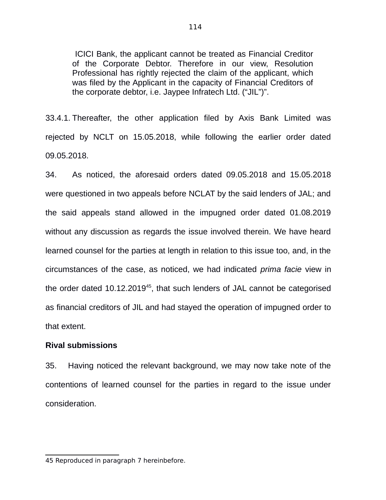ICICI Bank, the applicant cannot be treated as Financial Creditor of the Corporate Debtor. Therefore in our view, Resolution Professional has rightly rejected the claim of the applicant, which was filed by the Applicant in the capacity of Financial Creditors of the corporate debtor, i.e. Jaypee Infratech Ltd. ("JIL")".

33.4.1. Thereafter, the other application filed by Axis Bank Limited was rejected by NCLT on 15.05.2018, while following the earlier order dated 09.05.2018.

34. As noticed, the aforesaid orders dated 09.05.2018 and 15.05.2018 were questioned in two appeals before NCLAT by the said lenders of JAL; and the said appeals stand allowed in the impugned order dated 01.08.2019 without any discussion as regards the issue involved therein. We have heard learned counsel for the parties at length in relation to this issue too, and, in the circumstances of the case, as noticed, we had indicated *prima facie* view in the order dated 10.12.2019<sup>[45](#page--1-0)</sup>, that such lenders of JAL cannot be categorised as financial creditors of JIL and had stayed the operation of impugned order to that extent.

#### **Rival submissions**

35. Having noticed the relevant background, we may now take note of the contentions of learned counsel for the parties in regard to the issue under consideration.

<sup>45</sup> Reproduced in paragraph 7 hereinbefore.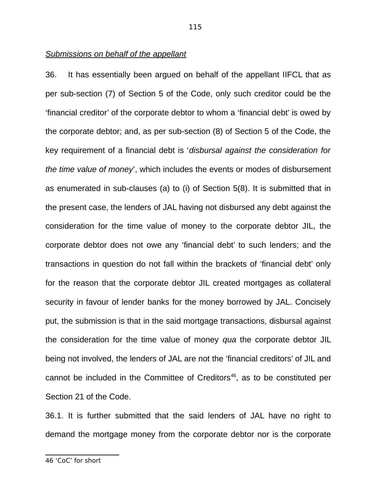#### *Submissions on behalf of the appellant*

36. It has essentially been argued on behalf of the appellant IIFCL that as per sub-section (7) of Section 5 of the Code, only such creditor could be the 'financial creditor' of the corporate debtor to whom a 'financial debt' is owed by the corporate debtor; and, as per sub-section (8) of Section 5 of the Code, the key requirement of a financial debt is '*disbursal against the consideration for the time value of money*', which includes the events or modes of disbursement as enumerated in sub-clauses (a) to (i) of Section 5(8). It is submitted that in the present case, the lenders of JAL having not disbursed any debt against the consideration for the time value of money to the corporate debtor JIL, the corporate debtor does not owe any 'financial debt' to such lenders; and the transactions in question do not fall within the brackets of 'financial debt' only for the reason that the corporate debtor JIL created mortgages as collateral security in favour of lender banks for the money borrowed by JAL. Concisely put, the submission is that in the said mortgage transactions, disbursal against the consideration for the time value of money *qua* the corporate debtor JIL being not involved, the lenders of JAL are not the 'financial creditors' of JIL and cannot be included in the Committee of Creditors<sup>[46](#page--1-0)</sup>, as to be constituted per Section 21 of the Code.

36.1. It is further submitted that the said lenders of JAL have no right to demand the mortgage money from the corporate debtor nor is the corporate

<sup>46 &#</sup>x27;CoC' for short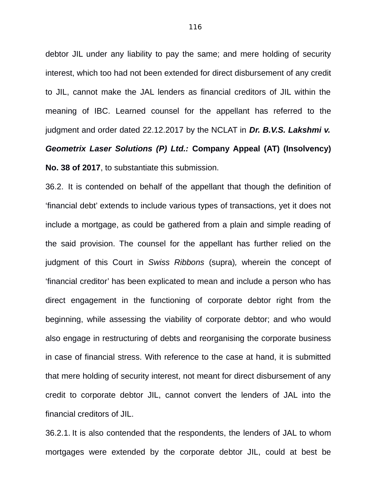debtor JIL under any liability to pay the same; and mere holding of security interest, which too had not been extended for direct disbursement of any credit to JIL, cannot make the JAL lenders as financial creditors of JIL within the meaning of IBC. Learned counsel for the appellant has referred to the judgment and order dated 22.12.2017 by the NCLAT in *Dr. B.V.S. Lakshmi v. Geometrix Laser Solutions (P) Ltd.:* **Company Appeal (AT) (Insolvency) No. 38 of 2017**, to substantiate this submission.

36.2. It is contended on behalf of the appellant that though the definition of 'financial debt' extends to include various types of transactions, yet it does not include a mortgage, as could be gathered from a plain and simple reading of the said provision. The counsel for the appellant has further relied on the judgment of this Court in *Swiss Ribbons* (supra)*,* wherein the concept of 'financial creditor' has been explicated to mean and include a person who has direct engagement in the functioning of corporate debtor right from the beginning, while assessing the viability of corporate debtor; and who would also engage in restructuring of debts and reorganising the corporate business in case of financial stress. With reference to the case at hand, it is submitted that mere holding of security interest, not meant for direct disbursement of any credit to corporate debtor JIL, cannot convert the lenders of JAL into the financial creditors of JIL.

36.2.1. It is also contended that the respondents, the lenders of JAL to whom mortgages were extended by the corporate debtor JIL, could at best be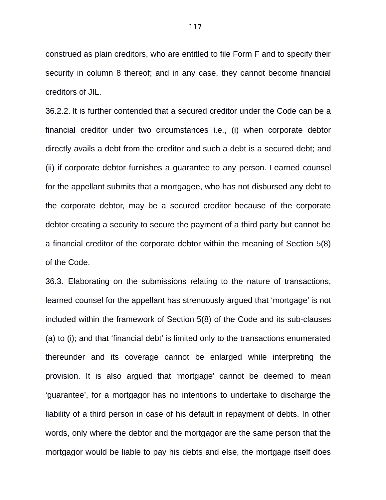construed as plain creditors, who are entitled to file Form F and to specify their security in column 8 thereof; and in any case, they cannot become financial creditors of JIL.

36.2.2. It is further contended that a secured creditor under the Code can be a financial creditor under two circumstances i.e., (i) when corporate debtor directly avails a debt from the creditor and such a debt is a secured debt; and (ii) if corporate debtor furnishes a guarantee to any person. Learned counsel for the appellant submits that a mortgagee, who has not disbursed any debt to the corporate debtor, may be a secured creditor because of the corporate debtor creating a security to secure the payment of a third party but cannot be a financial creditor of the corporate debtor within the meaning of Section 5(8) of the Code.

36.3. Elaborating on the submissions relating to the nature of transactions, learned counsel for the appellant has strenuously argued that 'mortgage' is not included within the framework of Section 5(8) of the Code and its sub-clauses (a) to (i); and that 'financial debt' is limited only to the transactions enumerated thereunder and its coverage cannot be enlarged while interpreting the provision. It is also argued that 'mortgage' cannot be deemed to mean 'guarantee', for a mortgagor has no intentions to undertake to discharge the liability of a third person in case of his default in repayment of debts. In other words, only where the debtor and the mortgagor are the same person that the mortgagor would be liable to pay his debts and else, the mortgage itself does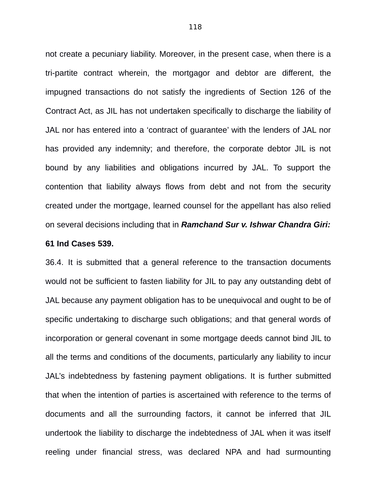not create a pecuniary liability. Moreover, in the present case, when there is a tri-partite contract wherein, the mortgagor and debtor are different, the impugned transactions do not satisfy the ingredients of Section 126 of the Contract Act, as JIL has not undertaken specifically to discharge the liability of JAL nor has entered into a 'contract of guarantee' with the lenders of JAL nor has provided any indemnity; and therefore, the corporate debtor JIL is not bound by any liabilities and obligations incurred by JAL. To support the contention that liability always flows from debt and not from the security created under the mortgage, learned counsel for the appellant has also relied on several decisions including that in *Ramchand Sur v. Ishwar Chandra Giri:*

#### **61 Ind Cases 539.**

36.4. It is submitted that a general reference to the transaction documents would not be sufficient to fasten liability for JIL to pay any outstanding debt of JAL because any payment obligation has to be unequivocal and ought to be of specific undertaking to discharge such obligations; and that general words of incorporation or general covenant in some mortgage deeds cannot bind JIL to all the terms and conditions of the documents, particularly any liability to incur JAL's indebtedness by fastening payment obligations. It is further submitted that when the intention of parties is ascertained with reference to the terms of documents and all the surrounding factors, it cannot be inferred that JIL undertook the liability to discharge the indebtedness of JAL when it was itself reeling under financial stress, was declared NPA and had surmounting

118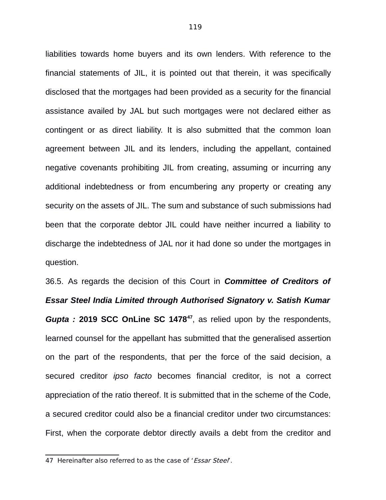liabilities towards home buyers and its own lenders. With reference to the financial statements of JIL, it is pointed out that therein, it was specifically disclosed that the mortgages had been provided as a security for the financial assistance availed by JAL but such mortgages were not declared either as contingent or as direct liability. It is also submitted that the common loan agreement between JIL and its lenders, including the appellant, contained negative covenants prohibiting JIL from creating, assuming or incurring any additional indebtedness or from encumbering any property or creating any security on the assets of JIL. The sum and substance of such submissions had been that the corporate debtor JIL could have neither incurred a liability to discharge the indebtedness of JAL nor it had done so under the mortgages in question.

36.5. As regards the decision of this Court in *Committee of Creditors of Essar Steel India Limited through Authorised Signatory v. Satish Kumar Gupta :* **2019 SCC OnLine SC 1478[47](#page--1-0)**, as relied upon by the respondents, learned counsel for the appellant has submitted that the generalised assertion on the part of the respondents, that per the force of the said decision, a secured creditor *ipso facto* becomes financial creditor, is not a correct appreciation of the ratio thereof. It is submitted that in the scheme of the Code, a secured creditor could also be a financial creditor under two circumstances: First, when the corporate debtor directly avails a debt from the creditor and

<sup>47</sup> Hereinafter also referred to as the case of 'Essar Steel'.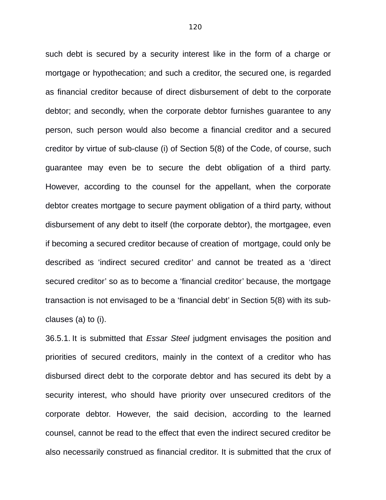such debt is secured by a security interest like in the form of a charge or mortgage or hypothecation; and such a creditor, the secured one, is regarded as financial creditor because of direct disbursement of debt to the corporate debtor; and secondly, when the corporate debtor furnishes guarantee to any person, such person would also become a financial creditor and a secured creditor by virtue of sub-clause (i) of Section 5(8) of the Code, of course, such guarantee may even be to secure the debt obligation of a third party. However, according to the counsel for the appellant, when the corporate debtor creates mortgage to secure payment obligation of a third party, without disbursement of any debt to itself (the corporate debtor), the mortgagee, even if becoming a secured creditor because of creation of mortgage, could only be described as 'indirect secured creditor' and cannot be treated as a 'direct secured creditor' so as to become a 'financial creditor' because, the mortgage transaction is not envisaged to be a 'financial debt' in Section 5(8) with its subclauses (a) to (i).

36.5.1. It is submitted that *Essar Steel* judgment envisages the position and priorities of secured creditors, mainly in the context of a creditor who has disbursed direct debt to the corporate debtor and has secured its debt by a security interest, who should have priority over unsecured creditors of the corporate debtor. However, the said decision, according to the learned counsel, cannot be read to the effect that even the indirect secured creditor be also necessarily construed as financial creditor. It is submitted that the crux of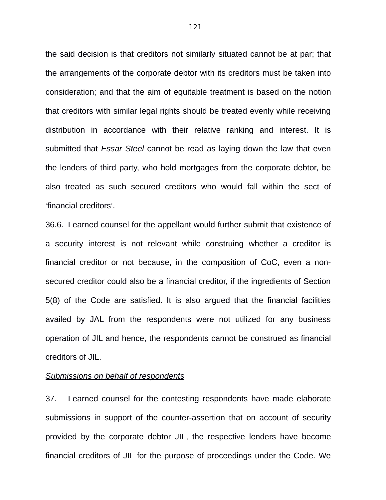the said decision is that creditors not similarly situated cannot be at par; that the arrangements of the corporate debtor with its creditors must be taken into consideration; and that the aim of equitable treatment is based on the notion that creditors with similar legal rights should be treated evenly while receiving distribution in accordance with their relative ranking and interest. It is submitted that *Essar Steel* cannot be read as laying down the law that even the lenders of third party, who hold mortgages from the corporate debtor, be also treated as such secured creditors who would fall within the sect of 'financial creditors'.

36.6. Learned counsel for the appellant would further submit that existence of a security interest is not relevant while construing whether a creditor is financial creditor or not because, in the composition of CoC, even a nonsecured creditor could also be a financial creditor, if the ingredients of Section 5(8) of the Code are satisfied. It is also argued that the financial facilities availed by JAL from the respondents were not utilized for any business operation of JIL and hence, the respondents cannot be construed as financial creditors of JIL.

#### *Submissions on behalf of respondents*

37. Learned counsel for the contesting respondents have made elaborate submissions in support of the counter-assertion that on account of security provided by the corporate debtor JIL, the respective lenders have become financial creditors of JIL for the purpose of proceedings under the Code. We

121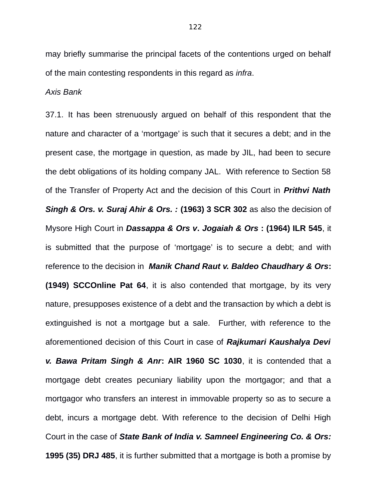may briefly summarise the principal facets of the contentions urged on behalf of the main contesting respondents in this regard as *infra*.

*Axis Bank*

37.1. It has been strenuously argued on behalf of this respondent that the nature and character of a 'mortgage' is such that it secures a debt; and in the present case, the mortgage in question, as made by JIL, had been to secure the debt obligations of its holding company JAL. With reference to Section 58 of the Transfer of Property Act and the decision of this Court in *Prithvi Nath Singh & Ors. v. Suraj Ahir & Ors. :* **(1963) 3 SCR 302** as also the decision of Mysore High Court in *Dassappa & Ors v***.** *Jogaiah & Ors* **: (1964) ILR 545**, it is submitted that the purpose of 'mortgage' is to secure a debt; and with reference to the decision in *Manik Chand Raut v. Baldeo Chaudhary & Ors***: (1949) SCCOnline Pat 64**, it is also contended that mortgage, by its very nature, presupposes existence of a debt and the transaction by which a debt is extinguished is not a mortgage but a sale. Further, with reference to the aforementioned decision of this Court in case of *Rajkumari Kaushalya Devi v. Bawa Pritam Singh & Anr***: AIR 1960 SC 1030**, it is contended that a mortgage debt creates pecuniary liability upon the mortgagor; and that a mortgagor who transfers an interest in immovable property so as to secure a debt, incurs a mortgage debt. With reference to the decision of Delhi High Court in the case of *State Bank of India v. Samneel Engineering Co. & Ors:* **1995 (35) DRJ 485**, it is further submitted that a mortgage is both a promise by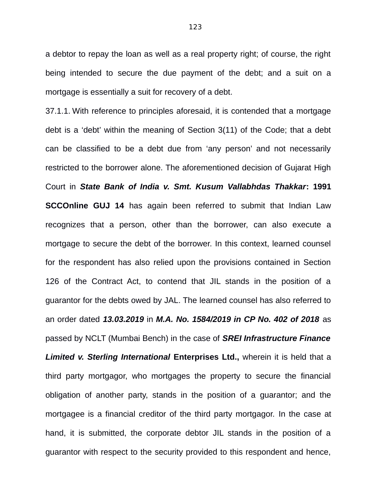a debtor to repay the loan as well as a real property right; of course, the right being intended to secure the due payment of the debt; and a suit on a mortgage is essentially a suit for recovery of a debt.

37.1.1. With reference to principles aforesaid, it is contended that a mortgage debt is a 'debt' within the meaning of Section 3(11) of the Code; that a debt can be classified to be a debt due from 'any person' and not necessarily restricted to the borrower alone. The aforementioned decision of Gujarat High Court in *State Bank of India v. Smt. Kusum Vallabhdas Thakkar***: 1991 SCCOnline GUJ 14** has again been referred to submit that Indian Law recognizes that a person, other than the borrower, can also execute a mortgage to secure the debt of the borrower. In this context, learned counsel for the respondent has also relied upon the provisions contained in Section 126 of the Contract Act, to contend that JIL stands in the position of a guarantor for the debts owed by JAL. The learned counsel has also referred to an order dated *13.03.2019* in *M.A. No. 1584/2019 in CP No. 402 of 2018* as passed by NCLT (Mumbai Bench) in the case of *SREI Infrastructure Finance* **Limited v. Sterling International Enterprises Ltd., wherein it is held that a** third party mortgagor, who mortgages the property to secure the financial obligation of another party, stands in the position of a guarantor; and the mortgagee is a financial creditor of the third party mortgagor. In the case at hand, it is submitted, the corporate debtor JIL stands in the position of a guarantor with respect to the security provided to this respondent and hence,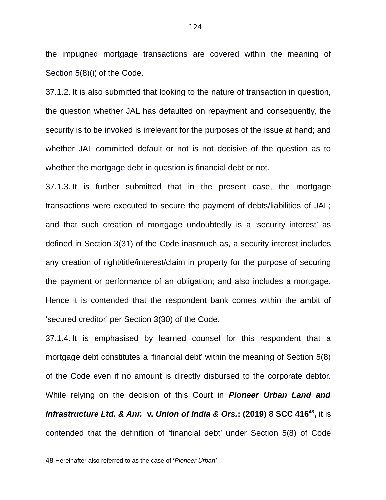the impugned mortgage transactions are covered within the meaning of Section 5(8)(i) of the Code.

37.1.2. It is also submitted that looking to the nature of transaction in question, the question whether JAL has defaulted on repayment and consequently, the security is to be invoked is irrelevant for the purposes of the issue at hand; and whether JAL committed default or not is not decisive of the question as to whether the mortgage debt in question is financial debt or not.

37.1.3. It is further submitted that in the present case, the mortgage transactions were executed to secure the payment of debts/liabilities of JAL; and that such creation of mortgage undoubtedly is a 'security interest' as defined in Section 3(31) of the Code inasmuch as, a security interest includes any creation of right/title/interest/claim in property for the purpose of securing the payment or performance of an obligation; and also includes a mortgage. Hence it is contended that the respondent bank comes within the ambit of 'secured creditor' per Section 3(30) of the Code.

37.1.4. It is emphasised by learned counsel for this respondent that a mortgage debt constitutes a 'financial debt' within the meaning of Section 5(8) of the Code even if no amount is directly disbursed to the corporate debtor. While relying on the decision of this Court in *Pioneer Urban Land and Infrastructure Ltd. & Anr.* **v.** *Union of India & Ors.***: (2019) 8 SCC 416[48](#page--1-1) ,** it is contended that the definition of 'financial debt' under Section 5(8) of Code

<sup>48</sup> Hereinafter also referred to as the case of '*Pioneer Urban'*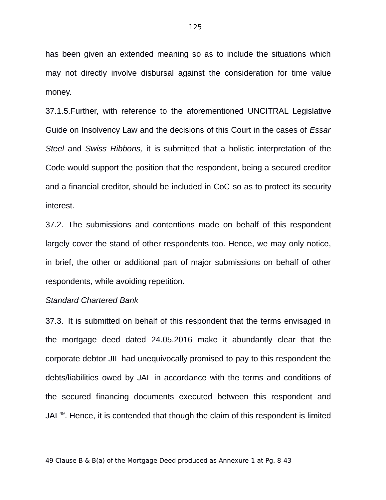has been given an extended meaning so as to include the situations which may not directly involve disbursal against the consideration for time value money.

37.1.5.Further, with reference to the aforementioned UNCITRAL Legislative Guide on Insolvency Law and the decisions of this Court in the cases of *Essar Steel* and *Swiss Ribbons,* it is submitted that a holistic interpretation of the Code would support the position that the respondent, being a secured creditor and a financial creditor, should be included in CoC so as to protect its security interest.

37.2. The submissions and contentions made on behalf of this respondent largely cover the stand of other respondents too. Hence, we may only notice, in brief, the other or additional part of major submissions on behalf of other respondents, while avoiding repetition.

#### *Standard Chartered Bank*

37.3. It is submitted on behalf of this respondent that the terms envisaged in the mortgage deed dated 24.05.2016 make it abundantly clear that the corporate debtor JIL had unequivocally promised to pay to this respondent the debts/liabilities owed by JAL in accordance with the terms and conditions of the secured financing documents executed between this respondent and  $JAL<sup>49</sup>$  $JAL<sup>49</sup>$  $JAL<sup>49</sup>$ . Hence, it is contended that though the claim of this respondent is limited

<sup>49</sup> Clause B & B(a) of the Mortgage Deed produced as Annexure-1 at Pg. 8-43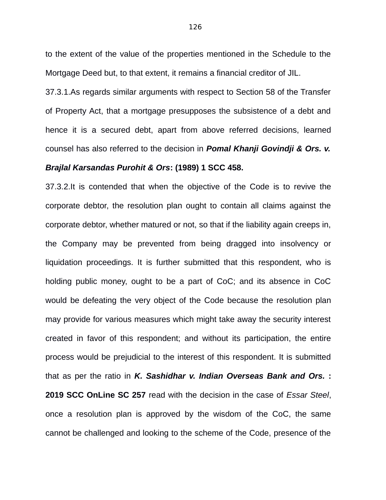to the extent of the value of the properties mentioned in the Schedule to the Mortgage Deed but, to that extent, it remains a financial creditor of JIL.

37.3.1.As regards similar arguments with respect to Section 58 of the Transfer of Property Act, that a mortgage presupposes the subsistence of a debt and hence it is a secured debt, apart from above referred decisions, learned counsel has also referred to the decision in *Pomal Khanji Govindji & Ors. v.*

#### *Brajlal Karsandas Purohit & Ors***: (1989) 1 SCC 458.**

37.3.2.It is contended that when the objective of the Code is to revive the corporate debtor, the resolution plan ought to contain all claims against the corporate debtor, whether matured or not, so that if the liability again creeps in, the Company may be prevented from being dragged into insolvency or liquidation proceedings. It is further submitted that this respondent, who is holding public money, ought to be a part of CoC; and its absence in CoC would be defeating the very object of the Code because the resolution plan may provide for various measures which might take away the security interest created in favor of this respondent; and without its participation, the entire process would be prejudicial to the interest of this respondent. It is submitted that as per the ratio in *K. Sashidhar v. Indian Overseas Bank and Ors.* **: 2019 SCC OnLine SC 257** read with the decision in the case of *Essar Steel*, once a resolution plan is approved by the wisdom of the CoC, the same cannot be challenged and looking to the scheme of the Code, presence of the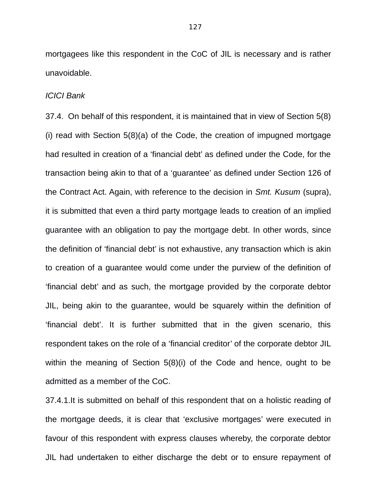mortgagees like this respondent in the CoC of JIL is necessary and is rather unavoidable.

#### *ICICI Bank*

37.4. On behalf of this respondent, it is maintained that in view of Section 5(8) (i) read with Section 5(8)(a) of the Code, the creation of impugned mortgage had resulted in creation of a 'financial debt' as defined under the Code, for the transaction being akin to that of a 'guarantee' as defined under Section 126 of the Contract Act. Again, with reference to the decision in *Smt. Kusum* (supra), it is submitted that even a third party mortgage leads to creation of an implied guarantee with an obligation to pay the mortgage debt. In other words, since the definition of 'financial debt' is not exhaustive, any transaction which is akin to creation of a guarantee would come under the purview of the definition of 'financial debt' and as such, the mortgage provided by the corporate debtor JIL, being akin to the guarantee, would be squarely within the definition of 'financial debt'. It is further submitted that in the given scenario, this respondent takes on the role of a 'financial creditor' of the corporate debtor JIL within the meaning of Section 5(8)(i) of the Code and hence, ought to be admitted as a member of the CoC.

37.4.1.It is submitted on behalf of this respondent that on a holistic reading of the mortgage deeds, it is clear that 'exclusive mortgages' were executed in favour of this respondent with express clauses whereby, the corporate debtor JIL had undertaken to either discharge the debt or to ensure repayment of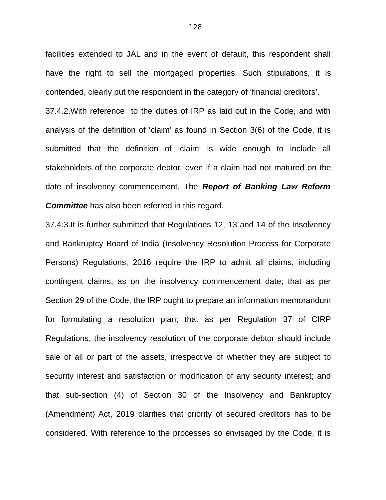facilities extended to JAL and in the event of default, this respondent shall have the right to sell the mortgaged properties. Such stipulations, it is contended, clearly put the respondent in the category of 'financial creditors'.

37.4.2.With reference to the duties of IRP as laid out in the Code, and with analysis of the definition of 'claim' as found in Section 3(6) of the Code, it is submitted that the definition of 'claim' is wide enough to include all stakeholders of the corporate debtor, even if a claim had not matured on the date of insolvency commencement. The *Report of Banking Law Reform Committee* has also been referred in this regard.

37.4.3.It is further submitted that Regulations 12, 13 and 14 of the Insolvency and Bankruptcy Board of India (Insolvency Resolution Process for Corporate Persons) Regulations, 2016 require the IRP to admit all claims, including contingent claims, as on the insolvency commencement date; that as per Section 29 of the Code, the IRP ought to prepare an information memorandum for formulating a resolution plan; that as per Regulation 37 of CIRP Regulations, the insolvency resolution of the corporate debtor should include sale of all or part of the assets, irrespective of whether they are subject to security interest and satisfaction or modification of any security interest; and that sub-section (4) of Section 30 of the Insolvency and Bankruptcy (Amendment) Act, 2019 clarifies that priority of secured creditors has to be considered. With reference to the processes so envisaged by the Code, it is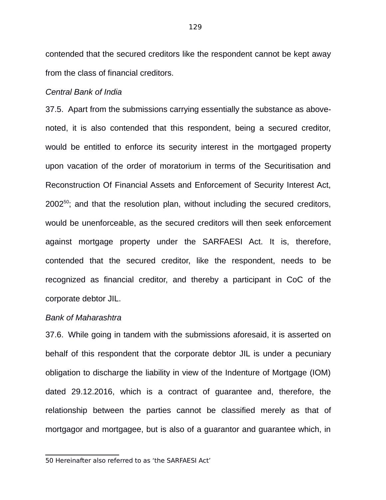contended that the secured creditors like the respondent cannot be kept away from the class of financial creditors.

#### *Central Bank of India*

37.5. Apart from the submissions carrying essentially the substance as abovenoted, it is also contended that this respondent, being a secured creditor, would be entitled to enforce its security interest in the mortgaged property upon vacation of the order of moratorium in terms of the Securitisation and Reconstruction Of Financial Assets and Enforcement of Security Interest Act, 2002<sup>[50](#page--1-0)</sup>; and that the resolution plan, without including the secured creditors, would be unenforceable, as the secured creditors will then seek enforcement against mortgage property under the SARFAESI Act. It is, therefore, contended that the secured creditor, like the respondent, needs to be recognized as financial creditor, and thereby a participant in CoC of the corporate debtor JIL.

#### *Bank of Maharashtra*

37.6. While going in tandem with the submissions aforesaid, it is asserted on behalf of this respondent that the corporate debtor JIL is under a pecuniary obligation to discharge the liability in view of the Indenture of Mortgage (IOM) dated 29.12.2016, which is a contract of guarantee and, therefore, the relationship between the parties cannot be classified merely as that of mortgagor and mortgagee, but is also of a guarantor and guarantee which, in

<sup>50</sup> Hereinafter also referred to as 'the SARFAESI Act'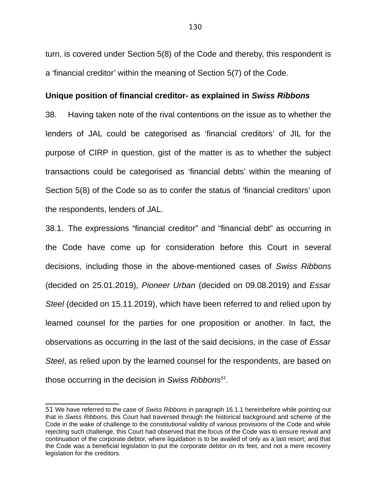turn, is covered under Section 5(8) of the Code and thereby, this respondent is a 'financial creditor' within the meaning of Section 5(7) of the Code.

#### **Unique position of financial creditor- as explained in** *Swiss Ribbons*

38. Having taken note of the rival contentions on the issue as to whether the lenders of JAL could be categorised as 'financial creditors' of JIL for the purpose of CIRP in question, gist of the matter is as to whether the subject transactions could be categorised as 'financial debts' within the meaning of Section 5(8) of the Code so as to confer the status of 'financial creditors' upon the respondents, lenders of JAL.

38.1. The expressions "financial creditor" and "financial debt" as occurring in the Code have come up for consideration before this Court in several decisions, including those in the above-mentioned cases of *Swiss Ribbons* (decided on 25.01.2019), *Pioneer Urban* (decided on 09.08.2019) and *Essar Steel* (decided on 15.11.2019), which have been referred to and relied upon by learned counsel for the parties for one proposition or another. In fact, the observations as occurring in the last of the said decisions, in the case of *Essar Steel*, as relied upon by the learned counsel for the respondents, are based on those occurring in the decision in *Swiss Ribbons[51](#page--1-2) .*

<sup>51</sup> We have referred to the case of *Swiss Ribbons* in paragraph 16.1.1 hereinbefore while pointing out that in *Swiss Ribbons*, this Court had traversed through the historical background and scheme of the Code in the wake of challenge to the constitutional validity of various provisions of the Code and while rejecting such challenge, this Court had observed that the focus of the Code was to ensure revival and continuation of the corporate debtor, where liquidation is to be availed of only as a last resort; and that the Code was a beneficial legislation to put the corporate debtor on its feet, and not a mere recovery legislation for the creditors.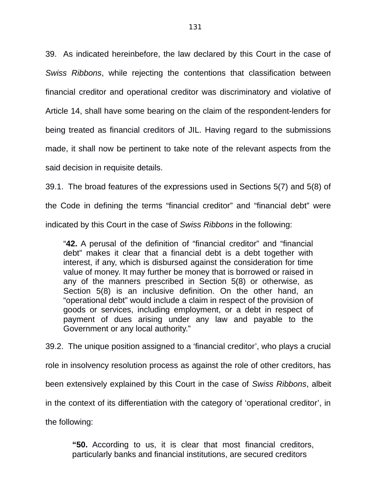39. As indicated hereinbefore, the law declared by this Court in the case of *Swiss Ribbons*, while rejecting the contentions that classification between financial creditor and operational creditor was discriminatory and violative of Article 14, shall have some bearing on the claim of the respondent-lenders for being treated as financial creditors of JIL. Having regard to the submissions made, it shall now be pertinent to take note of the relevant aspects from the said decision in requisite details.

39.1. The broad features of the expressions used in Sections 5(7) and 5(8) of the Code in defining the terms "financial creditor" and "financial debt" were indicated by this Court in the case of *Swiss Ribbons* in the following:

"**42.** A perusal of the definition of "financial creditor" and "financial debt" makes it clear that a financial debt is a debt together with interest, if any, which is disbursed against the consideration for time value of money. It may further be money that is borrowed or raised in any of the manners prescribed in Section 5(8) or otherwise, as Section 5(8) is an inclusive definition. On the other hand, an "operational debt" would include a claim in respect of the provision of goods or services, including employment, or a debt in respect of payment of dues arising under any law and payable to the Government or any local authority."

39.2. The unique position assigned to a 'financial creditor', who plays a crucial role in insolvency resolution process as against the role of other creditors, has been extensively explained by this Court in the case of *Swiss Ribbons*, albeit in the context of its differentiation with the category of 'operational creditor', in the following:

**"50.** According to us, it is clear that most financial creditors, particularly banks and financial institutions, are secured creditors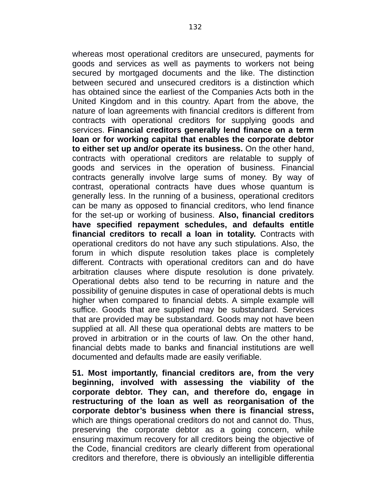whereas most operational creditors are unsecured, payments for goods and services as well as payments to workers not being secured by mortgaged documents and the like. The distinction between secured and unsecured creditors is a distinction which has obtained since the earliest of the Companies Acts both in the United Kingdom and in this country. Apart from the above, the nature of loan agreements with financial creditors is different from contracts with operational creditors for supplying goods and services. **Financial creditors generally lend finance on a term loan or for working capital that enables the corporate debtor to either set up and/or operate its business.** On the other hand, contracts with operational creditors are relatable to supply of goods and services in the operation of business. Financial contracts generally involve large sums of money. By way of contrast, operational contracts have dues whose quantum is generally less. In the running of a business, operational creditors can be many as opposed to financial creditors, who lend finance for the set-up or working of business. **Also, financial creditors have specified repayment schedules, and defaults entitle financial creditors to recall a loan in totality.** Contracts with operational creditors do not have any such stipulations. Also, the forum in which dispute resolution takes place is completely different. Contracts with operational creditors can and do have arbitration clauses where dispute resolution is done privately. Operational debts also tend to be recurring in nature and the possibility of genuine disputes in case of operational debts is much higher when compared to financial debts. A simple example will suffice. Goods that are supplied may be substandard. Services that are provided may be substandard. Goods may not have been supplied at all. All these qua operational debts are matters to be proved in arbitration or in the courts of law. On the other hand, financial debts made to banks and financial institutions are well documented and defaults made are easily verifiable.

**51. Most importantly, financial creditors are, from the very beginning, involved with assessing the viability of the corporate debtor. They can, and therefore do, engage in restructuring of the loan as well as reorganisation of the corporate debtor's business when there is financial stress,** which are things operational creditors do not and cannot do. Thus, preserving the corporate debtor as a going concern, while ensuring maximum recovery for all creditors being the objective of the Code, financial creditors are clearly different from operational creditors and therefore, there is obviously an intelligible differentia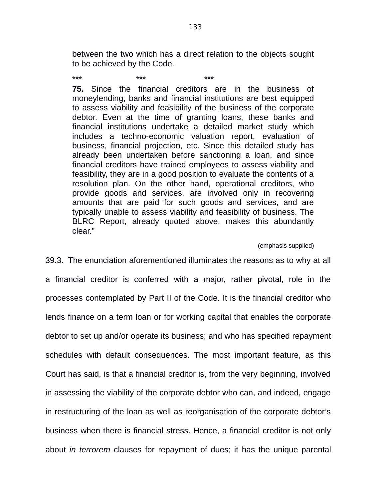between the two which has a direct relation to the objects sought to be achieved by the Code.

\*\*\* \*\*\* \*\*\* **75.** Since the financial creditors are in the business of moneylending, banks and financial institutions are best equipped to assess viability and feasibility of the business of the corporate debtor. Even at the time of granting loans, these banks and financial institutions undertake a detailed market study which includes a techno-economic valuation report, evaluation of business, financial projection, etc. Since this detailed study has already been undertaken before sanctioning a loan, and since financial creditors have trained employees to assess viability and feasibility, they are in a good position to evaluate the contents of a resolution plan. On the other hand, operational creditors, who provide goods and services, are involved only in recovering amounts that are paid for such goods and services, and are typically unable to assess viability and feasibility of business. The BLRC Report, already quoted above, makes this abundantly clear."

#### (emphasis supplied)

39.3. The enunciation aforementioned illuminates the reasons as to why at all a financial creditor is conferred with a major, rather pivotal, role in the processes contemplated by Part II of the Code. It is the financial creditor who lends finance on a term loan or for working capital that enables the corporate debtor to set up and/or operate its business; and who has specified repayment schedules with default consequences. The most important feature, as this Court has said, is that a financial creditor is, from the very beginning, involved in assessing the viability of the corporate debtor who can, and indeed, engage in restructuring of the loan as well as reorganisation of the corporate debtor's business when there is financial stress. Hence, a financial creditor is not only about *in terrorem* clauses for repayment of dues; it has the unique parental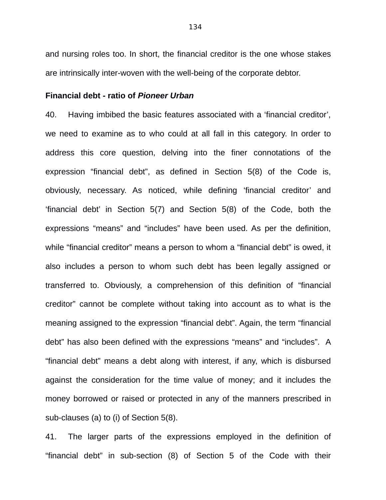and nursing roles too. In short, the financial creditor is the one whose stakes are intrinsically inter-woven with the well-being of the corporate debtor.

#### **Financial debt - ratio of** *Pioneer Urban*

40. Having imbibed the basic features associated with a 'financial creditor', we need to examine as to who could at all fall in this category. In order to address this core question, delving into the finer connotations of the expression "financial debt", as defined in Section 5(8) of the Code is, obviously, necessary. As noticed, while defining 'financial creditor' and 'financial debt' in Section 5(7) and Section 5(8) of the Code, both the expressions "means" and "includes" have been used. As per the definition, while "financial creditor" means a person to whom a "financial debt" is owed, it also includes a person to whom such debt has been legally assigned or transferred to. Obviously, a comprehension of this definition of "financial creditor" cannot be complete without taking into account as to what is the meaning assigned to the expression "financial debt". Again, the term "financial debt" has also been defined with the expressions "means" and "includes". A "financial debt" means a debt along with interest, if any, which is disbursed against the consideration for the time value of money; and it includes the money borrowed or raised or protected in any of the manners prescribed in sub-clauses (a) to (i) of Section 5(8).

41. The larger parts of the expressions employed in the definition of "financial debt" in sub-section (8) of Section 5 of the Code with their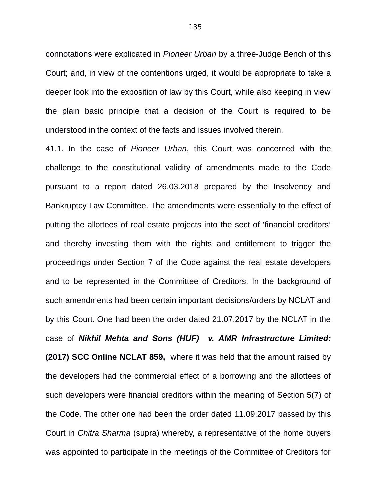connotations were explicated in *Pioneer Urban* by a three-Judge Bench of this Court; and, in view of the contentions urged, it would be appropriate to take a deeper look into the exposition of law by this Court, while also keeping in view the plain basic principle that a decision of the Court is required to be understood in the context of the facts and issues involved therein.

41.1. In the case of *Pioneer Urban*, this Court was concerned with the challenge to the constitutional validity of amendments made to the Code pursuant to a report dated 26.03.2018 prepared by the Insolvency and Bankruptcy Law Committee. The amendments were essentially to the effect of putting the allottees of real estate projects into the sect of 'financial creditors' and thereby investing them with the rights and entitlement to trigger the proceedings under Section 7 of the Code against the real estate developers and to be represented in the Committee of Creditors. In the background of such amendments had been certain important decisions/orders by NCLAT and by this Court. One had been the order dated 21.07.2017 by the NCLAT in the case of *Nikhil Mehta and Sons (HUF) v. AMR Infrastructure Limited:* **(2017) SCC Online NCLAT 859,** where it was held that the amount raised by the developers had the commercial effect of a borrowing and the allottees of such developers were financial creditors within the meaning of Section 5(7) of the Code. The other one had been the order dated 11.09.2017 passed by this Court in *Chitra Sharma* (supra) whereby, a representative of the home buyers was appointed to participate in the meetings of the Committee of Creditors for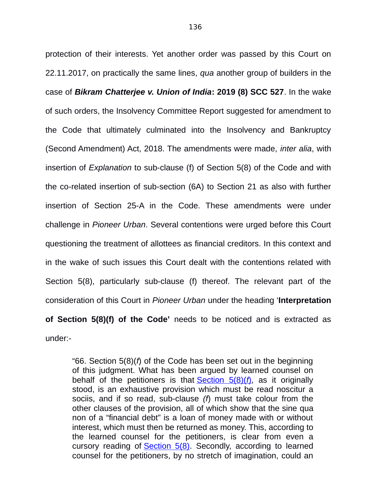protection of their interests. Yet another order was passed by this Court on 22.11.2017, on practically the same lines, *qua* another group of builders in the case of *Bikram Chatterjee v. Union of India***: 2019 (8) SCC 527**. In the wake of such orders, the Insolvency Committee Report suggested for amendment to the Code that ultimately culminated into the Insolvency and Bankruptcy (Second Amendment) Act, 2018. The amendments were made, *inter alia*, with insertion of *Explanation* to sub-clause (f) of Section 5(8) of the Code and with the co-related insertion of sub-section (6A) to Section 21 as also with further insertion of Section 25-A in the Code. These amendments were under challenge in *Pioneer Urban*. Several contentions were urged before this Court questioning the treatment of allottees as financial creditors. In this context and in the wake of such issues this Court dealt with the contentions related with Section 5(8), particularly sub-clause (f) thereof. The relevant part of the consideration of this Court in *Pioneer Urban* under the heading '**Interpretation of Section 5(8)(f) of the Code'** needs to be noticed and is extracted as under:-

"66. Section 5(8)(*f*) of the Code has been set out in the beginning of this judgment. What has been argued by learned counsel on behalf of the petitioners is that [Section 5\(8\)\(](https://indiankanoon.org/doc/758150/)*f*), as it originally stood, is an exhaustive provision which must be read noscitur a sociis, and if so read, sub-clause *(f*) must take colour from the other clauses of the provision, all of which show that the sine qua non of a "financial debt" is a loan of money made with or without interest, which must then be returned as money. This, according to the learned counsel for the petitioners, is clear from even a cursory reading of [Section 5\(8\).](https://indiankanoon.org/doc/758150/) Secondly, according to learned counsel for the petitioners, by no stretch of imagination, could an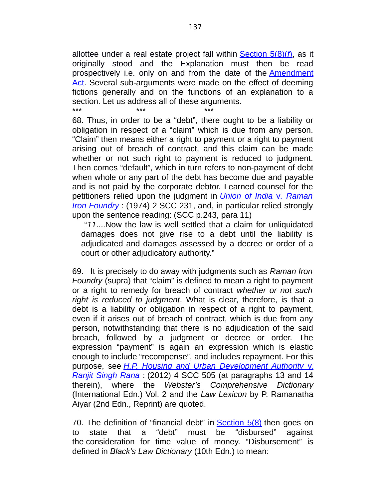allottee under a real estate project fall within [Section 5\(8\)\(](https://indiankanoon.org/doc/758150/)*f*), as it originally stood and the Explanation must then be read prospectively i.e. only on and from the date of the [Amendment](https://indiankanoon.org/doc/1210757/) [Act.](https://indiankanoon.org/doc/1210757/) Several sub-arguments were made on the effect of deeming fictions generally and on the functions of an explanation to a section. Let us address all of these arguments.

\*\*\* \*\*\* \*\*\* 68. Thus, in order to be a "debt", there ought to be a liability or obligation in respect of a "claim" which is due from any person. "Claim" then means either a right to payment or a right to payment arising out of breach of contract, and this claim can be made whether or not such right to payment is reduced to judgment. Then comes "default", which in turn refers to non-payment of debt when whole or any part of the debt has become due and payable and is not paid by the corporate debtor. Learned counsel for the petitioners relied upon the judgment in *[Union of India](https://indiankanoon.org/doc/461988/)* v*. Raman [Iron Foundry](https://indiankanoon.org/doc/461988/)* : (1974) 2 SCC 231, and, in particular relied strongly upon the sentence reading: (SCC p.243, para 11)

 "*11*....Now the law is well settled that a claim for unliquidated damages does not give rise to a debt until the liability is adjudicated and damages assessed by a decree or order of a court or other adjudicatory authority."

69. It is precisely to do away with judgments such as *Raman Iron Foundry* (supra) that "claim" is defined to mean a right to payment or a right to remedy for breach of contract *whether or not such right is reduced to judgment*. What is clear, therefore, is that a debt is a liability or obligation in respect of a right to payment, even if it arises out of breach of contract, which is due from any person, notwithstanding that there is no adjudication of the said breach, followed by a judgment or decree or order. The expression "payment" is again an expression which is elastic enough to include "recompense", and includes repayment. For this purpose, see *[H.P. Housing and Urban Development Authority](https://indiankanoon.org/doc/100167988/)* v. *[Ranjit Singh Rana](https://indiankanoon.org/doc/100167988/)* : (2012) 4 SCC 505 (at paragraphs 13 and 14 therein), where the *Webster's Comprehensive Dictionary* (International Edn.) Vol. 2 and the *Law Lexicon* by P. Ramanatha Aiyar (2nd Edn., Reprint) are quoted.

70. The definition of "financial debt" in  $Section 5(8)$  then goes on to state that a "debt" must be "disbursed" against the consideration for time value of money. "Disbursement" is defined in *Black's Law Dictionary* (10th Edn.) to mean: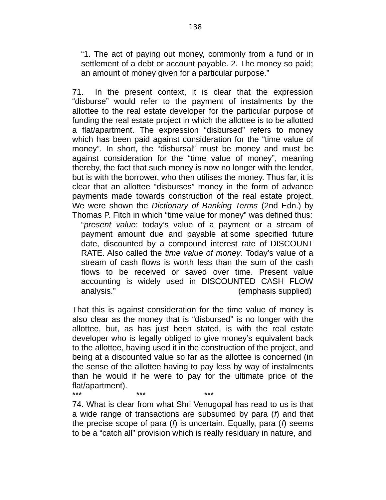"1. The act of paying out money, commonly from a fund or in settlement of a debt or account payable. 2. The money so paid; an amount of money given for a particular purpose."

71. In the present context, it is clear that the expression "disburse" would refer to the payment of instalments by the allottee to the real estate developer for the particular purpose of funding the real estate project in which the allottee is to be allotted a flat/apartment. The expression "disbursed" refers to money which has been paid against consideration for the "time value of money". In short, the "disbursal" must be money and must be against consideration for the "time value of money", meaning thereby, the fact that such money is now no longer with the lender, but is with the borrower, who then utilises the money. Thus far, it is clear that an allottee "disburses" money in the form of advance payments made towards construction of the real estate project. We were shown the *Dictionary of Banking Terms* (2nd Edn.) by Thomas P. Fitch in which "time value for money" was defined thus:

"*present value*: today's value of a payment or a stream of payment amount due and payable at some specified future date, discounted by a compound interest rate of DISCOUNT RATE. Also called the *time value of money*. Today's value of a stream of cash flows is worth less than the sum of the cash flows to be received or saved over time. Present value accounting is widely used in DISCOUNTED CASH FLOW analysis." (emphasis supplied)

That this is against consideration for the time value of money is also clear as the money that is "disbursed" is no longer with the allottee, but, as has just been stated, is with the real estate developer who is legally obliged to give money's equivalent back to the allottee, having used it in the construction of the project, and being at a discounted value so far as the allottee is concerned (in the sense of the allottee having to pay less by way of instalments than he would if he were to pay for the ultimate price of the flat/apartment). \*\*\* \*\*\* \*\*\*

74. What is clear from what Shri Venugopal has read to us is that a wide range of transactions are subsumed by para (*f*) and that the precise scope of para (*f*) is uncertain. Equally, para (*f*) seems to be a "catch all" provision which is really residuary in nature, and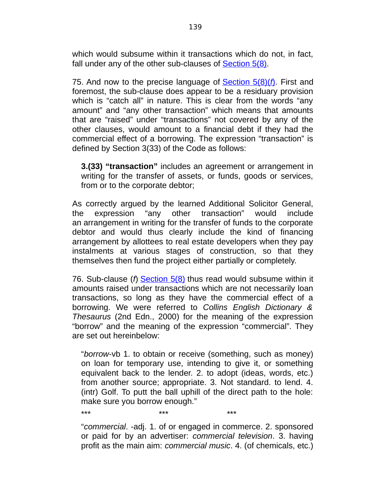which would subsume within it transactions which do not, in fact, fall under any of the other sub-clauses of [Section 5\(8\).](https://indiankanoon.org/doc/758150/)

75. And now to the precise language of [Section 5\(8\)\(](https://indiankanoon.org/doc/758150/)*f*). First and foremost, the sub-clause does appear to be a residuary provision which is "catch all" in nature. This is clear from the words "any amount" and "any other transaction" which means that amounts that are "raised" under "transactions" not covered by any of the other clauses, would amount to a financial debt if they had the commercial effect of a borrowing. The expression "transaction" is defined by Section 3(33) of the Code as follows:

**3.(33) "transaction"** includes an agreement or arrangement in writing for the transfer of assets, or funds, goods or services, from or to the corporate debtor;

As correctly argued by the learned Additional Solicitor General, the expression "any other transaction" would include an arrangement in writing for the transfer of funds to the corporate debtor and would thus clearly include the kind of financing arrangement by allottees to real estate developers when they pay instalments at various stages of construction, so that they themselves then fund the project either partially or completely.

76. Sub-clause (*f*) [Section 5\(8\)](https://indiankanoon.org/doc/758150/) thus read would subsume within it amounts raised under transactions which are not necessarily loan transactions, so long as they have the commercial effect of a borrowing. We were referred to *Collins English Dictionary & Thesaurus* (2nd Edn., 2000) for the meaning of the expression "borrow" and the meaning of the expression "commercial". They are set out hereinbelow:

"*borrow*-vb 1. to obtain or receive (something, such as money) on loan for temporary use, intending to give it, or something equivalent back to the lender. 2. to adopt (ideas, words, etc.) from another source; appropriate. 3. Not standard. to lend. 4. (intr) Golf. To putt the ball uphill of the direct path to the hole: make sure you borrow enough."

\*\*\* \*\*\* \*\*\*

"*commercial*. -adj. 1. of or engaged in commerce. 2. sponsored or paid for by an advertiser: *commercial television*. 3. having profit as the main aim: *commercial music*. 4. (of chemicals, etc.)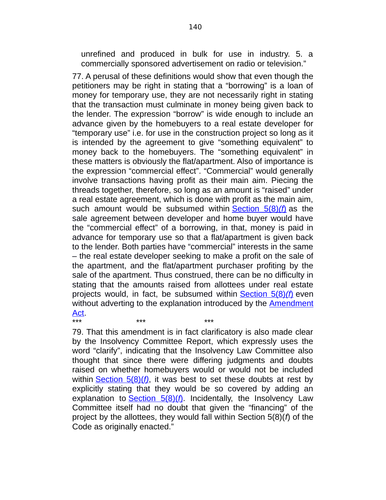unrefined and produced in bulk for use in industry. 5. a commercially sponsored advertisement on radio or television."

77. A perusal of these definitions would show that even though the petitioners may be right in stating that a "borrowing" is a loan of money for temporary use, they are not necessarily right in stating that the transaction must culminate in money being given back to the lender. The expression "borrow" is wide enough to include an advance given by the homebuyers to a real estate developer for "temporary use" i.e. for use in the construction project so long as it is intended by the agreement to give "something equivalent" to money back to the homebuyers. The "something equivalent" in these matters is obviously the flat/apartment. Also of importance is the expression "commercial effect". "Commercial" would generally involve transactions having profit as their main aim. Piecing the threads together, therefore, so long as an amount is "raised" under a real estate agreement, which is done with profit as the main aim, such amount would be subsumed within [Section 5\(8\)](https://indiankanoon.org/doc/758150/)(f) as the sale agreement between developer and home buyer would have the "commercial effect" of a borrowing, in that, money is paid in advance for temporary use so that a flat/apartment is given back to the lender. Both parties have "commercial" interests in the same – the real estate developer seeking to make a profit on the sale of the apartment, and the flat/apartment purchaser profiting by the sale of the apartment. Thus construed, there can be no difficulty in stating that the amounts raised from allottees under real estate projects would, in fact, be subsumed within [Section 5\(8\)](https://indiankanoon.org/doc/758150/)(f) even without adverting to the explanation introduced by the [Amendment](https://indiankanoon.org/doc/1210757/) [Act.](https://indiankanoon.org/doc/1210757/)

79. That this amendment is in fact clarificatory is also made clear by the Insolvency Committee Report, which expressly uses the word "clarify", indicating that the Insolvency Law Committee also thought that since there were differing judgments and doubts raised on whether homebuyers would or would not be included within [Section 5\(8\)\(](https://indiankanoon.org/doc/758150/)*f)*, it was best to set these doubts at rest by explicitly stating that they would be so covered by adding an explanation to **Section 5(8)(f)**. Incidentally, the Insolvency Law Committee itself had no doubt that given the "financing" of the project by the allottees, they would fall within Section 5(8)(*f*) of the Code as originally enacted."

\*\*\* \*\*\* \*\*\*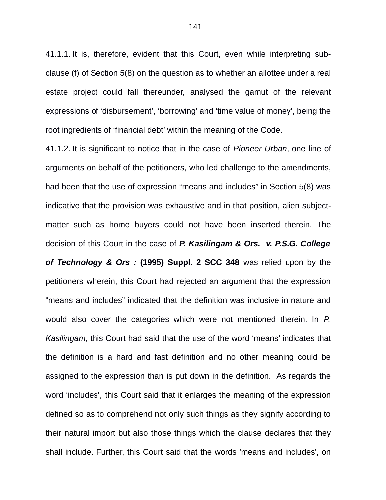41.1.1. It is, therefore, evident that this Court, even while interpreting subclause (f) of Section 5(8) on the question as to whether an allottee under a real estate project could fall thereunder, analysed the gamut of the relevant expressions of 'disbursement', 'borrowing' and 'time value of money', being the root ingredients of 'financial debt' within the meaning of the Code.

41.1.2. It is significant to notice that in the case of *Pioneer Urban*, one line of arguments on behalf of the petitioners, who led challenge to the amendments, had been that the use of expression "means and includes" in Section 5(8) was indicative that the provision was exhaustive and in that position, alien subjectmatter such as home buyers could not have been inserted therein. The decision of this Court in the case of *P. Kasilingam & Ors. v. P.S.G. College of Technology & Ors :* **(1995) Suppl. 2 SCC 348** was relied upon by the petitioners wherein, this Court had rejected an argument that the expression "means and includes" indicated that the definition was inclusive in nature and would also cover the categories which were not mentioned therein. In *P. Kasilingam,* this Court had said that the use of the word 'means' indicates that the definition is a hard and fast definition and no other meaning could be assigned to the expression than is put down in the definition. As regards the word 'includes', this Court said that it enlarges the meaning of the expression defined so as to comprehend not only such things as they signify according to their natural import but also those things which the clause declares that they shall include. Further, this Court said that the words 'means and includes', on

141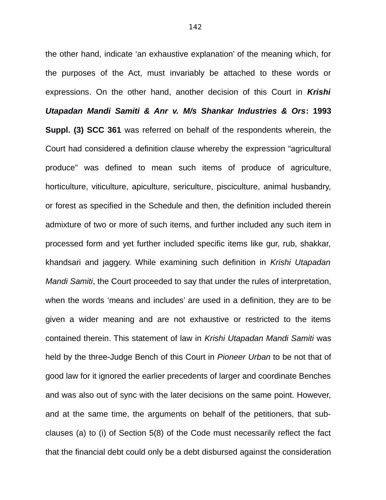the other hand, indicate 'an exhaustive explanation' of the meaning which, for the purposes of the Act, must invariably be attached to these words or expressions. On the other hand, another decision of this Court in *Krishi Utapadan Mandi Samiti & Anr v. M/s Shankar Industries & Ors***: 1993 Suppl. (3) SCC 361** was referred on behalf of the respondents wherein, the Court had considered a definition clause whereby the expression "agricultural produce" was defined to mean such items of produce of agriculture, horticulture, viticulture, apiculture, sericulture, pisciculture, animal husbandry, or forest as specified in the Schedule and then, the definition included therein admixture of two or more of such items, and further included any such item in processed form and yet further included specific items like gur, rub, shakkar, khandsari and jaggery. While examining such definition in *Krishi Utapadan Mandi Samiti*, the Court proceeded to say that under the rules of interpretation, when the words 'means and includes' are used in a definition, they are to be given a wider meaning and are not exhaustive or restricted to the items contained therein. This statement of law in *Krishi Utapadan Mandi Samiti* was held by the three-Judge Bench of this Court in *Pioneer Urban* to be not that of good law for it ignored the earlier precedents of larger and coordinate Benches and was also out of sync with the later decisions on the same point. However, and at the same time, the arguments on behalf of the petitioners, that subclauses (a) to (i) of Section 5(8) of the Code must necessarily reflect the fact that the financial debt could only be a debt disbursed against the consideration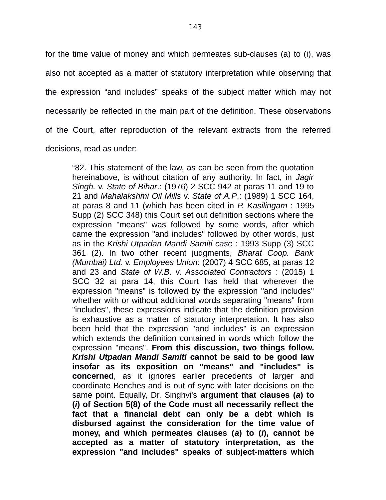for the time value of money and which permeates sub-clauses (a) to (i), was also not accepted as a matter of statutory interpretation while observing that the expression "and includes" speaks of the subject matter which may not necessarily be reflected in the main part of the definition. These observations of the Court, after reproduction of the relevant extracts from the referred decisions, read as under:

"82. This statement of the law, as can be seen from the quotation hereinabove, is without citation of any authority. In fact, in *Jagir Singh.* v. *State of Bihar*.: (1976) 2 SCC 942 at paras 11 and 19 to 21 and *Mahalakshmi Oil Mills* v. *State of A.P*.: (1989) 1 SCC 164, at paras 8 and 11 (which has been cited in *P. Kasilingam* : 1995 Supp (2) SCC 348) this Court set out definition sections where the expression "means" was followed by some words, after which came the expression "and includes" followed by other words, just as in the *Krishi Utpadan Mandi Samiti case* : 1993 Supp (3) SCC 361 (2). In two other recent judgments, *Bharat Coop. Bank (Mumbai) Ltd*. v. *Employees Union*: (2007) 4 SCC 685, at paras 12 and 23 and *State of W.B*. v. *Associated Contractors* : (2015) 1 SCC 32 at para 14, this Court has held that wherever the expression "means" is followed by the expression "and includes" whether with or without additional words separating "means" from "includes", these expressions indicate that the definition provision is exhaustive as a matter of statutory interpretation. It has also been held that the expression "and includes" is an expression which extends the definition contained in words which follow the expression "means". **From this discussion, two things follow.** *Krishi Utpadan Mandi Samiti* **cannot be said to be good law insofar as its exposition on "means" and "includes" is concerned**, as it ignores earlier precedents of larger and coordinate Benches and is out of sync with later decisions on the same point. Equally, Dr. Singhvi's **argument that clauses (***a***) to (***i***) of Section 5(8) of the Code must all necessarily reflect the fact that a financial debt can only be a debt which is disbursed against the consideration for the time value of money, and which permeates clauses (***a***) to (***i***), cannot be accepted as a matter of statutory interpretation, as the expression "and includes" speaks of subject-matters which**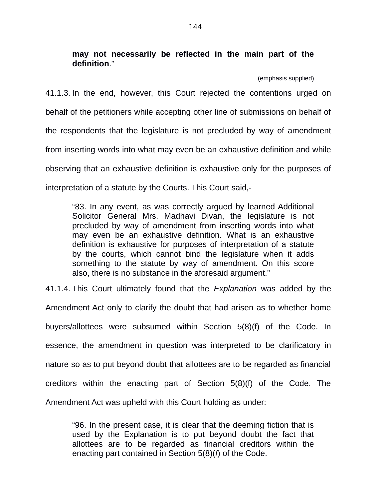**may not necessarily be reflected in the main part of the definition**."

(emphasis supplied)

41.1.3. In the end, however, this Court rejected the contentions urged on behalf of the petitioners while accepting other line of submissions on behalf of the respondents that the legislature is not precluded by way of amendment from inserting words into what may even be an exhaustive definition and while observing that an exhaustive definition is exhaustive only for the purposes of interpretation of a statute by the Courts. This Court said,-

"83. In any event, as was correctly argued by learned Additional Solicitor General Mrs. Madhavi Divan, the legislature is not precluded by way of amendment from inserting words into what may even be an exhaustive definition. What is an exhaustive definition is exhaustive for purposes of interpretation of a statute by the courts, which cannot bind the legislature when it adds something to the statute by way of amendment. On this score also, there is no substance in the aforesaid argument."

41.1.4. This Court ultimately found that the *Explanation* was added by the Amendment Act only to clarify the doubt that had arisen as to whether home buyers/allottees were subsumed within Section 5(8)(f) of the Code. In essence, the amendment in question was interpreted to be clarificatory in nature so as to put beyond doubt that allottees are to be regarded as financial creditors within the enacting part of Section 5(8)(f) of the Code. The Amendment Act was upheld with this Court holding as under:

"96. In the present case, it is clear that the deeming fiction that is used by the Explanation is to put beyond doubt the fact that allottees are to be regarded as financial creditors within the enacting part contained in Section 5(8)(*f*) of the Code.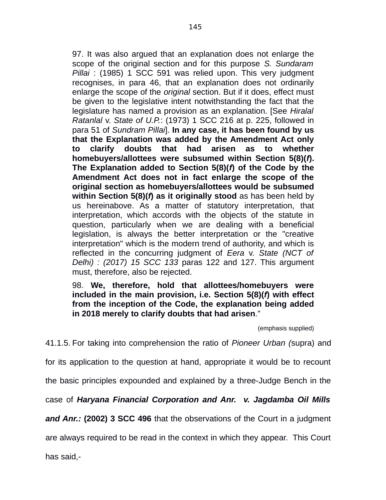97. It was also argued that an explanation does not enlarge the scope of the original section and for this purpose *S. Sundaram Pillai* : (1985) 1 SCC 591 was relied upon. This very judgment recognises, in para 46, that an explanation does not ordinarily enlarge the scope of the *original* section. But if it does, effect must be given to the legislative intent notwithstanding the fact that the legislature has named a provision as an explanation. [See *Hiralal Ratanlal* v. *State of U.P.*: (1973) 1 SCC 216 at p. 225, followed in para 51 of *Sundram Pillai*]. **In any case, it has been found by us that the Explanation was added by the Amendment Act only to clarify doubts that had arisen as to whether homebuyers/allottees were subsumed within Section 5(8)(***f***). The Explanation added to Section 5(8)(***f***) of the Code by the Amendment Act does not in fact enlarge the scope of the original section as homebuyers/allottees would be subsumed within Section 5(8)(***f***) as it originally stood** as has been held by us hereinabove. As a matter of statutory interpretation, that interpretation, which accords with the objects of the statute in question, particularly when we are dealing with a beneficial legislation, is always the better interpretation or the "creative interpretation" which is the modern trend of authority, and which is reflected in the concurring judgment of *Eera* v. *State (NCT of Delhi) : (2017) 15 SCC 133* paras 122 and 127. This argument must, therefore, also be rejected.

# 98. **We, therefore, hold that allottees/homebuyers were included in the main provision, i.e. Section 5(8)(***f***) with effect from the inception of the Code, the explanation being added in 2018 merely to clarify doubts that had arisen**."

(emphasis supplied)

41.1.5. For taking into comprehension the ratio of *Pioneer Urban (*supra) and

for its application to the question at hand, appropriate it would be to recount

the basic principles expounded and explained by a three-Judge Bench in the

case of *Haryana Financial Corporation and Anr. v. Jagdamba Oil Mills*

*and Anr.:* **(2002) 3 SCC 496** that the observations of the Court in a judgment

are always required to be read in the context in which they appear. This Court

has said,-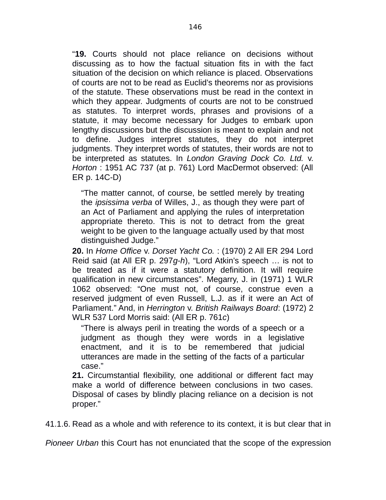"**19.** Courts should not place reliance on decisions without discussing as to how the factual situation fits in with the fact situation of the decision on which reliance is placed. Observations of courts are not to be read as Euclid's theorems nor as provisions of the statute. These observations must be read in the context in which they appear. Judgments of courts are not to be construed as statutes. To interpret words, phrases and provisions of a statute, it may become necessary for Judges to embark upon lengthy discussions but the discussion is meant to explain and not to define. Judges interpret statutes, they do not interpret judgments. They interpret words of statutes, their words are not to be interpreted as statutes. In *London Graving Dock Co. Ltd.* v. *Horton* : 1951 AC 737 (at p. 761) Lord MacDermot observed: (All ER p. 14C-D)

"The matter cannot, of course, be settled merely by treating the *ipsissima verba* of Willes, J., as though they were part of an Act of Parliament and applying the rules of interpretation appropriate thereto. This is not to detract from the great weight to be given to the language actually used by that most distinguished Judge."

**20.** In *Home Office* v. *Dorset Yacht Co.* : (1970) 2 All ER 294 Lord Reid said (at All ER p. 297*g*-*h*), "Lord Atkin's speech … is not to be treated as if it were a statutory definition. It will require qualification in new circumstances". Megarry, J. in (1971) 1 WLR 1062 observed: "One must not, of course, construe even a reserved judgment of even Russell, L.J. as if it were an Act of Parliament." And, in *Herrington* v. *British Railways Board*: (1972) 2 WLR 537 Lord Morris said: (All ER p. 761*c*)

"There is always peril in treating the words of a speech or a judgment as though they were words in a legislative enactment, and it is to be remembered that judicial utterances are made in the setting of the facts of a particular case."

**21.** Circumstantial flexibility, one additional or different fact may make a world of difference between conclusions in two cases. Disposal of cases by blindly placing reliance on a decision is not proper."

41.1.6. Read as a whole and with reference to its context, it is but clear that in

*Pioneer Urban* this Court has not enunciated that the scope of the expression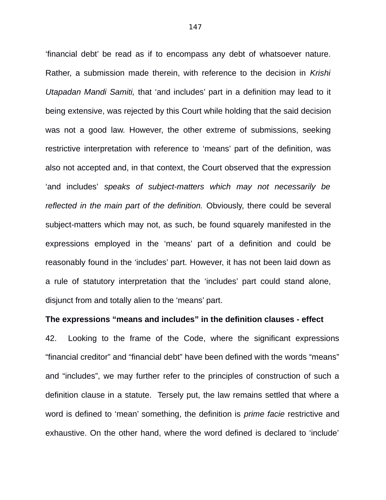'financial debt' be read as if to encompass any debt of whatsoever nature. Rather, a submission made therein, with reference to the decision in *Krishi Utapadan Mandi Samiti,* that 'and includes' part in a definition may lead to it being extensive, was rejected by this Court while holding that the said decision was not a good law. However, the other extreme of submissions, seeking restrictive interpretation with reference to 'means' part of the definition, was also not accepted and, in that context, the Court observed that the expression 'and includes' *speaks of subject-matters which may not necessarily be reflected in the main part of the definition.* Obviously, there could be several subject-matters which may not, as such, be found squarely manifested in the expressions employed in the 'means' part of a definition and could be reasonably found in the 'includes' part. However, it has not been laid down as a rule of statutory interpretation that the 'includes' part could stand alone, disjunct from and totally alien to the 'means' part.

#### **The expressions "means and includes" in the definition clauses - effect**

42. Looking to the frame of the Code, where the significant expressions "financial creditor" and "financial debt" have been defined with the words "means" and "includes", we may further refer to the principles of construction of such a definition clause in a statute. Tersely put, the law remains settled that where a word is defined to 'mean' something, the definition is *prime facie* restrictive and exhaustive. On the other hand, where the word defined is declared to 'include'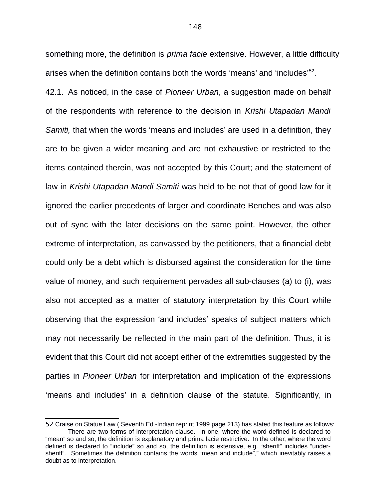something more, the definition is *prima facie* extensive. However, a little difficulty arises when the definition contains both the words 'means' and 'includes'<sup>[52](#page--1-0)</sup>.

42.1. As noticed, in the case of *Pioneer Urban*, a suggestion made on behalf of the respondents with reference to the decision in *Krishi Utapadan Mandi Samiti,* that when the words 'means and includes' are used in a definition, they are to be given a wider meaning and are not exhaustive or restricted to the items contained therein, was not accepted by this Court; and the statement of law in *Krishi Utapadan Mandi Samiti* was held to be not that of good law for it ignored the earlier precedents of larger and coordinate Benches and was also out of sync with the later decisions on the same point. However, the other extreme of interpretation, as canvassed by the petitioners, that a financial debt could only be a debt which is disbursed against the consideration for the time value of money, and such requirement pervades all sub-clauses (a) to (i), was also not accepted as a matter of statutory interpretation by this Court while observing that the expression 'and includes' speaks of subject matters which may not necessarily be reflected in the main part of the definition. Thus, it is evident that this Court did not accept either of the extremities suggested by the parties in *Pioneer Urban* for interpretation and implication of the expressions 'means and includes' in a definition clause of the statute. Significantly, in

<sup>52</sup> Craise on Statue Law ( Seventh Ed.-Indian reprint 1999 page 213) has stated this feature as follows: There are two forms of interpretation clause. In one, where the word defined is declared to "mean" so and so, the definition is explanatory and prima facie restrictive. In the other, where the word defined is declared to "include" so and so, the definition is extensive, e.g. "sheriff" includes "undersheriff". Sometimes the definition contains the words "mean and include"," which inevitably raises a doubt as to interpretation.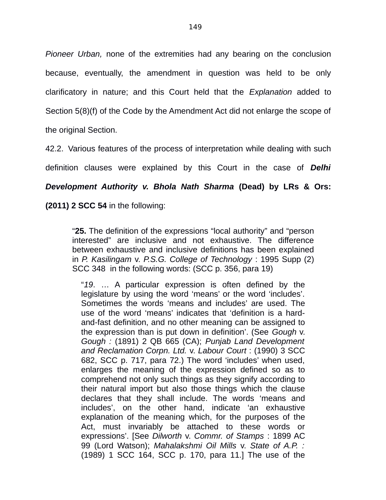*Pioneer Urban,* none of the extremities had any bearing on the conclusion because, eventually, the amendment in question was held to be only clarificatory in nature; and this Court held that the *Explanation* added to Section 5(8)(f) of the Code by the Amendment Act did not enlarge the scope of the original Section.

42.2. Various features of the process of interpretation while dealing with such definition clauses were explained by this Court in the case of *Delhi Development Authority v. Bhola Nath Sharma* **(Dead) by LRs & Ors: (2011) 2 SCC 54** in the following:

"**25.** The definition of the expressions "local authority" and "person interested" are inclusive and not exhaustive. The difference between exhaustive and inclusive definitions has been explained in *P. Kasilingam* v. *P.S.G. College of Technology* : 1995 Supp (2) SCC 348 in the following words: (SCC p. 356, para 19)

"*19*. … A particular expression is often defined by the legislature by using the word 'means' or the word 'includes'. Sometimes the words 'means and includes' are used. The use of the word 'means' indicates that 'definition is a hardand-fast definition, and no other meaning can be assigned to the expression than is put down in definition'. (See *Gough* v. *Gough :* (1891) 2 QB 665 (CA); *Punjab Land Development and Reclamation Corpn. Ltd.* v. *Labour Court* : (1990) 3 SCC 682, SCC p. 717, para 72.) The word 'includes' when used, enlarges the meaning of the expression defined so as to comprehend not only such things as they signify according to their natural import but also those things which the clause declares that they shall include. The words 'means and includes', on the other hand, indicate 'an exhaustive explanation of the meaning which, for the purposes of the Act, must invariably be attached to these words or expressions'. [See *Dilworth* v. *Commr. of Stamps* : 1899 AC 99 (Lord Watson); *Mahalakshmi Oil Mills* v. *State of A.P. :* (1989) 1 SCC 164, SCC p. 170, para 11.] The use of the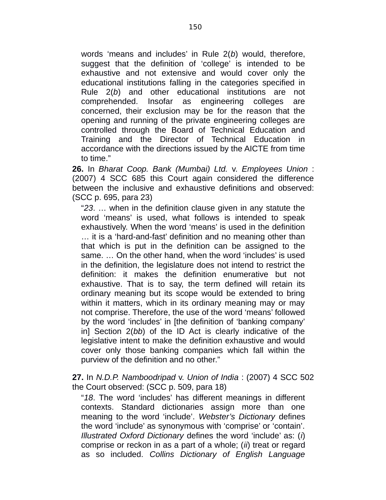words 'means and includes' in Rule 2(*b*) would, therefore, suggest that the definition of 'college' is intended to be exhaustive and not extensive and would cover only the educational institutions falling in the categories specified in Rule 2(*b*) and other educational institutions are not comprehended. Insofar as engineering colleges are concerned, their exclusion may be for the reason that the opening and running of the private engineering colleges are controlled through the Board of Technical Education and Training and the Director of Technical Education in accordance with the directions issued by the AICTE from time to time."

**26.** In *Bharat Coop. Bank (Mumbai) Ltd.* v. *Employees Union* : (2007) 4 SCC 685 this Court again considered the difference between the inclusive and exhaustive definitions and observed: (SCC p. 695, para 23)

"*23*. … when in the definition clause given in any statute the word 'means' is used, what follows is intended to speak exhaustively. When the word 'means' is used in the definition … it is a 'hard-and-fast' definition and no meaning other than that which is put in the definition can be assigned to the same. … On the other hand, when the word 'includes' is used in the definition, the legislature does not intend to restrict the definition: it makes the definition enumerative but not exhaustive. That is to say, the term defined will retain its ordinary meaning but its scope would be extended to bring within it matters, which in its ordinary meaning may or may not comprise. Therefore, the use of the word 'means' followed by the word 'includes' in [the definition of 'banking company' in] Section 2(*bb*) of the ID Act is clearly indicative of the legislative intent to make the definition exhaustive and would cover only those banking companies which fall within the purview of the definition and no other."

## **27.** In *N.D.P. Namboodripad* v. *Union of India* : (2007) 4 SCC 502 the Court observed: (SCC p. 509, para 18)

"*18*. The word 'includes' has different meanings in different contexts. Standard dictionaries assign more than one meaning to the word 'include'. *Webster's Dictionary* defines the word 'include' as synonymous with 'comprise' or 'contain'. *Illustrated Oxford Dictionary* defines the word 'include' as: (*i*) comprise or reckon in as a part of a whole; (*ii*) treat or regard as so included. *Collins Dictionary of English Language*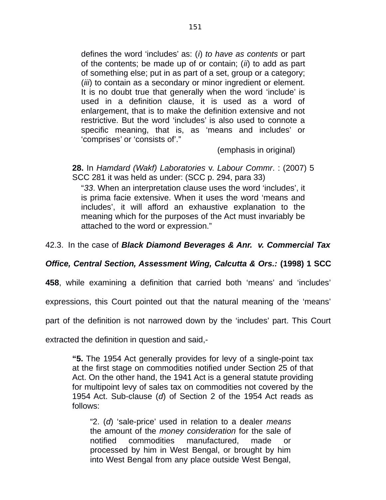defines the word 'includes' as: (*i*) *to have as contents* or part of the contents; be made up of or contain; (*ii*) to add as part of something else; put in as part of a set, group or a category; (*iii*) to contain as a secondary or minor ingredient or element. It is no doubt true that generally when the word 'include' is used in a definition clause, it is used as a word of enlargement, that is to make the definition extensive and not restrictive. But the word 'includes' is also used to connote a specific meaning, that is, as 'means and includes' or 'comprises' or 'consists of'."

(emphasis in original)

**28.** In *Hamdard (Wakf) Laboratories* v. *Labour Commr*. : (2007) 5 SCC 281 it was held as under: (SCC p. 294, para 33)

"*33*. When an interpretation clause uses the word 'includes', it is prima facie extensive. When it uses the word 'means and includes', it will afford an exhaustive explanation to the meaning which for the purposes of the Act must invariably be attached to the word or expression."

## 42.3. In the case of *Black Diamond Beverages & Anr. v. Commercial Tax*

## *Office, Central Section, Assessment Wing, Calcutta & Ors.:* **(1998) 1 SCC**

**458**, while examining a definition that carried both 'means' and 'includes'

expressions, this Court pointed out that the natural meaning of the 'means'

part of the definition is not narrowed down by the 'includes' part. This Court

extracted the definition in question and said,-

**"5.** The 1954 Act generally provides for levy of a single-point tax at the first stage on commodities notified under Section 25 of that Act. On the other hand, the 1941 Act is a general statute providing for multipoint levy of sales tax on commodities not covered by the 1954 Act. Sub-clause (*d*) of Section 2 of the 1954 Act reads as follows:

"2. (*d*) 'sale-price' used in relation to a dealer *means* the amount of the *money consideration* for the sale of notified commodities manufactured, made or processed by him in West Bengal, or brought by him into West Bengal from any place outside West Bengal,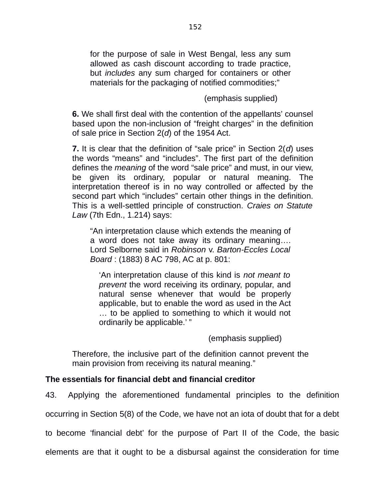for the purpose of sale in West Bengal, less any sum allowed as cash discount according to trade practice, but *includes* any sum charged for containers or other materials for the packaging of notified commodities;"

(emphasis supplied)

**6.** We shall first deal with the contention of the appellants' counsel based upon the non-inclusion of "freight charges" in the definition of sale price in Section 2(*d*) of the 1954 Act.

**7.** It is clear that the definition of "sale price" in Section 2(*d*) uses the words "means" and "includes". The first part of the definition defines the *meaning* of the word "sale price" and must, in our view, be given its ordinary, popular or natural meaning. The interpretation thereof is in no way controlled or affected by the second part which "includes" certain other things in the definition. This is a well-settled principle of construction. *Craies on Statute Law* (7th Edn., 1.214) says:

"An interpretation clause which extends the meaning of a word does not take away its ordinary meaning…. Lord Selborne said in *Robinson* v. *Barton-Eccles Local Board* : (1883) 8 AC 798, AC at p. 801:

'An interpretation clause of this kind is *not meant to prevent* the word receiving its ordinary, popular, and natural sense whenever that would be properly applicable, but to enable the word as used in the Act … to be applied to something to which it would not ordinarily be applicable.' "

(emphasis supplied)

Therefore, the inclusive part of the definition cannot prevent the main provision from receiving its natural meaning."

# **The essentials for financial debt and financial creditor**

43. Applying the aforementioned fundamental principles to the definition

occurring in Section 5(8) of the Code, we have not an iota of doubt that for a debt

to become 'financial debt' for the purpose of Part II of the Code, the basic

elements are that it ought to be a disbursal against the consideration for time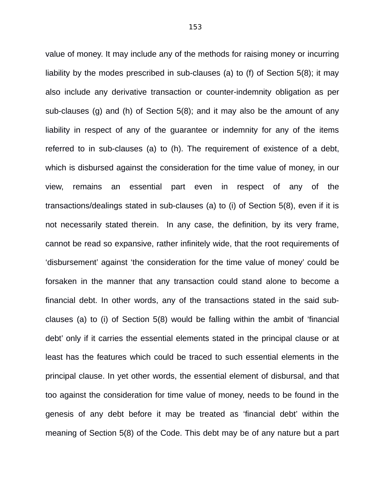value of money. It may include any of the methods for raising money or incurring liability by the modes prescribed in sub-clauses (a) to (f) of Section 5(8); it may also include any derivative transaction or counter-indemnity obligation as per sub-clauses (g) and (h) of Section 5(8); and it may also be the amount of any liability in respect of any of the guarantee or indemnity for any of the items referred to in sub-clauses (a) to (h). The requirement of existence of a debt, which is disbursed against the consideration for the time value of money, in our view, remains an essential part even in respect of any of the transactions/dealings stated in sub-clauses (a) to (i) of Section 5(8), even if it is not necessarily stated therein. In any case, the definition, by its very frame, cannot be read so expansive, rather infinitely wide, that the root requirements of 'disbursement' against 'the consideration for the time value of money' could be forsaken in the manner that any transaction could stand alone to become a financial debt. In other words, any of the transactions stated in the said subclauses (a) to (i) of Section 5(8) would be falling within the ambit of 'financial debt' only if it carries the essential elements stated in the principal clause or at least has the features which could be traced to such essential elements in the principal clause. In yet other words, the essential element of disbursal, and that too against the consideration for time value of money, needs to be found in the genesis of any debt before it may be treated as 'financial debt' within the meaning of Section 5(8) of the Code. This debt may be of any nature but a part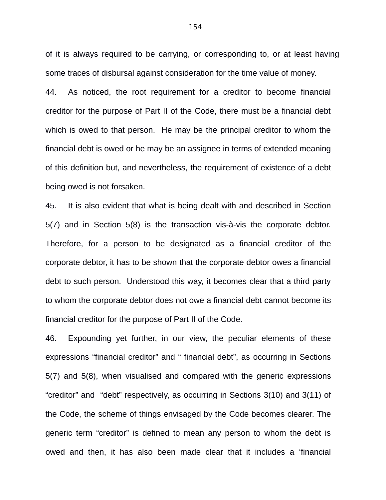of it is always required to be carrying, or corresponding to, or at least having some traces of disbursal against consideration for the time value of money.

44. As noticed, the root requirement for a creditor to become financial creditor for the purpose of Part II of the Code, there must be a financial debt which is owed to that person. He may be the principal creditor to whom the financial debt is owed or he may be an assignee in terms of extended meaning of this definition but, and nevertheless, the requirement of existence of a debt being owed is not forsaken.

45. It is also evident that what is being dealt with and described in Section 5(7) and in Section 5(8) is the transaction vis-à-vis the corporate debtor. Therefore, for a person to be designated as a financial creditor of the corporate debtor, it has to be shown that the corporate debtor owes a financial debt to such person. Understood this way, it becomes clear that a third party to whom the corporate debtor does not owe a financial debt cannot become its financial creditor for the purpose of Part II of the Code.

46. Expounding yet further, in our view, the peculiar elements of these expressions "financial creditor" and " financial debt", as occurring in Sections 5(7) and 5(8), when visualised and compared with the generic expressions "creditor" and "debt" respectively, as occurring in Sections 3(10) and 3(11) of the Code, the scheme of things envisaged by the Code becomes clearer. The generic term "creditor" is defined to mean any person to whom the debt is owed and then, it has also been made clear that it includes a 'financial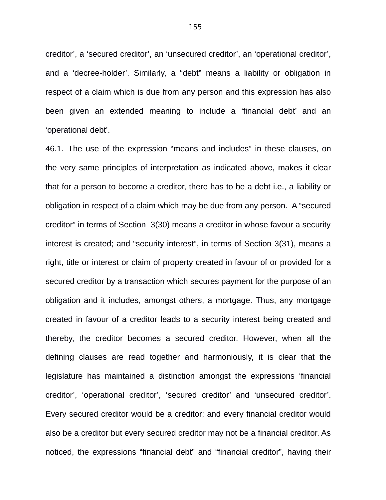creditor', a 'secured creditor', an 'unsecured creditor', an 'operational creditor', and a 'decree-holder'. Similarly, a "debt" means a liability or obligation in respect of a claim which is due from any person and this expression has also been given an extended meaning to include a 'financial debt' and an 'operational debt'.

46.1. The use of the expression "means and includes" in these clauses, on the very same principles of interpretation as indicated above, makes it clear that for a person to become a creditor, there has to be a debt i.e., a liability or obligation in respect of a claim which may be due from any person. A "secured creditor" in terms of Section 3(30) means a creditor in whose favour a security interest is created; and "security interest", in terms of Section 3(31), means a right, title or interest or claim of property created in favour of or provided for a secured creditor by a transaction which secures payment for the purpose of an obligation and it includes, amongst others, a mortgage. Thus, any mortgage created in favour of a creditor leads to a security interest being created and thereby, the creditor becomes a secured creditor. However, when all the defining clauses are read together and harmoniously, it is clear that the legislature has maintained a distinction amongst the expressions 'financial creditor', 'operational creditor', 'secured creditor' and 'unsecured creditor'. Every secured creditor would be a creditor; and every financial creditor would also be a creditor but every secured creditor may not be a financial creditor. As noticed, the expressions "financial debt" and "financial creditor", having their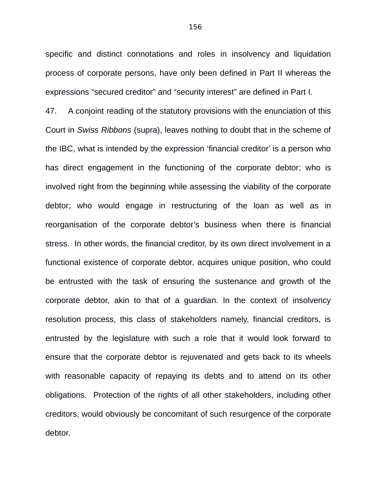specific and distinct connotations and roles in insolvency and liquidation process of corporate persons, have only been defined in Part II whereas the expressions "secured creditor" and "security interest" are defined in Part I.

47. A conjoint reading of the statutory provisions with the enunciation of this Court in *Swiss Ribbons* (supra), leaves nothing to doubt that in the scheme of the IBC, what is intended by the expression 'financial creditor' is a person who has direct engagement in the functioning of the corporate debtor; who is involved right from the beginning while assessing the viability of the corporate debtor; who would engage in restructuring of the loan as well as in reorganisation of the corporate debtor's business when there is financial stress. In other words, the financial creditor, by its own direct involvement in a functional existence of corporate debtor, acquires unique position, who could be entrusted with the task of ensuring the sustenance and growth of the corporate debtor, akin to that of a guardian. In the context of insolvency resolution process, this class of stakeholders namely, financial creditors, is entrusted by the legislature with such a role that it would look forward to ensure that the corporate debtor is rejuvenated and gets back to its wheels with reasonable capacity of repaying its debts and to attend on its other obligations. Protection of the rights of all other stakeholders, including other creditors, would obviously be concomitant of such resurgence of the corporate debtor.

156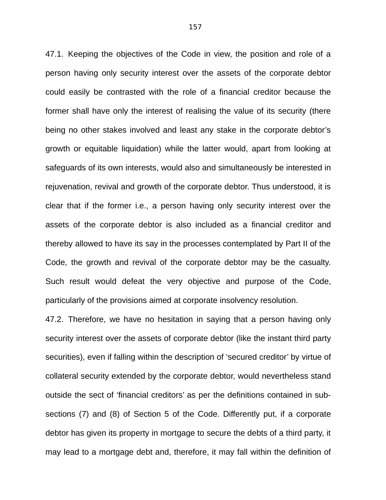47.1. Keeping the objectives of the Code in view, the position and role of a person having only security interest over the assets of the corporate debtor could easily be contrasted with the role of a financial creditor because the former shall have only the interest of realising the value of its security (there being no other stakes involved and least any stake in the corporate debtor's growth or equitable liquidation) while the latter would, apart from looking at safeguards of its own interests, would also and simultaneously be interested in rejuvenation, revival and growth of the corporate debtor. Thus understood, it is clear that if the former i.e., a person having only security interest over the assets of the corporate debtor is also included as a financial creditor and thereby allowed to have its say in the processes contemplated by Part II of the Code, the growth and revival of the corporate debtor may be the casualty. Such result would defeat the very objective and purpose of the Code, particularly of the provisions aimed at corporate insolvency resolution.

47.2. Therefore, we have no hesitation in saying that a person having only security interest over the assets of corporate debtor (like the instant third party securities), even if falling within the description of 'secured creditor' by virtue of collateral security extended by the corporate debtor, would nevertheless stand outside the sect of 'financial creditors' as per the definitions contained in subsections (7) and (8) of Section 5 of the Code. Differently put, if a corporate debtor has given its property in mortgage to secure the debts of a third party, it may lead to a mortgage debt and, therefore, it may fall within the definition of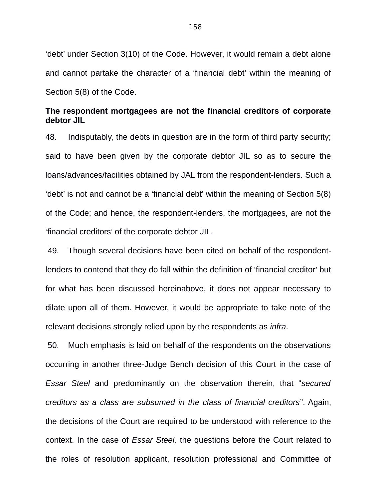'debt' under Section 3(10) of the Code. However, it would remain a debt alone and cannot partake the character of a 'financial debt' within the meaning of Section 5(8) of the Code.

## **The respondent mortgagees are not the financial creditors of corporate debtor JIL**

48. Indisputably, the debts in question are in the form of third party security; said to have been given by the corporate debtor JIL so as to secure the loans/advances/facilities obtained by JAL from the respondent-lenders. Such a 'debt' is not and cannot be a 'financial debt' within the meaning of Section 5(8) of the Code; and hence, the respondent-lenders, the mortgagees, are not the 'financial creditors' of the corporate debtor JIL.

 49. Though several decisions have been cited on behalf of the respondentlenders to contend that they do fall within the definition of 'financial creditor' but for what has been discussed hereinabove, it does not appear necessary to dilate upon all of them. However, it would be appropriate to take note of the relevant decisions strongly relied upon by the respondents as *infra*.

 50. Much emphasis is laid on behalf of the respondents on the observations occurring in another three-Judge Bench decision of this Court in the case of *Essar Steel* and predominantly on the observation therein, that "*secured creditors as a class are subsumed in the class of financial creditors*". Again, the decisions of the Court are required to be understood with reference to the context. In the case of *Essar Steel,* the questions before the Court related to the roles of resolution applicant, resolution professional and Committee of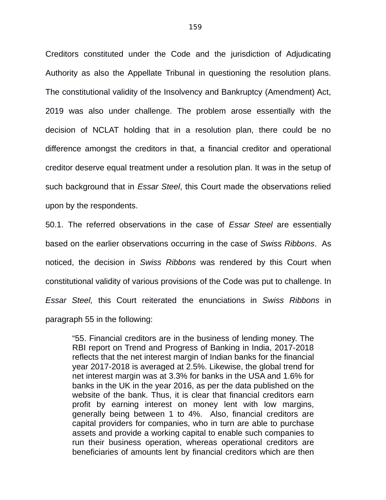Creditors constituted under the Code and the jurisdiction of Adjudicating Authority as also the Appellate Tribunal in questioning the resolution plans. The constitutional validity of the Insolvency and Bankruptcy (Amendment) Act, 2019 was also under challenge. The problem arose essentially with the decision of NCLAT holding that in a resolution plan, there could be no difference amongst the creditors in that, a financial creditor and operational creditor deserve equal treatment under a resolution plan. It was in the setup of such background that in *Essar Steel*, this Court made the observations relied upon by the respondents.

50.1. The referred observations in the case of *Essar Steel* are essentially based on the earlier observations occurring in the case of *Swiss Ribbons*. As noticed, the decision in *Swiss Ribbons* was rendered by this Court when constitutional validity of various provisions of the Code was put to challenge. In *Essar Steel,* this Court reiterated the enunciations in *Swiss Ribbons* in paragraph 55 in the following:

"55. Financial creditors are in the business of lending money. The RBI report on Trend and Progress of Banking in India, 2017-2018 reflects that the net interest margin of Indian banks for the financial year 2017-2018 is averaged at 2.5%. Likewise, the global trend for net interest margin was at 3.3% for banks in the USA and 1.6% for banks in the UK in the year 2016, as per the data published on the website of the bank. Thus, it is clear that financial creditors earn profit by earning interest on money lent with low margins, generally being between 1 to 4%. Also, financial creditors are capital providers for companies, who in turn are able to purchase assets and provide a working capital to enable such companies to run their business operation, whereas operational creditors are beneficiaries of amounts lent by financial creditors which are then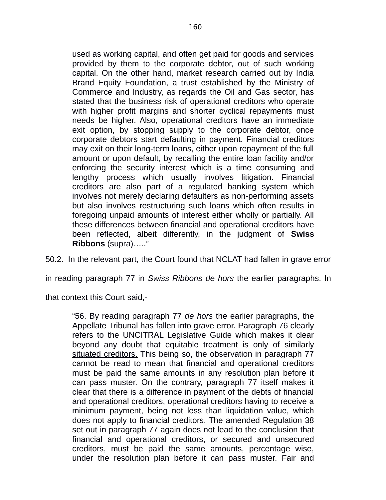used as working capital, and often get paid for goods and services provided by them to the corporate debtor, out of such working capital. On the other hand, market research carried out by India Brand Equity Foundation, a trust established by the Ministry of Commerce and Industry, as regards the Oil and Gas sector, has stated that the business risk of operational creditors who operate with higher profit margins and shorter cyclical repayments must needs be higher. Also, operational creditors have an immediate exit option, by stopping supply to the corporate debtor, once corporate debtors start defaulting in payment. Financial creditors may exit on their long-term loans, either upon repayment of the full amount or upon default, by recalling the entire loan facility and/or enforcing the security interest which is a time consuming and lengthy process which usually involves litigation. Financial creditors are also part of a regulated banking system which involves not merely declaring defaulters as non-performing assets but also involves restructuring such loans which often results in foregoing unpaid amounts of interest either wholly or partially. All these differences between financial and operational creditors have been reflected, albeit differently, in the judgment of **Swiss Ribbons** (supra)….."

50.2. In the relevant part, the Court found that NCLAT had fallen in grave error

in reading paragraph 77 in *Swiss Ribbons de hors* the earlier paragraphs. In

that context this Court said,-

"56. By reading paragraph 77 *de hors* the earlier paragraphs, the Appellate Tribunal has fallen into grave error. Paragraph 76 clearly refers to the UNCITRAL Legislative Guide which makes it clear beyond any doubt that equitable treatment is only of similarly situated creditors. This being so, the observation in paragraph 77 cannot be read to mean that financial and operational creditors must be paid the same amounts in any resolution plan before it can pass muster. On the contrary, paragraph 77 itself makes it clear that there is a difference in payment of the debts of financial and operational creditors, operational creditors having to receive a minimum payment, being not less than liquidation value, which does not apply to financial creditors. The amended Regulation 38 set out in paragraph 77 again does not lead to the conclusion that financial and operational creditors, or secured and unsecured creditors, must be paid the same amounts, percentage wise, under the resolution plan before it can pass muster. Fair and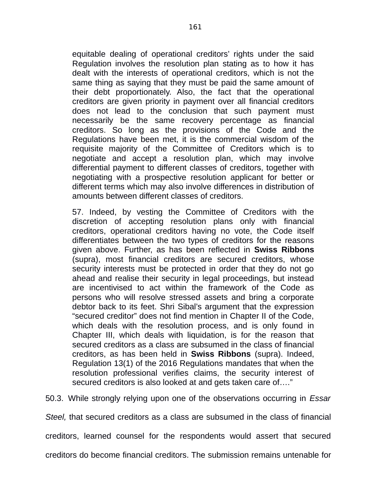equitable dealing of operational creditors' rights under the said Regulation involves the resolution plan stating as to how it has dealt with the interests of operational creditors, which is not the same thing as saying that they must be paid the same amount of their debt proportionately. Also, the fact that the operational creditors are given priority in payment over all financial creditors does not lead to the conclusion that such payment must necessarily be the same recovery percentage as financial creditors. So long as the provisions of the Code and the Regulations have been met, it is the commercial wisdom of the requisite majority of the Committee of Creditors which is to negotiate and accept a resolution plan, which may involve differential payment to different classes of creditors, together with negotiating with a prospective resolution applicant for better or different terms which may also involve differences in distribution of amounts between different classes of creditors.

57. Indeed, by vesting the Committee of Creditors with the discretion of accepting resolution plans only with financial creditors, operational creditors having no vote, the Code itself differentiates between the two types of creditors for the reasons given above. Further, as has been reflected in **Swiss Ribbons** (supra), most financial creditors are secured creditors, whose security interests must be protected in order that they do not go ahead and realise their security in legal proceedings, but instead are incentivised to act within the framework of the Code as persons who will resolve stressed assets and bring a corporate debtor back to its feet. Shri Sibal's argument that the expression "secured creditor" does not find mention in Chapter II of the Code, which deals with the resolution process, and is only found in Chapter III, which deals with liquidation, is for the reason that secured creditors as a class are subsumed in the class of financial creditors, as has been held in **Swiss Ribbons** (supra). Indeed, Regulation 13(1) of the 2016 Regulations mandates that when the resolution professional verifies claims, the security interest of secured creditors is also looked at and gets taken care of…."

50.3. While strongly relying upon one of the observations occurring in *Essar*

*Steel,* that secured creditors as a class are subsumed in the class of financial

creditors, learned counsel for the respondents would assert that secured

creditors do become financial creditors. The submission remains untenable for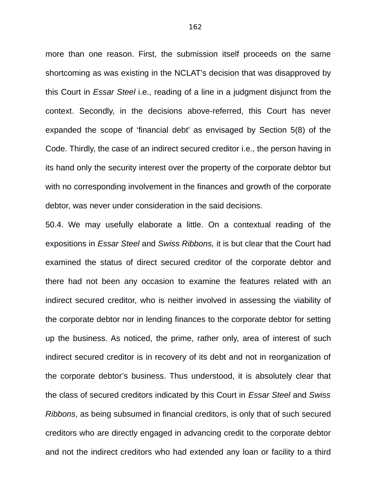more than one reason. First, the submission itself proceeds on the same shortcoming as was existing in the NCLAT's decision that was disapproved by this Court in *Essar Steel* i.e., reading of a line in a judgment disjunct from the context. Secondly, in the decisions above-referred, this Court has never expanded the scope of 'financial debt' as envisaged by Section 5(8) of the Code. Thirdly, the case of an indirect secured creditor i.e., the person having in its hand only the security interest over the property of the corporate debtor but with no corresponding involvement in the finances and growth of the corporate debtor, was never under consideration in the said decisions.

50.4. We may usefully elaborate a little. On a contextual reading of the expositions in *Essar Steel* and *Swiss Ribbons,* it is but clear that the Court had examined the status of direct secured creditor of the corporate debtor and there had not been any occasion to examine the features related with an indirect secured creditor, who is neither involved in assessing the viability of the corporate debtor nor in lending finances to the corporate debtor for setting up the business. As noticed, the prime, rather only, area of interest of such indirect secured creditor is in recovery of its debt and not in reorganization of the corporate debtor's business. Thus understood, it is absolutely clear that the class of secured creditors indicated by this Court in *Essar Steel* and *Swiss Ribbons*, as being subsumed in financial creditors, is only that of such secured creditors who are directly engaged in advancing credit to the corporate debtor and not the indirect creditors who had extended any loan or facility to a third

162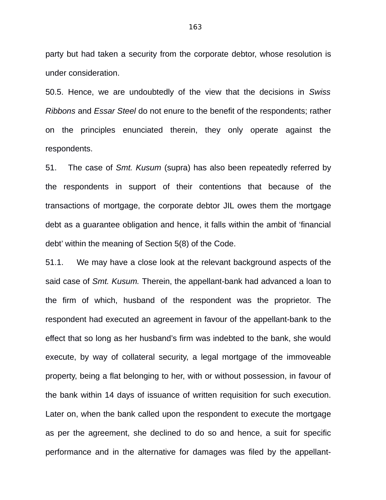party but had taken a security from the corporate debtor, whose resolution is under consideration.

50.5. Hence, we are undoubtedly of the view that the decisions in *Swiss Ribbons* and *Essar Steel* do not enure to the benefit of the respondents; rather on the principles enunciated therein, they only operate against the respondents.

51. The case of *Smt. Kusum* (supra) has also been repeatedly referred by the respondents in support of their contentions that because of the transactions of mortgage, the corporate debtor JIL owes them the mortgage debt as a guarantee obligation and hence, it falls within the ambit of 'financial debt' within the meaning of Section 5(8) of the Code.

51.1. We may have a close look at the relevant background aspects of the said case of *Smt. Kusum.* Therein, the appellant-bank had advanced a loan to the firm of which, husband of the respondent was the proprietor. The respondent had executed an agreement in favour of the appellant-bank to the effect that so long as her husband's firm was indebted to the bank, she would execute, by way of collateral security, a legal mortgage of the immoveable property, being a flat belonging to her, with or without possession, in favour of the bank within 14 days of issuance of written requisition for such execution. Later on, when the bank called upon the respondent to execute the mortgage as per the agreement, she declined to do so and hence, a suit for specific performance and in the alternative for damages was filed by the appellant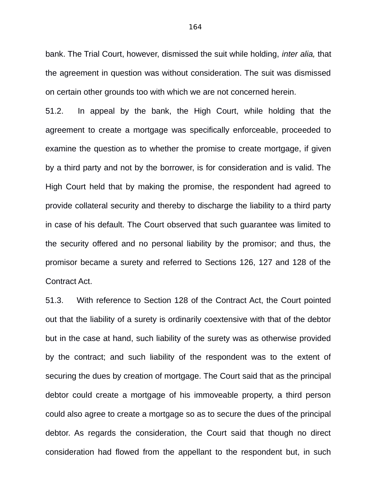bank. The Trial Court, however, dismissed the suit while holding, *inter alia,* that the agreement in question was without consideration. The suit was dismissed on certain other grounds too with which we are not concerned herein.

51.2. In appeal by the bank, the High Court, while holding that the agreement to create a mortgage was specifically enforceable, proceeded to examine the question as to whether the promise to create mortgage, if given by a third party and not by the borrower, is for consideration and is valid. The High Court held that by making the promise, the respondent had agreed to provide collateral security and thereby to discharge the liability to a third party in case of his default. The Court observed that such guarantee was limited to the security offered and no personal liability by the promisor; and thus, the promisor became a surety and referred to Sections 126, 127 and 128 of the Contract Act.

51.3. With reference to Section 128 of the Contract Act, the Court pointed out that the liability of a surety is ordinarily coextensive with that of the debtor but in the case at hand, such liability of the surety was as otherwise provided by the contract; and such liability of the respondent was to the extent of securing the dues by creation of mortgage. The Court said that as the principal debtor could create a mortgage of his immoveable property, a third person could also agree to create a mortgage so as to secure the dues of the principal debtor. As regards the consideration, the Court said that though no direct consideration had flowed from the appellant to the respondent but, in such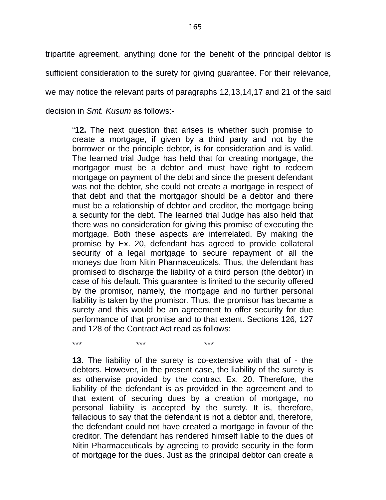tripartite agreement, anything done for the benefit of the principal debtor is sufficient consideration to the surety for giving guarantee. For their relevance, we may notice the relevant parts of paragraphs 12,13,14,17 and 21 of the said decision in *Smt. Kusum* as follows:-

"**12.** The next question that arises is whether such promise to create a mortgage, if given by a third party and not by the borrower or the principle debtor, is for consideration and is valid. The learned trial Judge has held that for creating mortgage, the mortgagor must be a debtor and must have right to redeem mortgage on payment of the debt and since the present defendant was not the debtor, she could not create a mortgage in respect of that debt and that the mortgagor should be a debtor and there must be a relationship of debtor and creditor, the mortgage being a security for the debt. The learned trial Judge has also held that there was no consideration for giving this promise of executing the mortgage. Both these aspects are interrelated. By making the promise by Ex. 20, defendant has agreed to provide collateral security of a legal mortgage to secure repayment of all the moneys due from Nitin Pharmaceuticals. Thus, the defendant has promised to discharge the liability of a third person (the debtor) in case of his default. This guarantee is limited to the security offered by the promisor, namely, the mortgage and no further personal liability is taken by the promisor. Thus, the promisor has became a surety and this would be an agreement to offer security for due performance of that promise and to that extent. Sections 126, 127 and 128 of the Contract Act read as follows:

**13.** The liability of the surety is co-extensive with that of - the debtors. However, in the present case, the liability of the surety is as otherwise provided by the contract Ex. 20. Therefore, the liability of the defendant is as provided in the agreement and to that extent of securing dues by a creation of mortgage, no personal liability is accepted by the surety. It is, therefore, fallacious to say that the defendant is not a debtor and, therefore, the defendant could not have created a mortgage in favour of the creditor. The defendant has rendered himself liable to the dues of Nitin Pharmaceuticals by agreeing to provide security in the form of mortgage for the dues. Just as the principal debtor can create a

\*\*\* \*\*\* \*\*\*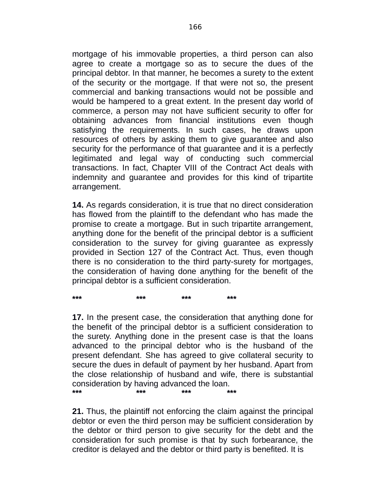mortgage of his immovable properties, a third person can also agree to create a mortgage so as to secure the dues of the principal debtor. In that manner, he becomes a surety to the extent of the security or the mortgage. If that were not so, the present commercial and banking transactions would not be possible and would be hampered to a great extent. In the present day world of commerce, a person may not have sufficient security to offer for obtaining advances from financial institutions even though satisfying the requirements. In such cases, he draws upon resources of others by asking them to give guarantee and also security for the performance of that guarantee and it is a perfectly legitimated and legal way of conducting such commercial transactions. In fact, Chapter VIII of the Contract Act deals with indemnity and guarantee and provides for this kind of tripartite arrangement.

**14.** As regards consideration, it is true that no direct consideration has flowed from the plaintiff to the defendant who has made the promise to create a mortgage. But in such tripartite arrangement, anything done for the benefit of the principal debtor is a sufficient consideration to the survey for giving guarantee as expressly provided in Section 127 of the Contract Act. Thus, even though there is no consideration to the third party-surety for mortgages, the consideration of having done anything for the benefit of the principal debtor is a sufficient consideration.

**\*\*\* \*\*\* \*\*\* \*\*\* 17.** In the present case, the consideration that anything done for the benefit of the principal debtor is a sufficient consideration to the surety. Anything done in the present case is that the loans advanced to the principal debtor who is the husband of the present defendant. She has agreed to give collateral security to secure the dues in default of payment by her husband. Apart from the close relationship of husband and wife, there is substantial

consideration by having advanced the loan. **\*\*\* \*\*\* \*\*\* \*\*\***

**21.** Thus, the plaintiff not enforcing the claim against the principal debtor or even the third person may be sufficient consideration by the debtor or third person to give security for the debt and the consideration for such promise is that by such forbearance, the creditor is delayed and the debtor or third party is benefited. It is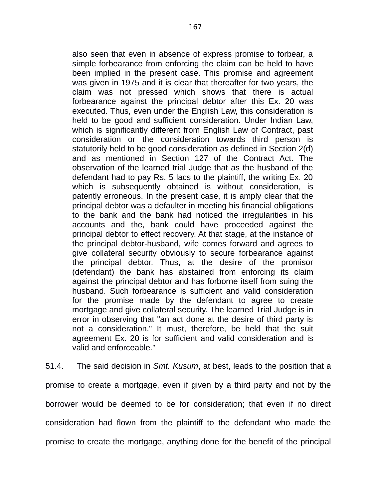also seen that even in absence of express promise to forbear, a simple forbearance from enforcing the claim can be held to have been implied in the present case. This promise and agreement was given in 1975 and it is clear that thereafter for two years, the claim was not pressed which shows that there is actual forbearance against the principal debtor after this Ex. 20 was executed. Thus, even under the English Law, this consideration is held to be good and sufficient consideration. Under Indian Law, which is significantly different from English Law of Contract, past consideration or the consideration towards third person is statutorily held to be good consideration as defined in Section 2(d) and as mentioned in Section 127 of the Contract Act. The observation of the learned trial Judge that as the husband of the defendant had to pay Rs. 5 lacs to the plaintiff, the writing Ex. 20 which is subsequently obtained is without consideration, is patently erroneous. In the present case, it is amply clear that the principal debtor was a defaulter in meeting his financial obligations to the bank and the bank had noticed the irregularities in his accounts and the, bank could have proceeded against the principal debtor to effect recovery. At that stage, at the instance of the principal debtor-husband, wife comes forward and agrees to give collateral security obviously to secure forbearance against the principal debtor. Thus, at the desire of the promisor (defendant) the bank has abstained from enforcing its claim against the principal debtor and has forborne itself from suing the husband. Such forbearance is sufficient and valid consideration for the promise made by the defendant to agree to create mortgage and give collateral security. The learned Trial Judge is in error in observing that "an act done at the desire of third party is not a consideration." It must, therefore, be held that the suit agreement Ex. 20 is for sufficient and valid consideration and is valid and enforceable."

51.4. The said decision in *Smt. Kusum*, at best, leads to the position that a promise to create a mortgage, even if given by a third party and not by the borrower would be deemed to be for consideration; that even if no direct consideration had flown from the plaintiff to the defendant who made the promise to create the mortgage, anything done for the benefit of the principal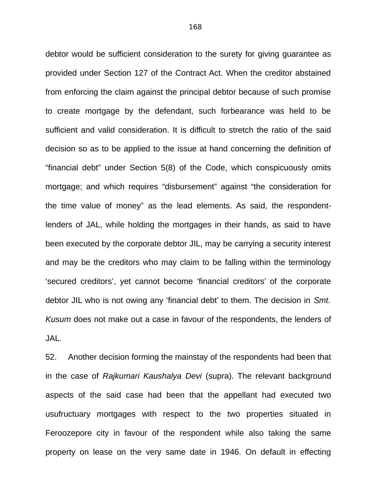debtor would be sufficient consideration to the surety for giving guarantee as provided under Section 127 of the Contract Act. When the creditor abstained from enforcing the claim against the principal debtor because of such promise to create mortgage by the defendant, such forbearance was held to be sufficient and valid consideration. It is difficult to stretch the ratio of the said decision so as to be applied to the issue at hand concerning the definition of "financial debt" under Section 5(8) of the Code, which conspicuously omits mortgage; and which requires "disbursement" against "the consideration for the time value of money" as the lead elements. As said, the respondentlenders of JAL, while holding the mortgages in their hands, as said to have been executed by the corporate debtor JIL, may be carrying a security interest and may be the creditors who may claim to be falling within the terminology 'secured creditors', yet cannot become 'financial creditors' of the corporate debtor JIL who is not owing any 'financial debt' to them. The decision in *Smt. Kusum* does not make out a case in favour of the respondents, the lenders of JAL.

52. Another decision forming the mainstay of the respondents had been that in the case of *Rajkumari Kaushalya Devi* (supra). The relevant background aspects of the said case had been that the appellant had executed two usufructuary mortgages with respect to the two properties situated in Feroozepore city in favour of the respondent while also taking the same property on lease on the very same date in 1946. On default in effecting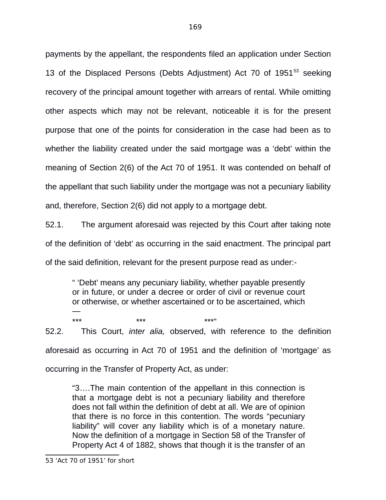payments by the appellant, the respondents filed an application under Section 13 of the Displaced Persons (Debts Adjustment) Act 70 of 1951<sup>[53](#page--1-1)</sup> seeking recovery of the principal amount together with arrears of rental. While omitting other aspects which may not be relevant, noticeable it is for the present purpose that one of the points for consideration in the case had been as to whether the liability created under the said mortgage was a 'debt' within the meaning of Section 2(6) of the Act 70 of 1951. It was contended on behalf of the appellant that such liability under the mortgage was not a pecuniary liability and, therefore, Section 2(6) did not apply to a mortgage debt.

52.1. The argument aforesaid was rejected by this Court after taking note of the definition of 'debt' as occurring in the said enactment. The principal part of the said definition, relevant for the present purpose read as under:-

" 'Debt' means any pecuniary liability, whether payable presently or in future, or under a decree or order of civil or revenue court or otherwise, or whether ascertained or to be ascertained, which —

\*\*\* \*\*\* \*\*\*" 52.2. This Court, *inter alia,* observed, with reference to the definition aforesaid as occurring in Act 70 of 1951 and the definition of 'mortgage' as occurring in the Transfer of Property Act, as under:

"3….The main contention of the appellant in this connection is that a mortgage debt is not a pecuniary liability and therefore does not fall within the definition of debt at all. We are of opinion that there is no force in this contention. The words "pecuniary liability" will cover any liability which is of a monetary nature. Now the definition of a mortgage in Section 58 of the Transfer of Property Act 4 of 1882, shows that though it is the transfer of an

169

<sup>53</sup> 'Act 70 of 1951' for short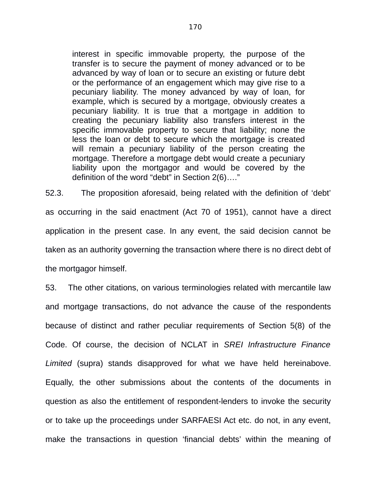interest in specific immovable property, the purpose of the transfer is to secure the payment of money advanced or to be advanced by way of loan or to secure an existing or future debt or the performance of an engagement which may give rise to a pecuniary liability. The money advanced by way of loan, for example, which is secured by a mortgage, obviously creates a pecuniary liability. It is true that a mortgage in addition to creating the pecuniary liability also transfers interest in the specific immovable property to secure that liability; none the less the loan or debt to secure which the mortgage is created will remain a pecuniary liability of the person creating the mortgage. Therefore a mortgage debt would create a pecuniary liability upon the mortgagor and would be covered by the definition of the word "debt" in Section 2(6)…."

52.3. The proposition aforesaid, being related with the definition of 'debt' as occurring in the said enactment (Act 70 of 1951), cannot have a direct application in the present case. In any event, the said decision cannot be taken as an authority governing the transaction where there is no direct debt of the mortgagor himself.

53. The other citations, on various terminologies related with mercantile law and mortgage transactions, do not advance the cause of the respondents because of distinct and rather peculiar requirements of Section 5(8) of the Code. Of course, the decision of NCLAT in *SREI Infrastructure Finance Limited* (supra) stands disapproved for what we have held hereinabove. Equally, the other submissions about the contents of the documents in question as also the entitlement of respondent-lenders to invoke the security or to take up the proceedings under SARFAESI Act etc. do not, in any event, make the transactions in question 'financial debts' within the meaning of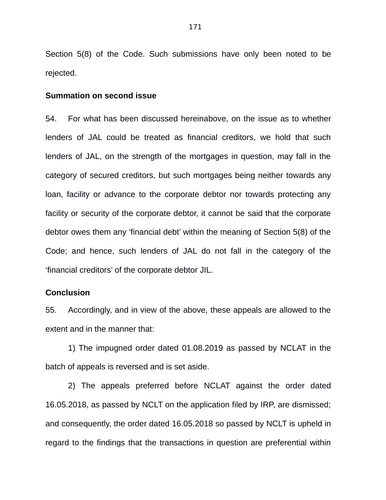Section 5(8) of the Code. Such submissions have only been noted to be rejected.

#### **Summation on second issue**

54. For what has been discussed hereinabove, on the issue as to whether lenders of JAL could be treated as financial creditors, we hold that such lenders of JAL, on the strength of the mortgages in question, may fall in the category of secured creditors, but such mortgages being neither towards any loan, facility or advance to the corporate debtor nor towards protecting any facility or security of the corporate debtor, it cannot be said that the corporate debtor owes them any 'financial debt' within the meaning of Section 5(8) of the Code; and hence, such lenders of JAL do not fall in the category of the 'financial creditors' of the corporate debtor JIL.

## **Conclusion**

55. Accordingly, and in view of the above, these appeals are allowed to the extent and in the manner that:

1) The impugned order dated 01.08.2019 as passed by NCLAT in the batch of appeals is reversed and is set aside.

2) The appeals preferred before NCLAT against the order dated 16.05.2018, as passed by NCLT on the application filed by IRP, are dismissed; and consequently, the order dated 16.05.2018 so passed by NCLT is upheld in regard to the findings that the transactions in question are preferential within